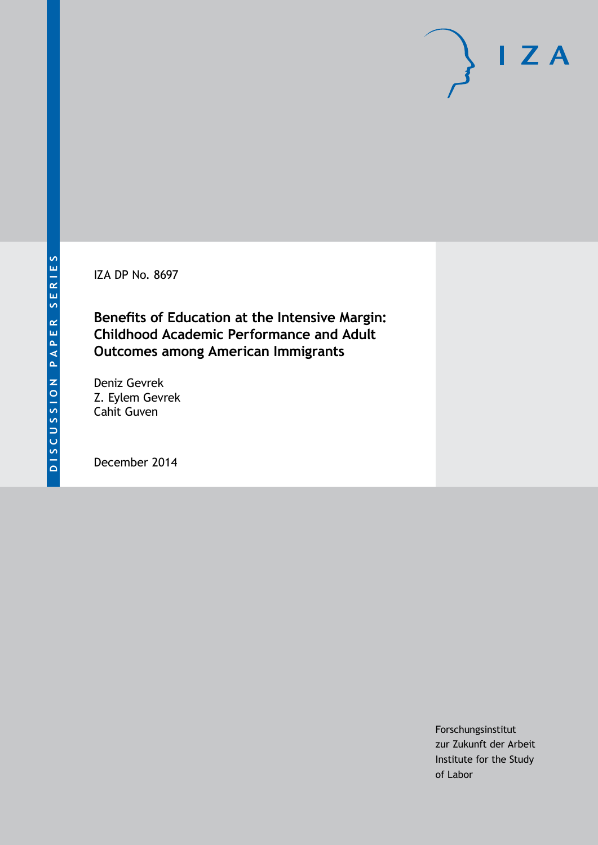IZA DP No. 8697

**Benefits of Education at the Intensive Margin: Childhood Academic Performance and Adult Outcomes among American Immigrants**

Deniz Gevrek Z. Eylem Gevrek Cahit Guven

December 2014

Forschungsinstitut zur Zukunft der Arbeit Institute for the Study of Labor

 $I Z A$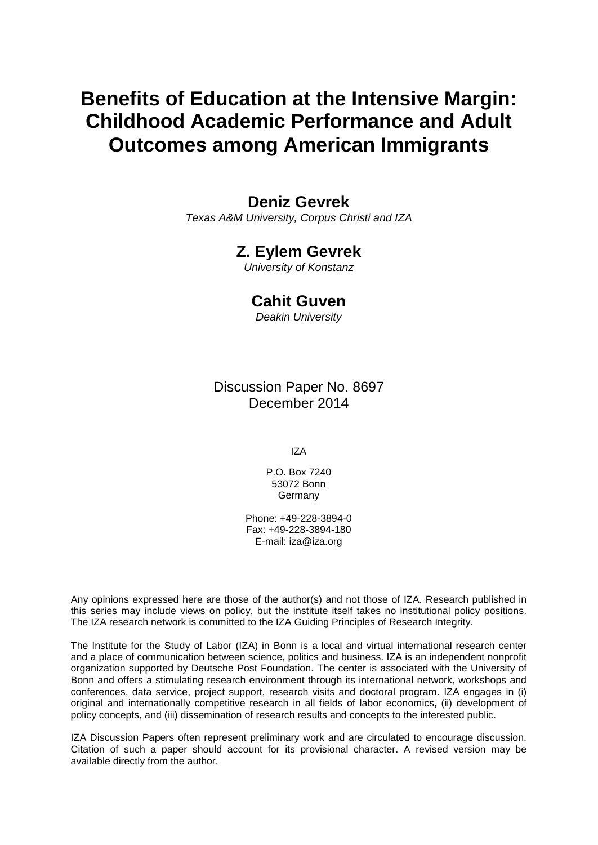# **Benefits of Education at the Intensive Margin: Childhood Academic Performance and Adult Outcomes among American Immigrants**

### **Deniz Gevrek**

*Texas A&M University, Corpus Christi and IZA*

### **Z. Eylem Gevrek**

*University of Konstanz*

### **Cahit Guven**

*Deakin University*

Discussion Paper No. 8697 December 2014

IZA

P.O. Box 7240 53072 Bonn Germany

Phone: +49-228-3894-0 Fax: +49-228-3894-180 E-mail: [iza@iza.org](mailto:iza@iza.org)

Any opinions expressed here are those of the author(s) and not those of IZA. Research published in this series may include views on policy, but the institute itself takes no institutional policy positions. The IZA research network is committed to the IZA Guiding Principles of Research Integrity.

The Institute for the Study of Labor (IZA) in Bonn is a local and virtual international research center and a place of communication between science, politics and business. IZA is an independent nonprofit organization supported by Deutsche Post Foundation. The center is associated with the University of Bonn and offers a stimulating research environment through its international network, workshops and conferences, data service, project support, research visits and doctoral program. IZA engages in (i) original and internationally competitive research in all fields of labor economics, (ii) development of policy concepts, and (iii) dissemination of research results and concepts to the interested public.

<span id="page-1-0"></span>IZA Discussion Papers often represent preliminary work and are circulated to encourage discussion. Citation of such a paper should account for its provisional character. A revised version may be available directly from the author.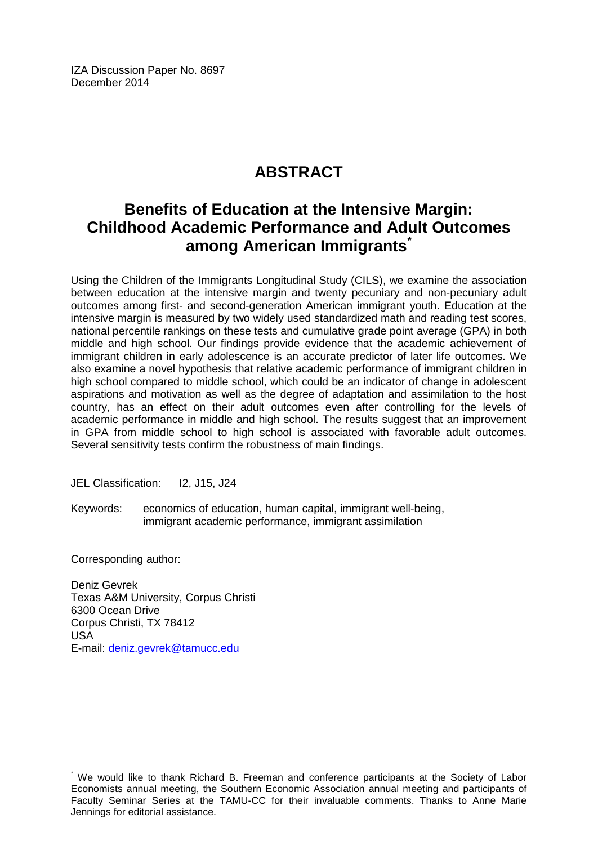IZA Discussion Paper No. 8697 December 2014

# **ABSTRACT**

# **Benefits of Education at the Intensive Margin: Childhood Academic Performance and Adult Outcomes among American Immigrants[\\*](#page-1-0)**

Using the Children of the Immigrants Longitudinal Study (CILS), we examine the association between education at the intensive margin and twenty pecuniary and non-pecuniary adult outcomes among first- and second-generation American immigrant youth. Education at the intensive margin is measured by two widely used standardized math and reading test scores, national percentile rankings on these tests and cumulative grade point average (GPA) in both middle and high school. Our findings provide evidence that the academic achievement of immigrant children in early adolescence is an accurate predictor of later life outcomes. We also examine a novel hypothesis that relative academic performance of immigrant children in high school compared to middle school, which could be an indicator of change in adolescent aspirations and motivation as well as the degree of adaptation and assimilation to the host country, has an effect on their adult outcomes even after controlling for the levels of academic performance in middle and high school. The results suggest that an improvement in GPA from middle school to high school is associated with favorable adult outcomes. Several sensitivity tests confirm the robustness of main findings.

JEL Classification: I2, J15, J24

Keywords: economics of education, human capital, immigrant well-being, immigrant academic performance, immigrant assimilation

Corresponding author:

Deniz Gevrek Texas A&M University, Corpus Christi 6300 Ocean Drive Corpus Christi, TX 78412 USA E-mail: [deniz.gevrek@tamucc.edu](mailto:deniz.gevrek@tamucc.edu)

We would like to thank Richard B. Freeman and conference participants at the Society of Labor Economists annual meeting, the Southern Economic Association annual meeting and participants of Faculty Seminar Series at the TAMU-CC for their invaluable comments. Thanks to Anne Marie Jennings for editorial assistance.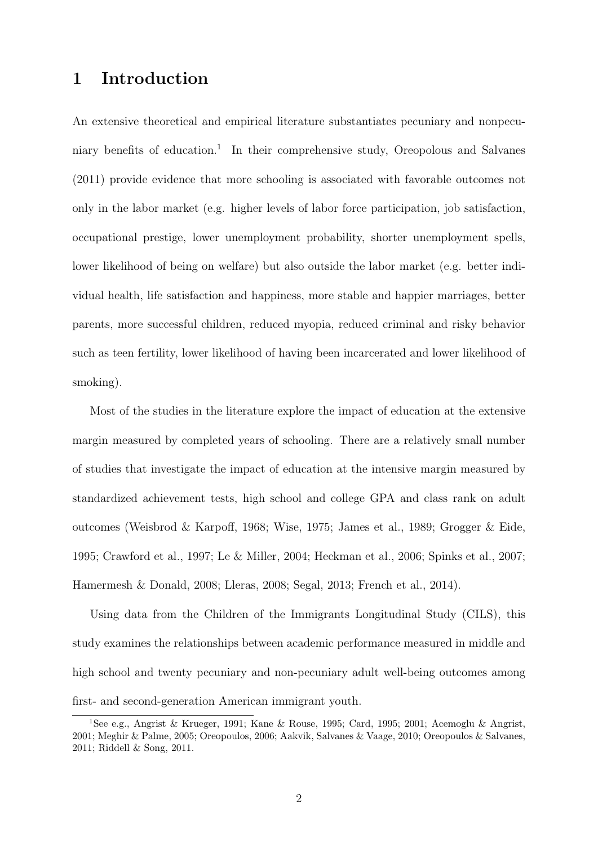### **1 Introduction**

An extensive theoretical and empirical literature substantiates pecuniary and nonpecuniary benefits of education.<sup>1</sup> In their comprehensive study, Oreopolous and Salvanes (2011) provide evidence that more schooling is associated with favorable outcomes not only in the labor market (e.g. higher levels of labor force participation, job satisfaction, occupational prestige, lower unemployment probability, shorter unemployment spells, lower likelihood of being on welfare) but also outside the labor market (e.g. better individual health, life satisfaction and happiness, more stable and happier marriages, better parents, more successful children, reduced myopia, reduced criminal and risky behavior such as teen fertility, lower likelihood of having been incarcerated and lower likelihood of smoking).

Most of the studies in the literature explore the impact of education at the extensive margin measured by completed years of schooling. There are a relatively small number of studies that investigate the impact of education at the intensive margin measured by standardized achievement tests, high school and college GPA and class rank on adult outcomes (Weisbrod & Karpoff, 1968; Wise, 1975; James et al., 1989; Grogger & Eide, 1995; Crawford et al., 1997; Le & Miller, 2004; Heckman et al., 2006; Spinks et al., 2007; Hamermesh & Donald, 2008; Lleras, 2008; Segal, 2013; French et al., 2014).

Using data from the Children of the Immigrants Longitudinal Study (CILS), this study examines the relationships between academic performance measured in middle and high school and twenty pecuniary and non-pecuniary adult well-being outcomes among first- and second-generation American immigrant youth.

<sup>1</sup>See e.g., Angrist & Krueger, 1991; Kane & Rouse, 1995; Card, 1995; 2001; Acemoglu & Angrist, 2001; Meghir & Palme, 2005; Oreopoulos, 2006; Aakvik, Salvanes & Vaage, 2010; Oreopoulos & Salvanes, 2011; Riddell & Song, 2011.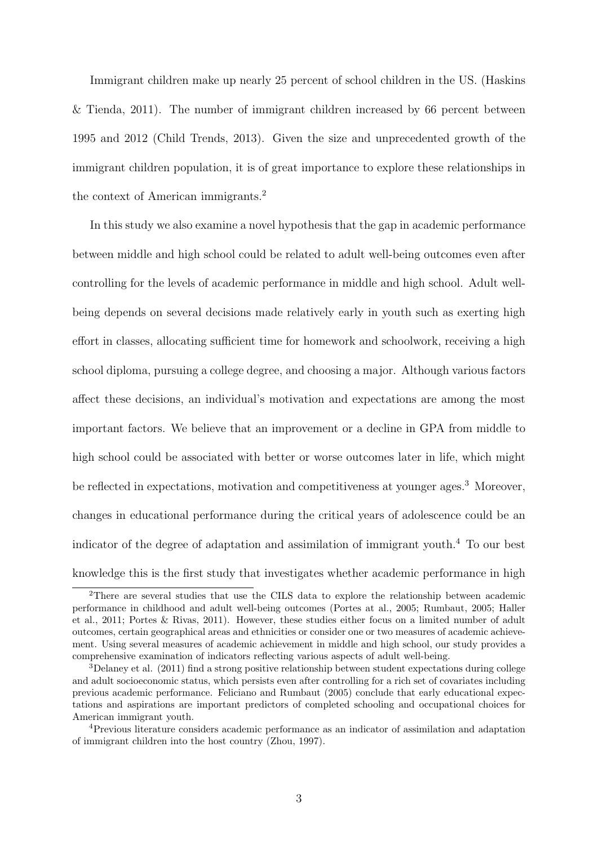Immigrant children make up nearly 25 percent of school children in the US. (Haskins & Tienda, 2011). The number of immigrant children increased by 66 percent between 1995 and 2012 (Child Trends, 2013). Given the size and unprecedented growth of the immigrant children population, it is of great importance to explore these relationships in the context of American immigrants.<sup>2</sup>

In this study we also examine a novel hypothesis that the gap in academic performance between middle and high school could be related to adult well-being outcomes even after controlling for the levels of academic performance in middle and high school. Adult wellbeing depends on several decisions made relatively early in youth such as exerting high effort in classes, allocating sufficient time for homework and schoolwork, receiving a high school diploma, pursuing a college degree, and choosing a major. Although various factors affect these decisions, an individual's motivation and expectations are among the most important factors. We believe that an improvement or a decline in GPA from middle to high school could be associated with better or worse outcomes later in life, which might be reflected in expectations, motivation and competitiveness at younger ages.<sup>3</sup> Moreover, changes in educational performance during the critical years of adolescence could be an indicator of the degree of adaptation and assimilation of immigrant youth.<sup>4</sup> To our best knowledge this is the first study that investigates whether academic performance in high

<sup>2</sup>There are several studies that use the CILS data to explore the relationship between academic performance in childhood and adult well-being outcomes (Portes at al., 2005; Rumbaut, 2005; Haller et al., 2011; Portes & Rivas, 2011). However, these studies either focus on a limited number of adult outcomes, certain geographical areas and ethnicities or consider one or two measures of academic achievement. Using several measures of academic achievement in middle and high school, our study provides a comprehensive examination of indicators reflecting various aspects of adult well-being.

<sup>&</sup>lt;sup>3</sup>Delaney et al. (2011) find a strong positive relationship between student expectations during college and adult socioeconomic status, which persists even after controlling for a rich set of covariates including previous academic performance. Feliciano and Rumbaut (2005) conclude that early educational expectations and aspirations are important predictors of completed schooling and occupational choices for American immigrant youth.

<sup>4</sup>Previous literature considers academic performance as an indicator of assimilation and adaptation of immigrant children into the host country (Zhou, 1997).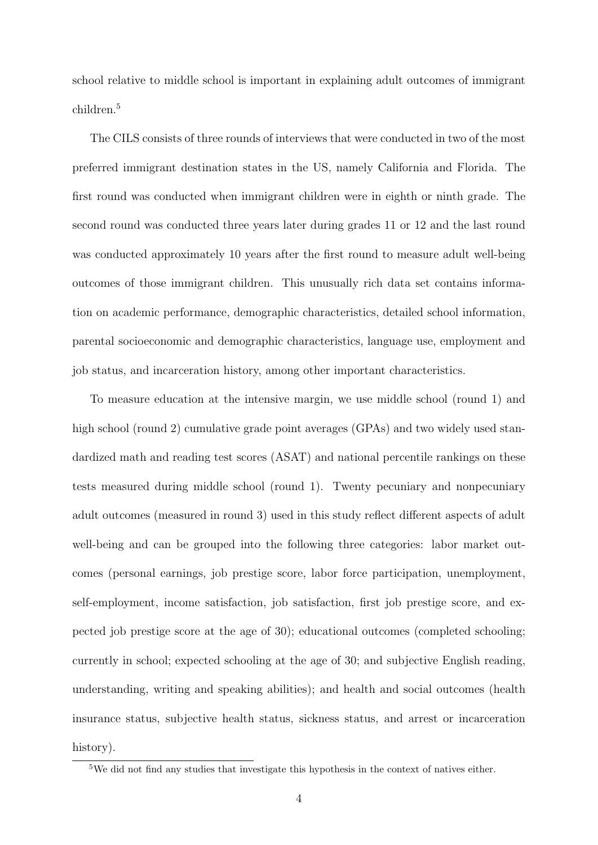school relative to middle school is important in explaining adult outcomes of immigrant children.<sup>5</sup>

The CILS consists of three rounds of interviews that were conducted in two of the most preferred immigrant destination states in the US, namely California and Florida. The first round was conducted when immigrant children were in eighth or ninth grade. The second round was conducted three years later during grades 11 or 12 and the last round was conducted approximately 10 years after the first round to measure adult well-being outcomes of those immigrant children. This unusually rich data set contains information on academic performance, demographic characteristics, detailed school information, parental socioeconomic and demographic characteristics, language use, employment and job status, and incarceration history, among other important characteristics.

To measure education at the intensive margin, we use middle school (round 1) and high school (round 2) cumulative grade point averages (GPAs) and two widely used standardized math and reading test scores (ASAT) and national percentile rankings on these tests measured during middle school (round 1). Twenty pecuniary and nonpecuniary adult outcomes (measured in round 3) used in this study reflect different aspects of adult well-being and can be grouped into the following three categories: labor market outcomes (personal earnings, job prestige score, labor force participation, unemployment, self-employment, income satisfaction, job satisfaction, first job prestige score, and expected job prestige score at the age of 30); educational outcomes (completed schooling; currently in school; expected schooling at the age of 30; and subjective English reading, understanding, writing and speaking abilities); and health and social outcomes (health insurance status, subjective health status, sickness status, and arrest or incarceration history).

<sup>5</sup>We did not find any studies that investigate this hypothesis in the context of natives either.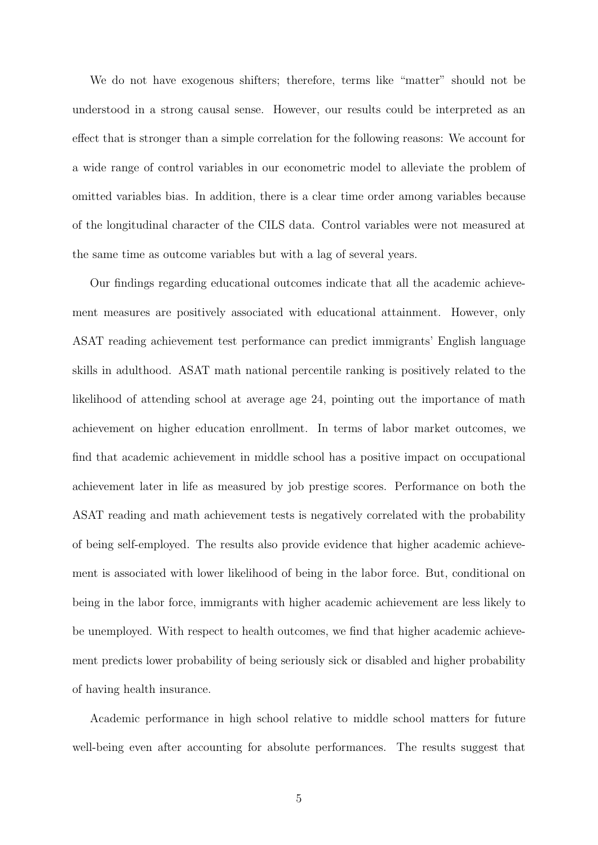We do not have exogenous shifters; therefore, terms like "matter" should not be understood in a strong causal sense. However, our results could be interpreted as an effect that is stronger than a simple correlation for the following reasons: We account for a wide range of control variables in our econometric model to alleviate the problem of omitted variables bias. In addition, there is a clear time order among variables because of the longitudinal character of the CILS data. Control variables were not measured at the same time as outcome variables but with a lag of several years.

Our findings regarding educational outcomes indicate that all the academic achievement measures are positively associated with educational attainment. However, only ASAT reading achievement test performance can predict immigrants' English language skills in adulthood. ASAT math national percentile ranking is positively related to the likelihood of attending school at average age 24, pointing out the importance of math achievement on higher education enrollment. In terms of labor market outcomes, we find that academic achievement in middle school has a positive impact on occupational achievement later in life as measured by job prestige scores. Performance on both the ASAT reading and math achievement tests is negatively correlated with the probability of being self-employed. The results also provide evidence that higher academic achievement is associated with lower likelihood of being in the labor force. But, conditional on being in the labor force, immigrants with higher academic achievement are less likely to be unemployed. With respect to health outcomes, we find that higher academic achievement predicts lower probability of being seriously sick or disabled and higher probability of having health insurance.

Academic performance in high school relative to middle school matters for future well-being even after accounting for absolute performances. The results suggest that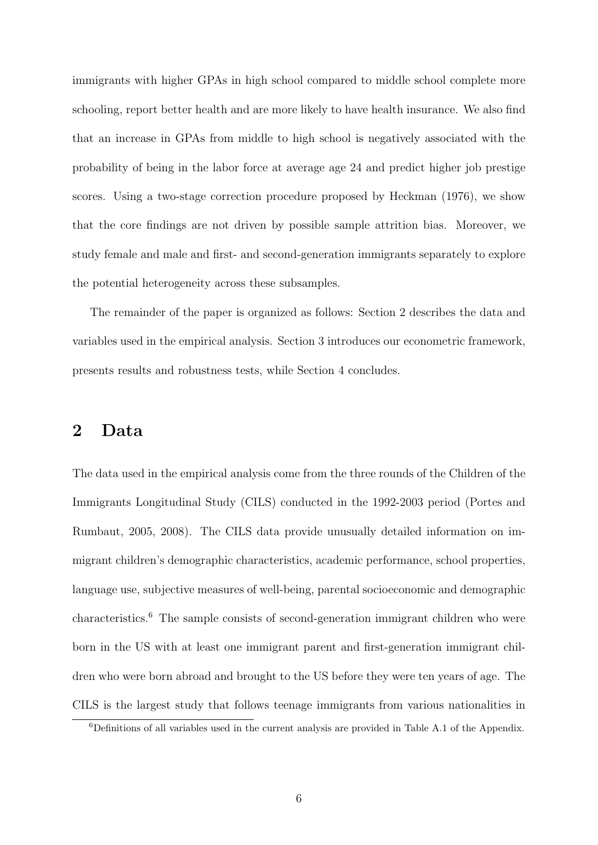immigrants with higher GPAs in high school compared to middle school complete more schooling, report better health and are more likely to have health insurance. We also find that an increase in GPAs from middle to high school is negatively associated with the probability of being in the labor force at average age 24 and predict higher job prestige scores. Using a two-stage correction procedure proposed by Heckman (1976), we show that the core findings are not driven by possible sample attrition bias. Moreover, we study female and male and first- and second-generation immigrants separately to explore the potential heterogeneity across these subsamples.

The remainder of the paper is organized as follows: Section 2 describes the data and variables used in the empirical analysis. Section 3 introduces our econometric framework, presents results and robustness tests, while Section 4 concludes.

### **2 Data**

The data used in the empirical analysis come from the three rounds of the Children of the Immigrants Longitudinal Study (CILS) conducted in the 1992-2003 period (Portes and Rumbaut, 2005, 2008). The CILS data provide unusually detailed information on immigrant children's demographic characteristics, academic performance, school properties, language use, subjective measures of well-being, parental socioeconomic and demographic characteristics.<sup>6</sup> The sample consists of second-generation immigrant children who were born in the US with at least one immigrant parent and first-generation immigrant children who were born abroad and brought to the US before they were ten years of age. The CILS is the largest study that follows teenage immigrants from various nationalities in

<sup>6</sup>Definitions of all variables used in the current analysis are provided in Table A.1 of the Appendix.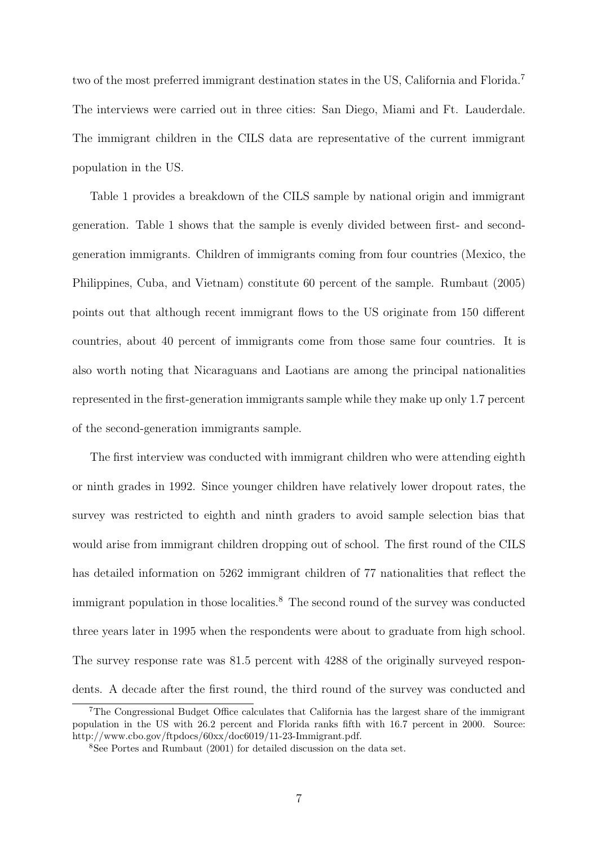two of the most preferred immigrant destination states in the US, California and Florida.<sup>7</sup> The interviews were carried out in three cities: San Diego, Miami and Ft. Lauderdale. The immigrant children in the CILS data are representative of the current immigrant population in the US.

Table 1 provides a breakdown of the CILS sample by national origin and immigrant generation. Table 1 shows that the sample is evenly divided between first- and secondgeneration immigrants. Children of immigrants coming from four countries (Mexico, the Philippines, Cuba, and Vietnam) constitute 60 percent of the sample. Rumbaut (2005) points out that although recent immigrant flows to the US originate from 150 different countries, about 40 percent of immigrants come from those same four countries. It is also worth noting that Nicaraguans and Laotians are among the principal nationalities represented in the first-generation immigrants sample while they make up only 1.7 percent of the second-generation immigrants sample.

The first interview was conducted with immigrant children who were attending eighth or ninth grades in 1992. Since younger children have relatively lower dropout rates, the survey was restricted to eighth and ninth graders to avoid sample selection bias that would arise from immigrant children dropping out of school. The first round of the CILS has detailed information on 5262 immigrant children of 77 nationalities that reflect the immigrant population in those localities.<sup>8</sup> The second round of the survey was conducted three years later in 1995 when the respondents were about to graduate from high school. The survey response rate was 81.5 percent with 4288 of the originally surveyed respondents. A decade after the first round, the third round of the survey was conducted and

<sup>7</sup>The Congressional Budget Office calculates that California has the largest share of the immigrant population in the US with 26.2 percent and Florida ranks fifth with 16.7 percent in 2000. Source: http://www.cbo.gov/ftpdocs/60xx/doc6019/11-23-Immigrant.pdf.

<sup>8</sup>See Portes and Rumbaut (2001) for detailed discussion on the data set.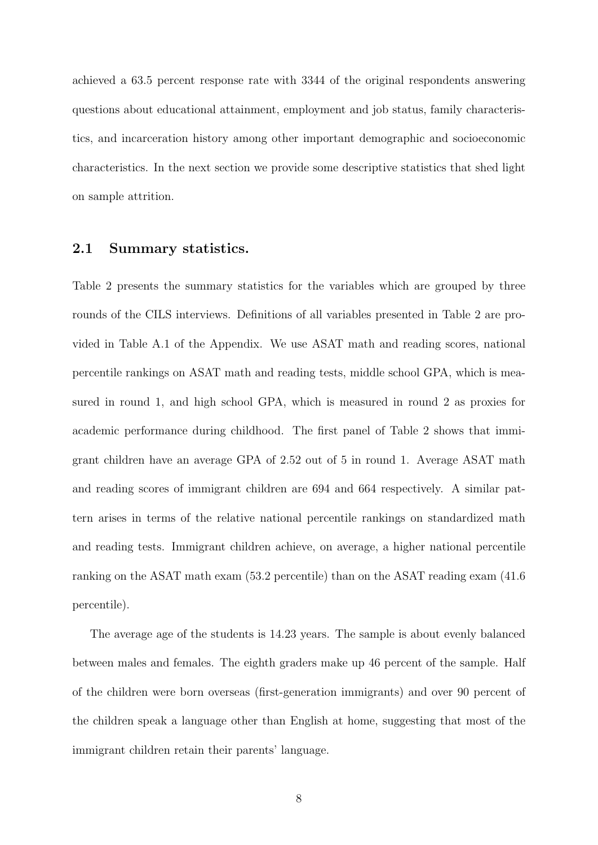achieved a 63.5 percent response rate with 3344 of the original respondents answering questions about educational attainment, employment and job status, family characteristics, and incarceration history among other important demographic and socioeconomic characteristics. In the next section we provide some descriptive statistics that shed light on sample attrition.

### **2.1 Summary statistics.**

Table 2 presents the summary statistics for the variables which are grouped by three rounds of the CILS interviews. Definitions of all variables presented in Table 2 are provided in Table A.1 of the Appendix. We use ASAT math and reading scores, national percentile rankings on ASAT math and reading tests, middle school GPA, which is measured in round 1, and high school GPA, which is measured in round 2 as proxies for academic performance during childhood. The first panel of Table 2 shows that immigrant children have an average GPA of 2.52 out of 5 in round 1. Average ASAT math and reading scores of immigrant children are 694 and 664 respectively. A similar pattern arises in terms of the relative national percentile rankings on standardized math and reading tests. Immigrant children achieve, on average, a higher national percentile ranking on the ASAT math exam (53.2 percentile) than on the ASAT reading exam (41.6 percentile).

The average age of the students is 14.23 years. The sample is about evenly balanced between males and females. The eighth graders make up 46 percent of the sample. Half of the children were born overseas (first-generation immigrants) and over 90 percent of the children speak a language other than English at home, suggesting that most of the immigrant children retain their parents' language.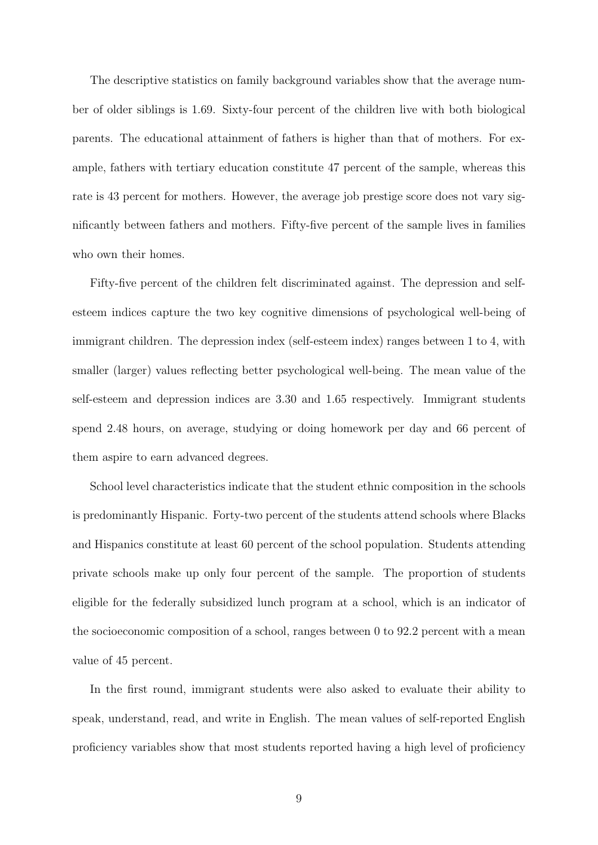The descriptive statistics on family background variables show that the average number of older siblings is 1.69. Sixty-four percent of the children live with both biological parents. The educational attainment of fathers is higher than that of mothers. For example, fathers with tertiary education constitute 47 percent of the sample, whereas this rate is 43 percent for mothers. However, the average job prestige score does not vary significantly between fathers and mothers. Fifty-five percent of the sample lives in families who own their homes.

Fifty-five percent of the children felt discriminated against. The depression and selfesteem indices capture the two key cognitive dimensions of psychological well-being of immigrant children. The depression index (self-esteem index) ranges between 1 to 4, with smaller (larger) values reflecting better psychological well-being. The mean value of the self-esteem and depression indices are 3.30 and 1.65 respectively. Immigrant students spend 2.48 hours, on average, studying or doing homework per day and 66 percent of them aspire to earn advanced degrees.

School level characteristics indicate that the student ethnic composition in the schools is predominantly Hispanic. Forty-two percent of the students attend schools where Blacks and Hispanics constitute at least 60 percent of the school population. Students attending private schools make up only four percent of the sample. The proportion of students eligible for the federally subsidized lunch program at a school, which is an indicator of the socioeconomic composition of a school, ranges between 0 to 92.2 percent with a mean value of 45 percent.

In the first round, immigrant students were also asked to evaluate their ability to speak, understand, read, and write in English. The mean values of self-reported English proficiency variables show that most students reported having a high level of proficiency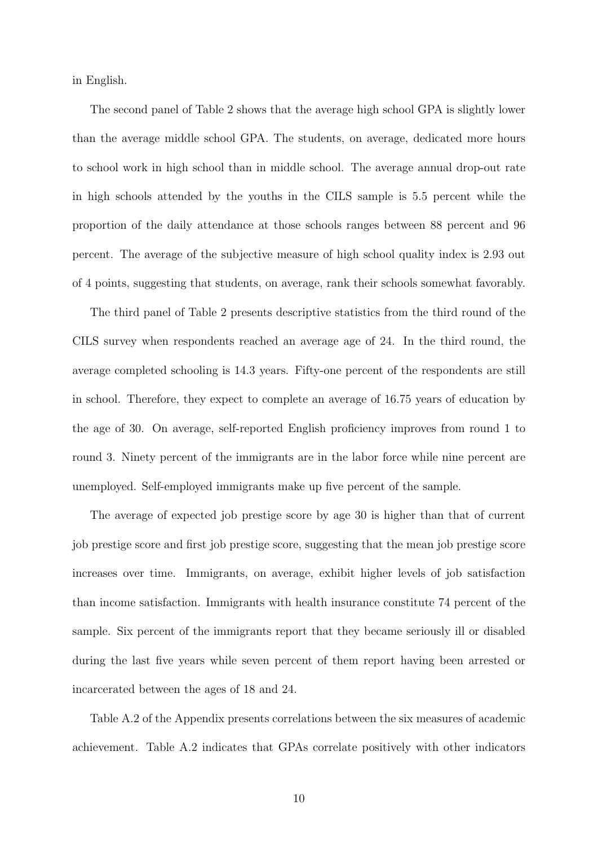in English.

The second panel of Table 2 shows that the average high school GPA is slightly lower than the average middle school GPA. The students, on average, dedicated more hours to school work in high school than in middle school. The average annual drop-out rate in high schools attended by the youths in the CILS sample is 5.5 percent while the proportion of the daily attendance at those schools ranges between 88 percent and 96 percent. The average of the subjective measure of high school quality index is 2.93 out of 4 points, suggesting that students, on average, rank their schools somewhat favorably.

The third panel of Table 2 presents descriptive statistics from the third round of the CILS survey when respondents reached an average age of 24. In the third round, the average completed schooling is 14.3 years. Fifty-one percent of the respondents are still in school. Therefore, they expect to complete an average of 16.75 years of education by the age of 30. On average, self-reported English proficiency improves from round 1 to round 3. Ninety percent of the immigrants are in the labor force while nine percent are unemployed. Self-employed immigrants make up five percent of the sample.

The average of expected job prestige score by age 30 is higher than that of current job prestige score and first job prestige score, suggesting that the mean job prestige score increases over time. Immigrants, on average, exhibit higher levels of job satisfaction than income satisfaction. Immigrants with health insurance constitute 74 percent of the sample. Six percent of the immigrants report that they became seriously ill or disabled during the last five years while seven percent of them report having been arrested or incarcerated between the ages of 18 and 24.

Table A.2 of the Appendix presents correlations between the six measures of academic achievement. Table A.2 indicates that GPAs correlate positively with other indicators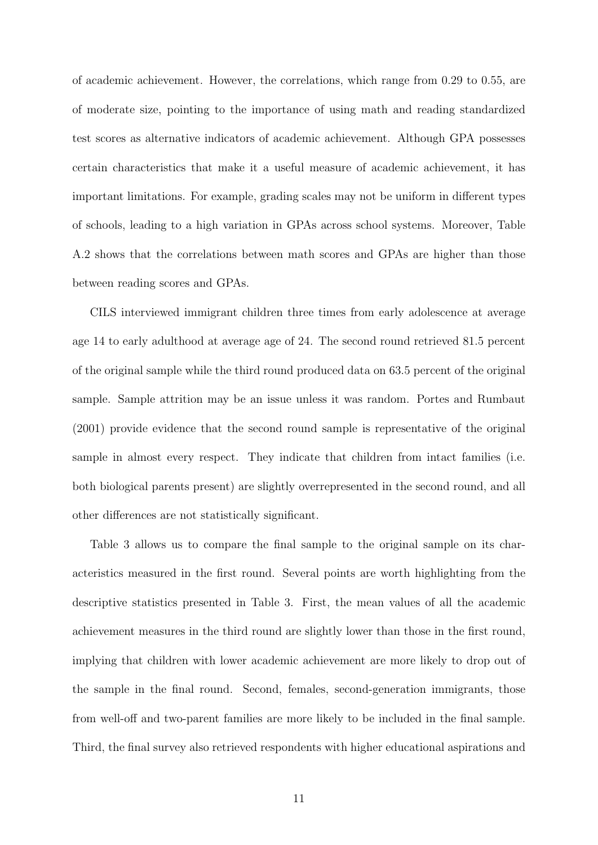of academic achievement. However, the correlations, which range from 0.29 to 0.55, are of moderate size, pointing to the importance of using math and reading standardized test scores as alternative indicators of academic achievement. Although GPA possesses certain characteristics that make it a useful measure of academic achievement, it has important limitations. For example, grading scales may not be uniform in different types of schools, leading to a high variation in GPAs across school systems. Moreover, Table A.2 shows that the correlations between math scores and GPAs are higher than those between reading scores and GPAs.

CILS interviewed immigrant children three times from early adolescence at average age 14 to early adulthood at average age of 24. The second round retrieved 81.5 percent of the original sample while the third round produced data on 63.5 percent of the original sample. Sample attrition may be an issue unless it was random. Portes and Rumbaut (2001) provide evidence that the second round sample is representative of the original sample in almost every respect. They indicate that children from intact families (i.e. both biological parents present) are slightly overrepresented in the second round, and all other differences are not statistically significant.

Table 3 allows us to compare the final sample to the original sample on its characteristics measured in the first round. Several points are worth highlighting from the descriptive statistics presented in Table 3. First, the mean values of all the academic achievement measures in the third round are slightly lower than those in the first round, implying that children with lower academic achievement are more likely to drop out of the sample in the final round. Second, females, second-generation immigrants, those from well-off and two-parent families are more likely to be included in the final sample. Third, the final survey also retrieved respondents with higher educational aspirations and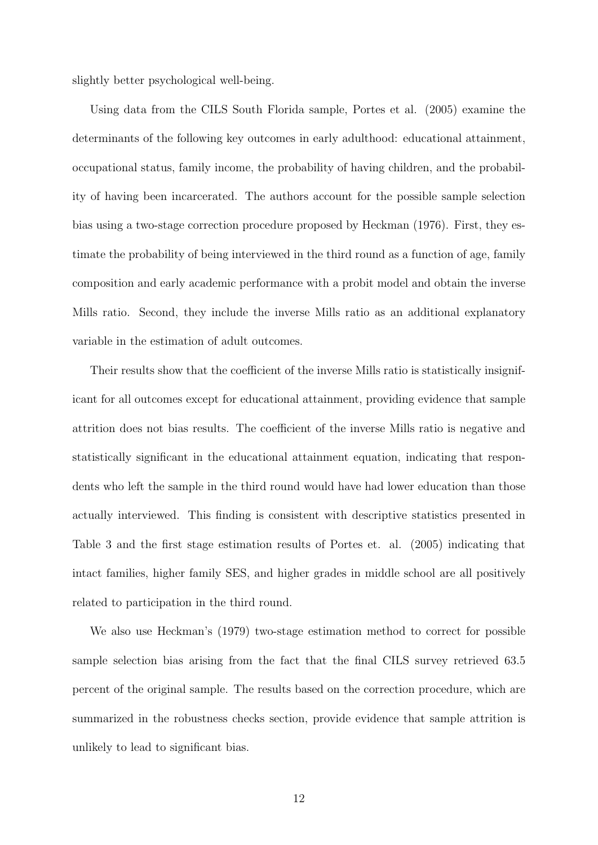slightly better psychological well-being.

Using data from the CILS South Florida sample, Portes et al. (2005) examine the determinants of the following key outcomes in early adulthood: educational attainment, occupational status, family income, the probability of having children, and the probability of having been incarcerated. The authors account for the possible sample selection bias using a two-stage correction procedure proposed by Heckman (1976). First, they estimate the probability of being interviewed in the third round as a function of age, family composition and early academic performance with a probit model and obtain the inverse Mills ratio. Second, they include the inverse Mills ratio as an additional explanatory variable in the estimation of adult outcomes.

Their results show that the coefficient of the inverse Mills ratio is statistically insignificant for all outcomes except for educational attainment, providing evidence that sample attrition does not bias results. The coefficient of the inverse Mills ratio is negative and statistically significant in the educational attainment equation, indicating that respondents who left the sample in the third round would have had lower education than those actually interviewed. This finding is consistent with descriptive statistics presented in Table 3 and the first stage estimation results of Portes et. al. (2005) indicating that intact families, higher family SES, and higher grades in middle school are all positively related to participation in the third round.

We also use Heckman's (1979) two-stage estimation method to correct for possible sample selection bias arising from the fact that the final CILS survey retrieved 63.5 percent of the original sample. The results based on the correction procedure, which are summarized in the robustness checks section, provide evidence that sample attrition is unlikely to lead to significant bias.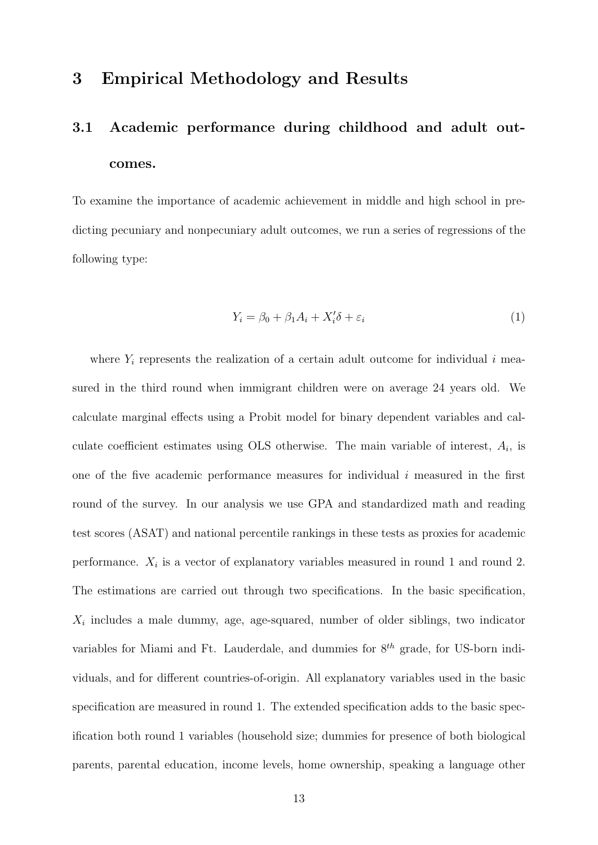### **3 Empirical Methodology and Results**

# **3.1 Academic performance during childhood and adult outcomes.**

To examine the importance of academic achievement in middle and high school in predicting pecuniary and nonpecuniary adult outcomes, we run a series of regressions of the following type:

$$
Y_i = \beta_0 + \beta_1 A_i + X_i' \delta + \varepsilon_i \tag{1}
$$

where  $Y_i$  represents the realization of a certain adult outcome for individual  $i$  measured in the third round when immigrant children were on average 24 years old. We calculate marginal effects using a Probit model for binary dependent variables and calculate coefficient estimates using OLS otherwise. The main variable of interest,  $A_i$ , is one of the five academic performance measures for individual *i* measured in the first round of the survey. In our analysis we use GPA and standardized math and reading test scores (ASAT) and national percentile rankings in these tests as proxies for academic performance.  $X_i$  is a vector of explanatory variables measured in round 1 and round 2. The estimations are carried out through two specifications. In the basic specification,  $X_i$  includes a male dummy, age, age-squared, number of older siblings, two indicator variables for Miami and Ft. Lauderdale, and dummies for 8*th* grade, for US-born individuals, and for different countries-of-origin. All explanatory variables used in the basic specification are measured in round 1. The extended specification adds to the basic specification both round 1 variables (household size; dummies for presence of both biological parents, parental education, income levels, home ownership, speaking a language other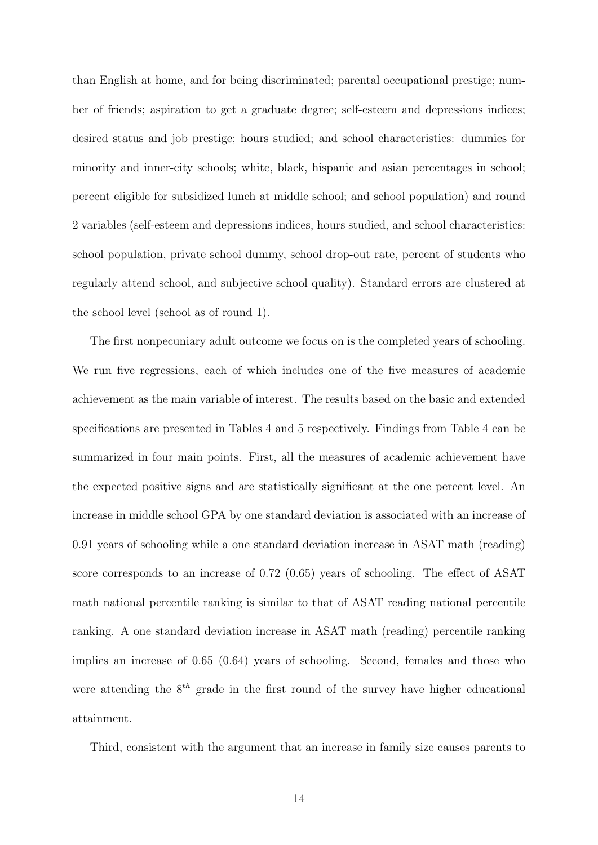than English at home, and for being discriminated; parental occupational prestige; number of friends; aspiration to get a graduate degree; self-esteem and depressions indices; desired status and job prestige; hours studied; and school characteristics: dummies for minority and inner-city schools; white, black, hispanic and asian percentages in school; percent eligible for subsidized lunch at middle school; and school population) and round 2 variables (self-esteem and depressions indices, hours studied, and school characteristics: school population, private school dummy, school drop-out rate, percent of students who regularly attend school, and subjective school quality). Standard errors are clustered at the school level (school as of round 1).

The first nonpecuniary adult outcome we focus on is the completed years of schooling. We run five regressions, each of which includes one of the five measures of academic achievement as the main variable of interest. The results based on the basic and extended specifications are presented in Tables 4 and 5 respectively. Findings from Table 4 can be summarized in four main points. First, all the measures of academic achievement have the expected positive signs and are statistically significant at the one percent level. An increase in middle school GPA by one standard deviation is associated with an increase of 0.91 years of schooling while a one standard deviation increase in ASAT math (reading) score corresponds to an increase of 0.72 (0.65) years of schooling. The effect of ASAT math national percentile ranking is similar to that of ASAT reading national percentile ranking. A one standard deviation increase in ASAT math (reading) percentile ranking implies an increase of 0.65 (0.64) years of schooling. Second, females and those who were attending the 8*th* grade in the first round of the survey have higher educational attainment.

Third, consistent with the argument that an increase in family size causes parents to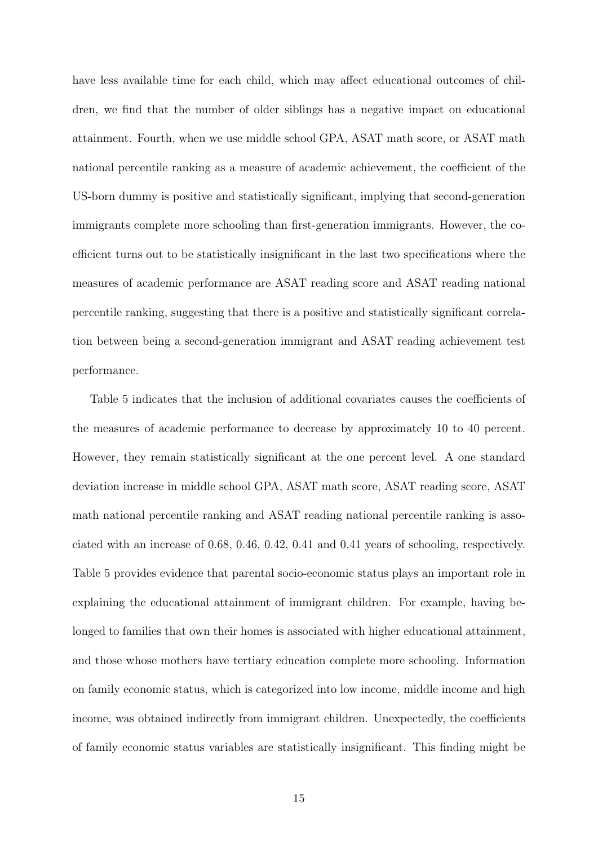have less available time for each child, which may affect educational outcomes of children, we find that the number of older siblings has a negative impact on educational attainment. Fourth, when we use middle school GPA, ASAT math score, or ASAT math national percentile ranking as a measure of academic achievement, the coefficient of the US-born dummy is positive and statistically significant, implying that second-generation immigrants complete more schooling than first-generation immigrants. However, the coefficient turns out to be statistically insignificant in the last two specifications where the measures of academic performance are ASAT reading score and ASAT reading national percentile ranking, suggesting that there is a positive and statistically significant correlation between being a second-generation immigrant and ASAT reading achievement test performance.

Table 5 indicates that the inclusion of additional covariates causes the coefficients of the measures of academic performance to decrease by approximately 10 to 40 percent. However, they remain statistically significant at the one percent level. A one standard deviation increase in middle school GPA, ASAT math score, ASAT reading score, ASAT math national percentile ranking and ASAT reading national percentile ranking is associated with an increase of 0.68, 0.46, 0.42, 0.41 and 0.41 years of schooling, respectively. Table 5 provides evidence that parental socio-economic status plays an important role in explaining the educational attainment of immigrant children. For example, having belonged to families that own their homes is associated with higher educational attainment, and those whose mothers have tertiary education complete more schooling. Information on family economic status, which is categorized into low income, middle income and high income, was obtained indirectly from immigrant children. Unexpectedly, the coefficients of family economic status variables are statistically insignificant. This finding might be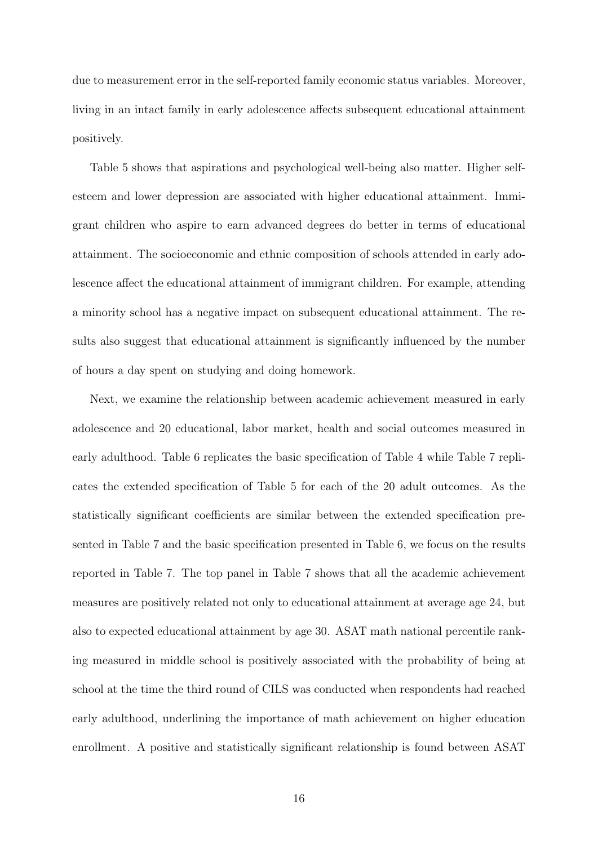due to measurement error in the self-reported family economic status variables. Moreover, living in an intact family in early adolescence affects subsequent educational attainment positively.

Table 5 shows that aspirations and psychological well-being also matter. Higher selfesteem and lower depression are associated with higher educational attainment. Immigrant children who aspire to earn advanced degrees do better in terms of educational attainment. The socioeconomic and ethnic composition of schools attended in early adolescence affect the educational attainment of immigrant children. For example, attending a minority school has a negative impact on subsequent educational attainment. The results also suggest that educational attainment is significantly influenced by the number of hours a day spent on studying and doing homework.

Next, we examine the relationship between academic achievement measured in early adolescence and 20 educational, labor market, health and social outcomes measured in early adulthood. Table 6 replicates the basic specification of Table 4 while Table 7 replicates the extended specification of Table 5 for each of the 20 adult outcomes. As the statistically significant coefficients are similar between the extended specification presented in Table 7 and the basic specification presented in Table 6, we focus on the results reported in Table 7. The top panel in Table 7 shows that all the academic achievement measures are positively related not only to educational attainment at average age 24, but also to expected educational attainment by age 30. ASAT math national percentile ranking measured in middle school is positively associated with the probability of being at school at the time the third round of CILS was conducted when respondents had reached early adulthood, underlining the importance of math achievement on higher education enrollment. A positive and statistically significant relationship is found between ASAT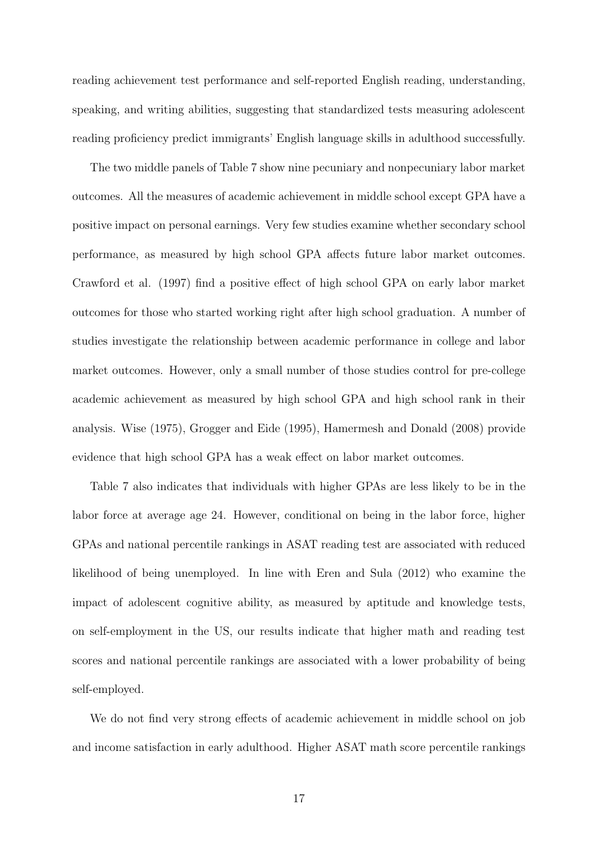reading achievement test performance and self-reported English reading, understanding, speaking, and writing abilities, suggesting that standardized tests measuring adolescent reading proficiency predict immigrants' English language skills in adulthood successfully.

The two middle panels of Table 7 show nine pecuniary and nonpecuniary labor market outcomes. All the measures of academic achievement in middle school except GPA have a positive impact on personal earnings. Very few studies examine whether secondary school performance, as measured by high school GPA affects future labor market outcomes. Crawford et al. (1997) find a positive effect of high school GPA on early labor market outcomes for those who started working right after high school graduation. A number of studies investigate the relationship between academic performance in college and labor market outcomes. However, only a small number of those studies control for pre-college academic achievement as measured by high school GPA and high school rank in their analysis. Wise (1975), Grogger and Eide (1995), Hamermesh and Donald (2008) provide evidence that high school GPA has a weak effect on labor market outcomes.

Table 7 also indicates that individuals with higher GPAs are less likely to be in the labor force at average age 24. However, conditional on being in the labor force, higher GPAs and national percentile rankings in ASAT reading test are associated with reduced likelihood of being unemployed. In line with Eren and Sula (2012) who examine the impact of adolescent cognitive ability, as measured by aptitude and knowledge tests, on self-employment in the US, our results indicate that higher math and reading test scores and national percentile rankings are associated with a lower probability of being self-employed.

We do not find very strong effects of academic achievement in middle school on job and income satisfaction in early adulthood. Higher ASAT math score percentile rankings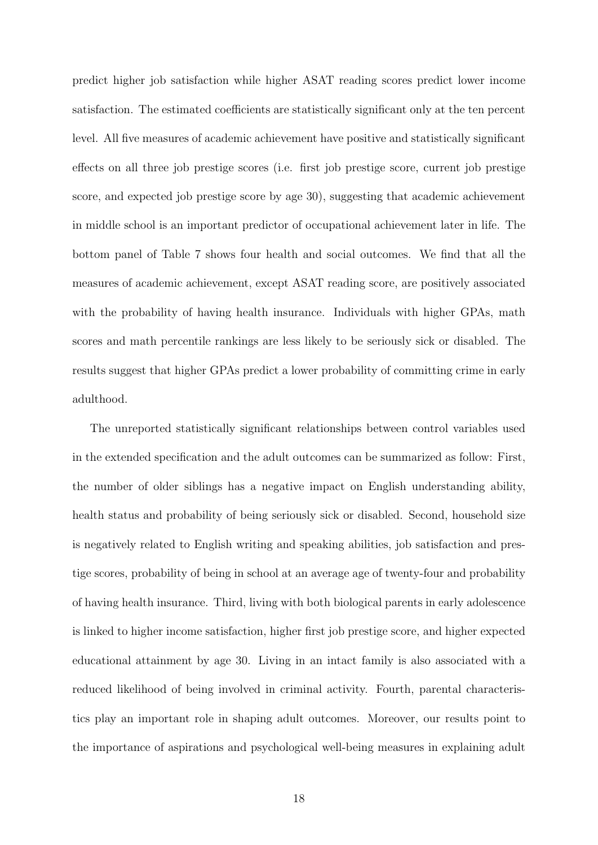predict higher job satisfaction while higher ASAT reading scores predict lower income satisfaction. The estimated coefficients are statistically significant only at the ten percent level. All five measures of academic achievement have positive and statistically significant effects on all three job prestige scores (i.e. first job prestige score, current job prestige score, and expected job prestige score by age 30), suggesting that academic achievement in middle school is an important predictor of occupational achievement later in life. The bottom panel of Table 7 shows four health and social outcomes. We find that all the measures of academic achievement, except ASAT reading score, are positively associated with the probability of having health insurance. Individuals with higher GPAs, math scores and math percentile rankings are less likely to be seriously sick or disabled. The results suggest that higher GPAs predict a lower probability of committing crime in early adulthood.

The unreported statistically significant relationships between control variables used in the extended specification and the adult outcomes can be summarized as follow: First, the number of older siblings has a negative impact on English understanding ability, health status and probability of being seriously sick or disabled. Second, household size is negatively related to English writing and speaking abilities, job satisfaction and prestige scores, probability of being in school at an average age of twenty-four and probability of having health insurance. Third, living with both biological parents in early adolescence is linked to higher income satisfaction, higher first job prestige score, and higher expected educational attainment by age 30. Living in an intact family is also associated with a reduced likelihood of being involved in criminal activity. Fourth, parental characteristics play an important role in shaping adult outcomes. Moreover, our results point to the importance of aspirations and psychological well-being measures in explaining adult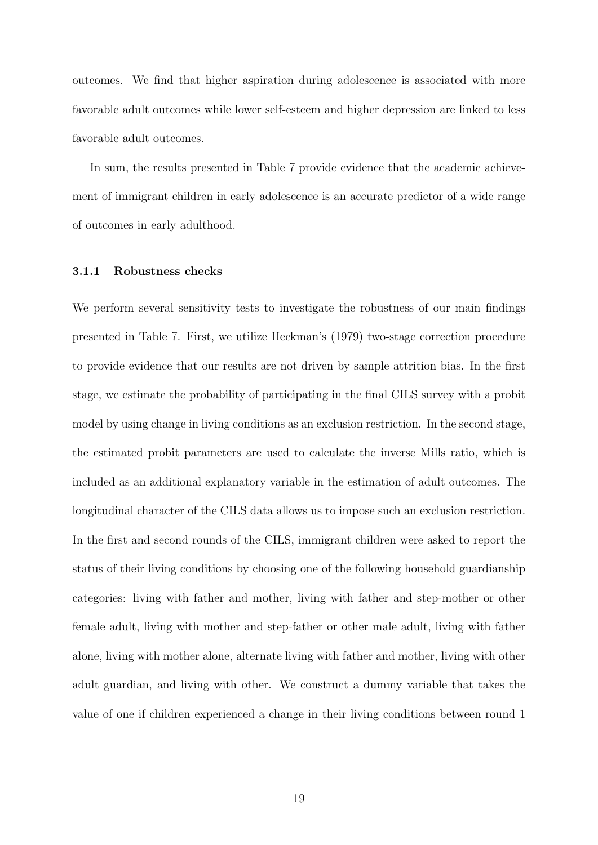outcomes. We find that higher aspiration during adolescence is associated with more favorable adult outcomes while lower self-esteem and higher depression are linked to less favorable adult outcomes.

In sum, the results presented in Table 7 provide evidence that the academic achievement of immigrant children in early adolescence is an accurate predictor of a wide range of outcomes in early adulthood.

#### **3.1.1 Robustness checks**

We perform several sensitivity tests to investigate the robustness of our main findings presented in Table 7. First, we utilize Heckman's (1979) two-stage correction procedure to provide evidence that our results are not driven by sample attrition bias. In the first stage, we estimate the probability of participating in the final CILS survey with a probit model by using change in living conditions as an exclusion restriction. In the second stage, the estimated probit parameters are used to calculate the inverse Mills ratio, which is included as an additional explanatory variable in the estimation of adult outcomes. The longitudinal character of the CILS data allows us to impose such an exclusion restriction. In the first and second rounds of the CILS, immigrant children were asked to report the status of their living conditions by choosing one of the following household guardianship categories: living with father and mother, living with father and step-mother or other female adult, living with mother and step-father or other male adult, living with father alone, living with mother alone, alternate living with father and mother, living with other adult guardian, and living with other. We construct a dummy variable that takes the value of one if children experienced a change in their living conditions between round 1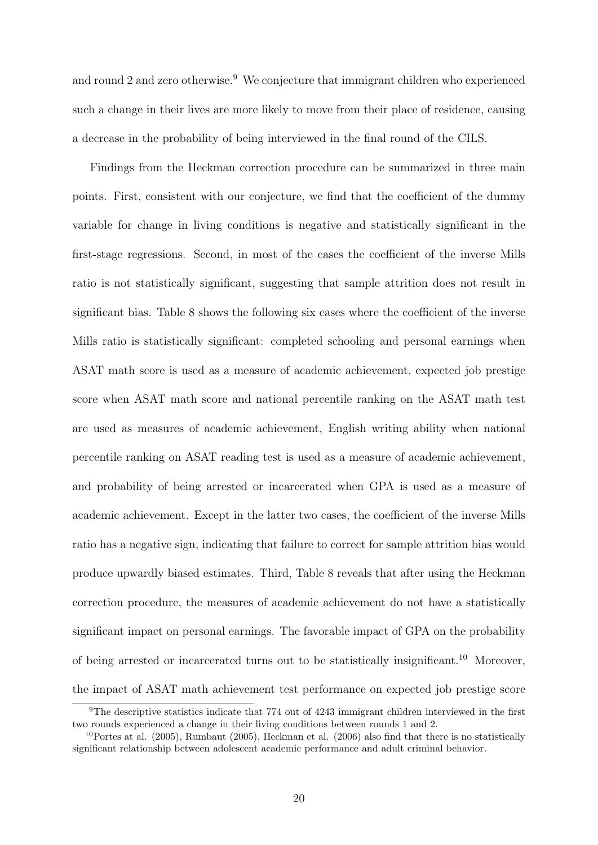and round 2 and zero otherwise.<sup>9</sup> We conjecture that immigrant children who experienced such a change in their lives are more likely to move from their place of residence, causing a decrease in the probability of being interviewed in the final round of the CILS.

Findings from the Heckman correction procedure can be summarized in three main points. First, consistent with our conjecture, we find that the coefficient of the dummy variable for change in living conditions is negative and statistically significant in the first-stage regressions. Second, in most of the cases the coefficient of the inverse Mills ratio is not statistically significant, suggesting that sample attrition does not result in significant bias. Table 8 shows the following six cases where the coefficient of the inverse Mills ratio is statistically significant: completed schooling and personal earnings when ASAT math score is used as a measure of academic achievement, expected job prestige score when ASAT math score and national percentile ranking on the ASAT math test are used as measures of academic achievement, English writing ability when national percentile ranking on ASAT reading test is used as a measure of academic achievement, and probability of being arrested or incarcerated when GPA is used as a measure of academic achievement. Except in the latter two cases, the coefficient of the inverse Mills ratio has a negative sign, indicating that failure to correct for sample attrition bias would produce upwardly biased estimates. Third, Table 8 reveals that after using the Heckman correction procedure, the measures of academic achievement do not have a statistically significant impact on personal earnings. The favorable impact of GPA on the probability of being arrested or incarcerated turns out to be statistically insignificant.<sup>10</sup> Moreover, the impact of ASAT math achievement test performance on expected job prestige score

<sup>&</sup>lt;sup>9</sup>The descriptive statistics indicate that 774 out of 4243 immigrant children interviewed in the first two rounds experienced a change in their living conditions between rounds 1 and 2.

<sup>&</sup>lt;sup>10</sup>Portes at al. (2005), Rumbaut (2005), Heckman et al. (2006) also find that there is no statistically significant relationship between adolescent academic performance and adult criminal behavior.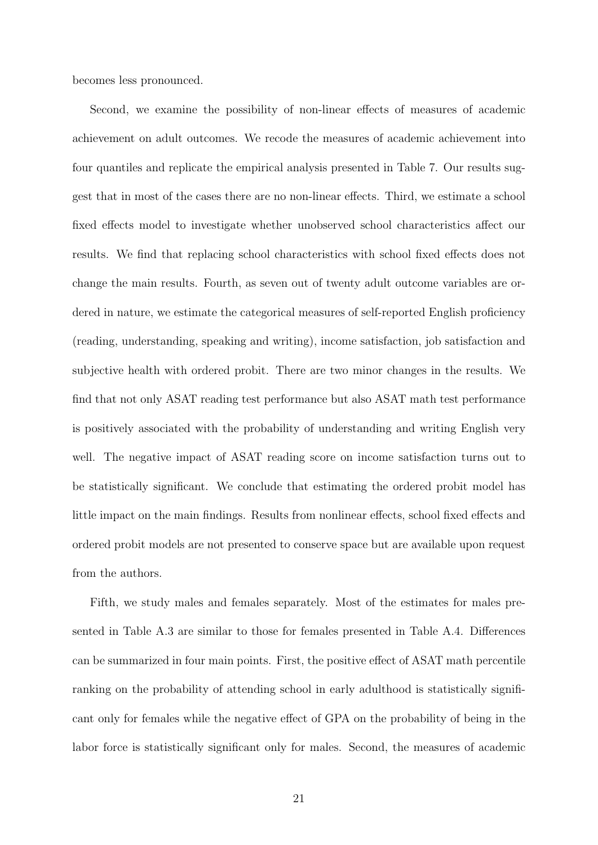becomes less pronounced.

Second, we examine the possibility of non-linear effects of measures of academic achievement on adult outcomes. We recode the measures of academic achievement into four quantiles and replicate the empirical analysis presented in Table 7. Our results suggest that in most of the cases there are no non-linear effects. Third, we estimate a school fixed effects model to investigate whether unobserved school characteristics affect our results. We find that replacing school characteristics with school fixed effects does not change the main results. Fourth, as seven out of twenty adult outcome variables are ordered in nature, we estimate the categorical measures of self-reported English proficiency (reading, understanding, speaking and writing), income satisfaction, job satisfaction and subjective health with ordered probit. There are two minor changes in the results. We find that not only ASAT reading test performance but also ASAT math test performance is positively associated with the probability of understanding and writing English very well. The negative impact of ASAT reading score on income satisfaction turns out to be statistically significant. We conclude that estimating the ordered probit model has little impact on the main findings. Results from nonlinear effects, school fixed effects and ordered probit models are not presented to conserve space but are available upon request from the authors.

Fifth, we study males and females separately. Most of the estimates for males presented in Table A.3 are similar to those for females presented in Table A.4. Differences can be summarized in four main points. First, the positive effect of ASAT math percentile ranking on the probability of attending school in early adulthood is statistically significant only for females while the negative effect of GPA on the probability of being in the labor force is statistically significant only for males. Second, the measures of academic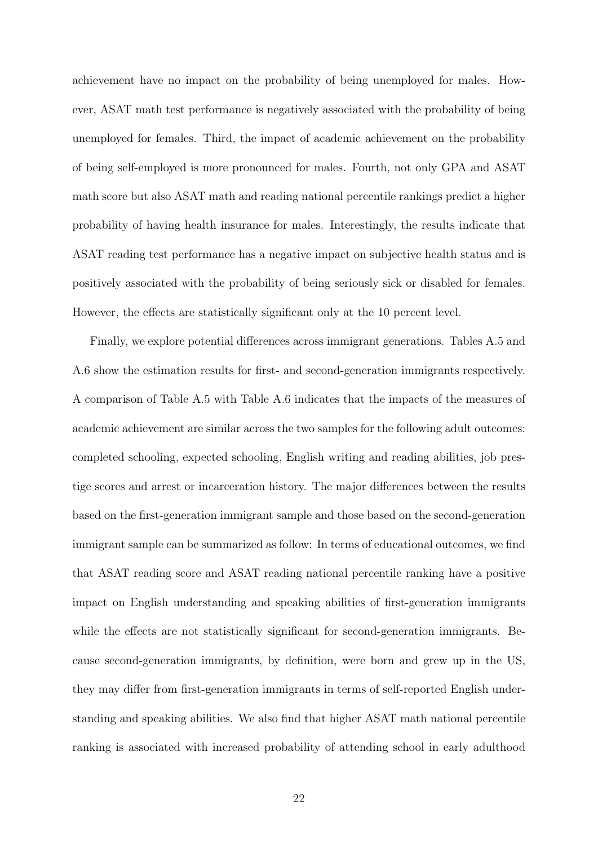achievement have no impact on the probability of being unemployed for males. However, ASAT math test performance is negatively associated with the probability of being unemployed for females. Third, the impact of academic achievement on the probability of being self-employed is more pronounced for males. Fourth, not only GPA and ASAT math score but also ASAT math and reading national percentile rankings predict a higher probability of having health insurance for males. Interestingly, the results indicate that ASAT reading test performance has a negative impact on subjective health status and is positively associated with the probability of being seriously sick or disabled for females. However, the effects are statistically significant only at the 10 percent level.

Finally, we explore potential differences across immigrant generations. Tables A.5 and A.6 show the estimation results for first- and second-generation immigrants respectively. A comparison of Table A.5 with Table A.6 indicates that the impacts of the measures of academic achievement are similar across the two samples for the following adult outcomes: completed schooling, expected schooling, English writing and reading abilities, job prestige scores and arrest or incarceration history. The major differences between the results based on the first-generation immigrant sample and those based on the second-generation immigrant sample can be summarized as follow: In terms of educational outcomes, we find that ASAT reading score and ASAT reading national percentile ranking have a positive impact on English understanding and speaking abilities of first-generation immigrants while the effects are not statistically significant for second-generation immigrants. Because second-generation immigrants, by definition, were born and grew up in the US, they may differ from first-generation immigrants in terms of self-reported English understanding and speaking abilities. We also find that higher ASAT math national percentile ranking is associated with increased probability of attending school in early adulthood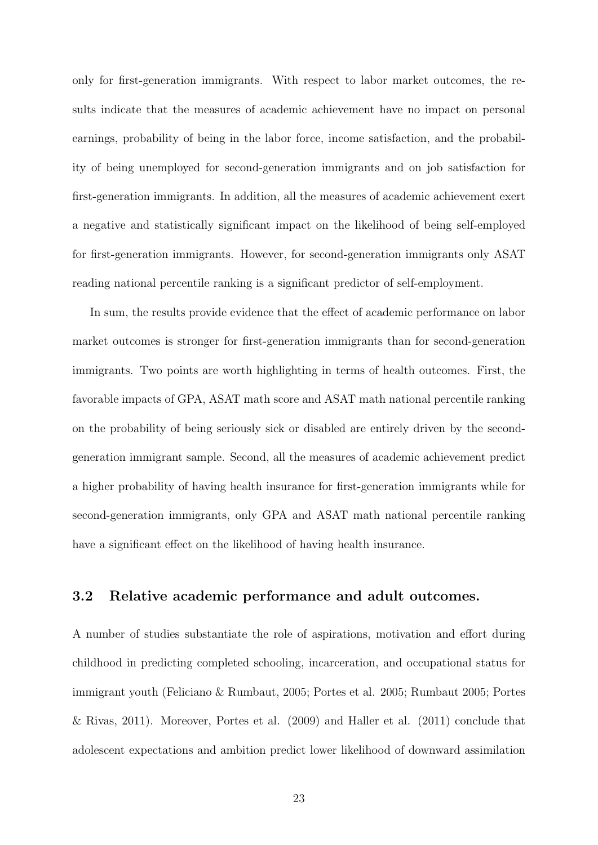only for first-generation immigrants. With respect to labor market outcomes, the results indicate that the measures of academic achievement have no impact on personal earnings, probability of being in the labor force, income satisfaction, and the probability of being unemployed for second-generation immigrants and on job satisfaction for first-generation immigrants. In addition, all the measures of academic achievement exert a negative and statistically significant impact on the likelihood of being self-employed for first-generation immigrants. However, for second-generation immigrants only ASAT reading national percentile ranking is a significant predictor of self-employment.

In sum, the results provide evidence that the effect of academic performance on labor market outcomes is stronger for first-generation immigrants than for second-generation immigrants. Two points are worth highlighting in terms of health outcomes. First, the favorable impacts of GPA, ASAT math score and ASAT math national percentile ranking on the probability of being seriously sick or disabled are entirely driven by the secondgeneration immigrant sample. Second, all the measures of academic achievement predict a higher probability of having health insurance for first-generation immigrants while for second-generation immigrants, only GPA and ASAT math national percentile ranking have a significant effect on the likelihood of having health insurance.

### **3.2 Relative academic performance and adult outcomes.**

A number of studies substantiate the role of aspirations, motivation and effort during childhood in predicting completed schooling, incarceration, and occupational status for immigrant youth (Feliciano & Rumbaut, 2005; Portes et al. 2005; Rumbaut 2005; Portes & Rivas, 2011). Moreover, Portes et al. (2009) and Haller et al. (2011) conclude that adolescent expectations and ambition predict lower likelihood of downward assimilation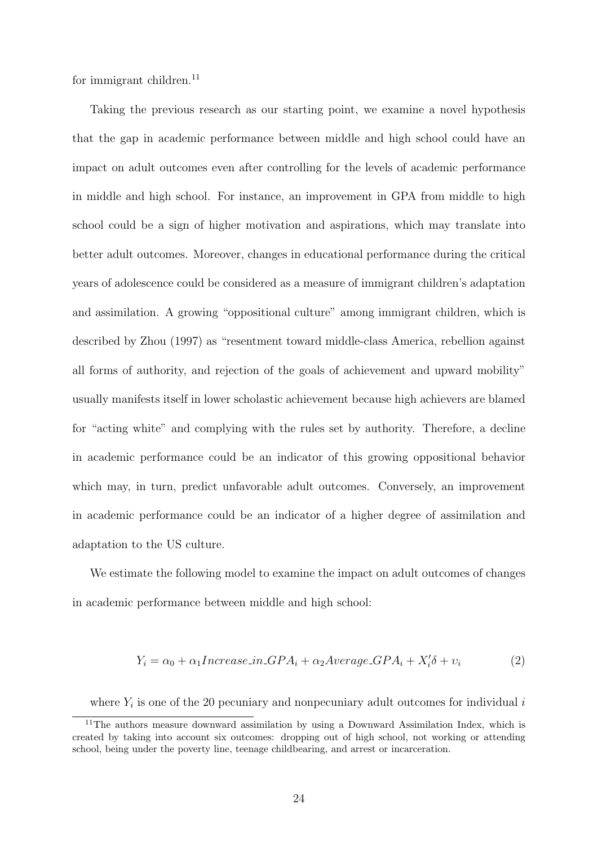for immigrant children. $^{11}$ 

Taking the previous research as our starting point, we examine a novel hypothesis that the gap in academic performance between middle and high school could have an impact on adult outcomes even after controlling for the levels of academic performance in middle and high school. For instance, an improvement in GPA from middle to high school could be a sign of higher motivation and aspirations, which may translate into better adult outcomes. Moreover, changes in educational performance during the critical years of adolescence could be considered as a measure of immigrant children's adaptation and assimilation. A growing "oppositional culture" among immigrant children, which is described by Zhou (1997) as "resentment toward middle-class America, rebellion against all forms of authority, and rejection of the goals of achievement and upward mobility" usually manifests itself in lower scholastic achievement because high achievers are blamed for "acting white" and complying with the rules set by authority. Therefore, a decline in academic performance could be an indicator of this growing oppositional behavior which may, in turn, predict unfavorable adult outcomes. Conversely, an improvement in academic performance could be an indicator of a higher degree of assimilation and adaptation to the US culture.

We estimate the following model to examine the impact on adult outcomes of changes in academic performance between middle and high school:

$$
Y_i = \alpha_0 + \alpha_1 Increase\_in\_GPA_i + \alpha_2 Average\_GPA_i + X_i'\delta + v_i \tag{2}
$$

where *Y<sup>i</sup>* is one of the 20 pecuniary and nonpecuniary adult outcomes for individual *i*

<sup>&</sup>lt;sup>11</sup>The authors measure downward assimilation by using a Downward Assimilation Index, which is created by taking into account six outcomes: dropping out of high school, not working or attending school, being under the poverty line, teenage childbearing, and arrest or incarceration.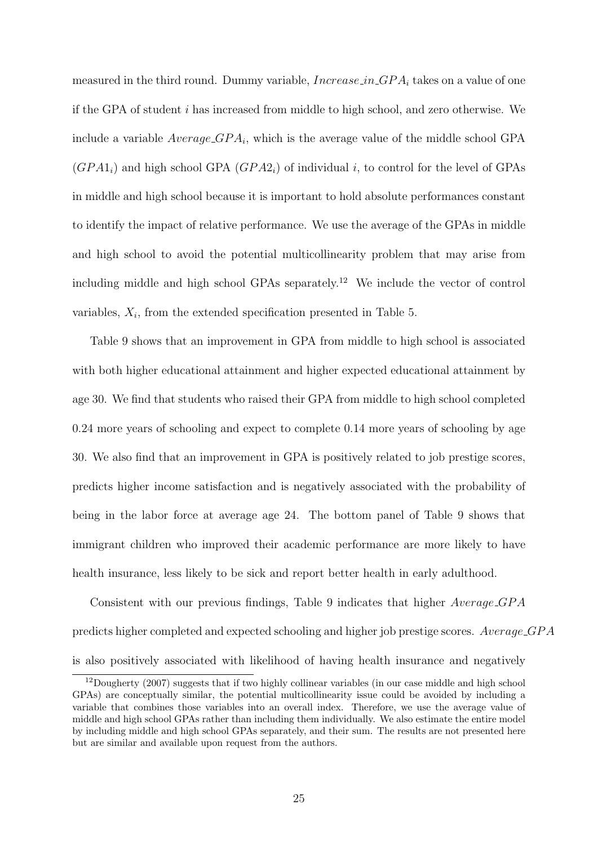measured in the third round. Dummy variable, *Increase in GP A<sup>i</sup>* takes on a value of one if the GPA of student *i* has increased from middle to high school, and zero otherwise. We include a variable *Average GP A<sup>i</sup>* , which is the average value of the middle school GPA  $(GPA1<sub>i</sub>)$  and high school GPA  $(GPA2<sub>i</sub>)$  of individual *i*, to control for the level of GPAs in middle and high school because it is important to hold absolute performances constant to identify the impact of relative performance. We use the average of the GPAs in middle and high school to avoid the potential multicollinearity problem that may arise from including middle and high school GPAs separately.<sup>12</sup> We include the vector of control variables,  $X_i$ , from the extended specification presented in Table 5.

Table 9 shows that an improvement in GPA from middle to high school is associated with both higher educational attainment and higher expected educational attainment by age 30. We find that students who raised their GPA from middle to high school completed 0.24 more years of schooling and expect to complete 0.14 more years of schooling by age 30. We also find that an improvement in GPA is positively related to job prestige scores, predicts higher income satisfaction and is negatively associated with the probability of being in the labor force at average age 24. The bottom panel of Table 9 shows that immigrant children who improved their academic performance are more likely to have health insurance, less likely to be sick and report better health in early adulthood.

Consistent with our previous findings, Table 9 indicates that higher *Average GP A* predicts higher completed and expected schooling and higher job prestige scores. *Average GP A* is also positively associated with likelihood of having health insurance and negatively

<sup>&</sup>lt;sup>12</sup>Dougherty (2007) suggests that if two highly collinear variables (in our case middle and high school GPAs) are conceptually similar, the potential multicollinearity issue could be avoided by including a variable that combines those variables into an overall index. Therefore, we use the average value of middle and high school GPAs rather than including them individually. We also estimate the entire model by including middle and high school GPAs separately, and their sum. The results are not presented here but are similar and available upon request from the authors.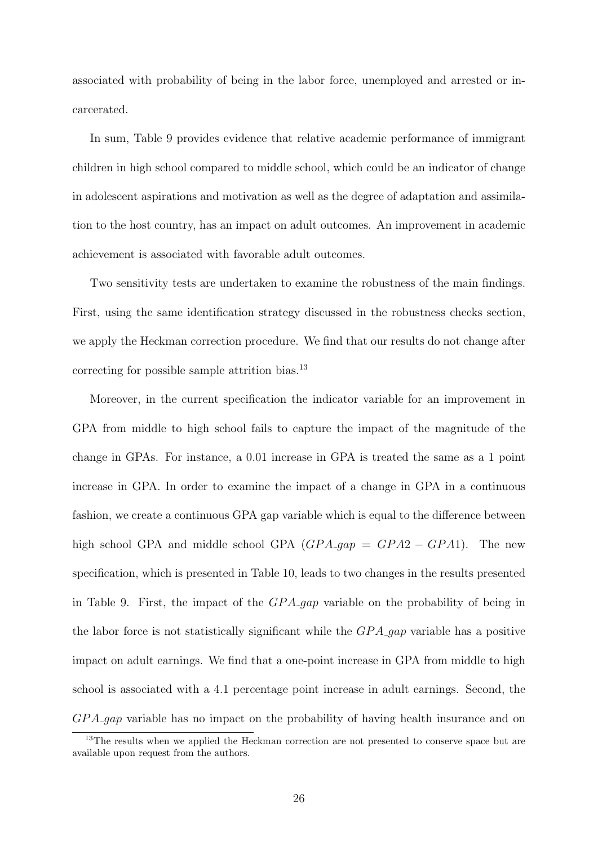associated with probability of being in the labor force, unemployed and arrested or incarcerated.

In sum, Table 9 provides evidence that relative academic performance of immigrant children in high school compared to middle school, which could be an indicator of change in adolescent aspirations and motivation as well as the degree of adaptation and assimilation to the host country, has an impact on adult outcomes. An improvement in academic achievement is associated with favorable adult outcomes.

Two sensitivity tests are undertaken to examine the robustness of the main findings. First, using the same identification strategy discussed in the robustness checks section, we apply the Heckman correction procedure. We find that our results do not change after correcting for possible sample attrition bias. $^{13}$ 

Moreover, in the current specification the indicator variable for an improvement in GPA from middle to high school fails to capture the impact of the magnitude of the change in GPAs. For instance, a 0.01 increase in GPA is treated the same as a 1 point increase in GPA. In order to examine the impact of a change in GPA in a continuous fashion, we create a continuous GPA gap variable which is equal to the difference between high school GPA and middle school GPA  $(GPA \cdot gap = GPA2 - GPA1)$ . The new specification, which is presented in Table 10, leads to two changes in the results presented in Table 9. First, the impact of the *GP A gap* variable on the probability of being in the labor force is not statistically significant while the *GP A gap* variable has a positive impact on adult earnings. We find that a one-point increase in GPA from middle to high school is associated with a 4.1 percentage point increase in adult earnings. Second, the *GP A gap* variable has no impact on the probability of having health insurance and on

<sup>&</sup>lt;sup>13</sup>The results when we applied the Heckman correction are not presented to conserve space but are available upon request from the authors.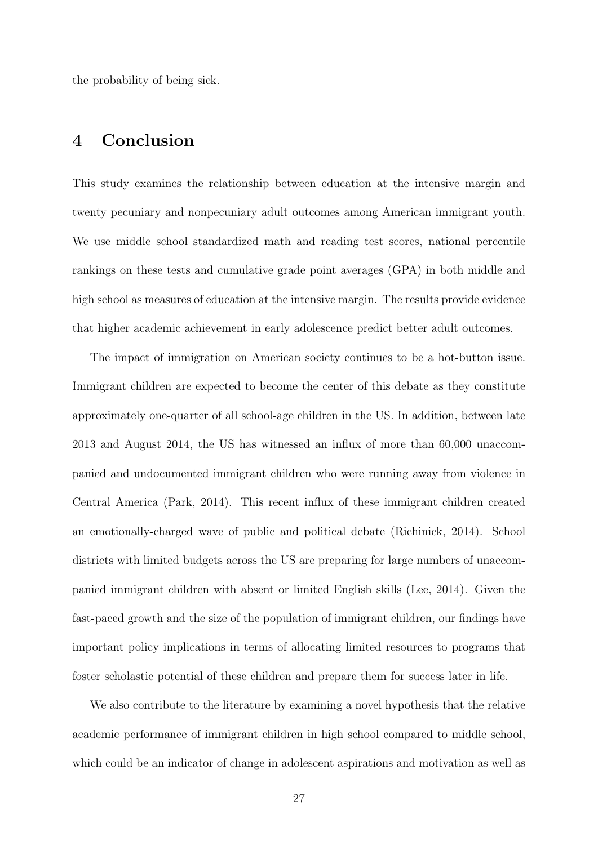the probability of being sick.

# **4 Conclusion**

This study examines the relationship between education at the intensive margin and twenty pecuniary and nonpecuniary adult outcomes among American immigrant youth. We use middle school standardized math and reading test scores, national percentile rankings on these tests and cumulative grade point averages (GPA) in both middle and high school as measures of education at the intensive margin. The results provide evidence that higher academic achievement in early adolescence predict better adult outcomes.

The impact of immigration on American society continues to be a hot-button issue. Immigrant children are expected to become the center of this debate as they constitute approximately one-quarter of all school-age children in the US. In addition, between late 2013 and August 2014, the US has witnessed an influx of more than 60,000 unaccompanied and undocumented immigrant children who were running away from violence in Central America (Park, 2014). This recent influx of these immigrant children created an emotionally-charged wave of public and political debate (Richinick, 2014). School districts with limited budgets across the US are preparing for large numbers of unaccompanied immigrant children with absent or limited English skills (Lee, 2014). Given the fast-paced growth and the size of the population of immigrant children, our findings have important policy implications in terms of allocating limited resources to programs that foster scholastic potential of these children and prepare them for success later in life.

We also contribute to the literature by examining a novel hypothesis that the relative academic performance of immigrant children in high school compared to middle school, which could be an indicator of change in adolescent aspirations and motivation as well as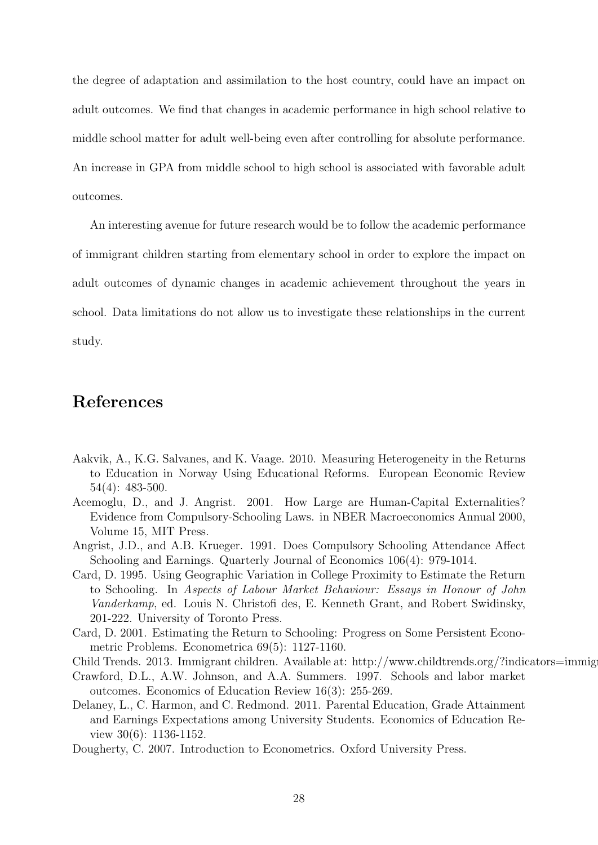the degree of adaptation and assimilation to the host country, could have an impact on adult outcomes. We find that changes in academic performance in high school relative to middle school matter for adult well-being even after controlling for absolute performance. An increase in GPA from middle school to high school is associated with favorable adult outcomes.

An interesting avenue for future research would be to follow the academic performance of immigrant children starting from elementary school in order to explore the impact on adult outcomes of dynamic changes in academic achievement throughout the years in school. Data limitations do not allow us to investigate these relationships in the current study.

### **References**

- Aakvik, A., K.G. Salvanes, and K. Vaage. 2010. Measuring Heterogeneity in the Returns to Education in Norway Using Educational Reforms. European Economic Review 54(4): 483-500.
- Acemoglu, D., and J. Angrist. 2001. How Large are Human-Capital Externalities? Evidence from Compulsory-Schooling Laws. in NBER Macroeconomics Annual 2000, Volume 15, MIT Press.
- Angrist, J.D., and A.B. Krueger. 1991. Does Compulsory Schooling Attendance Affect Schooling and Earnings. Quarterly Journal of Economics 106(4): 979-1014.
- Card, D. 1995. Using Geographic Variation in College Proximity to Estimate the Return to Schooling. In *Aspects of Labour Market Behaviour: Essays in Honour of John Vanderkamp*, ed. Louis N. Christofi des, E. Kenneth Grant, and Robert Swidinsky, 201-222. University of Toronto Press.
- Card, D. 2001. Estimating the Return to Schooling: Progress on Some Persistent Econometric Problems. Econometrica 69(5): 1127-1160.
- Child Trends. 2013. Immigrant children. Available at: http://www.childtrends.org/?indicators=immig
- Crawford, D.L., A.W. Johnson, and A.A. Summers. 1997. Schools and labor market outcomes. Economics of Education Review 16(3): 255-269.
- Delaney, L., C. Harmon, and C. Redmond. 2011. Parental Education, Grade Attainment and Earnings Expectations among University Students. Economics of Education Review 30(6): 1136-1152.
- Dougherty, C. 2007. Introduction to Econometrics. Oxford University Press.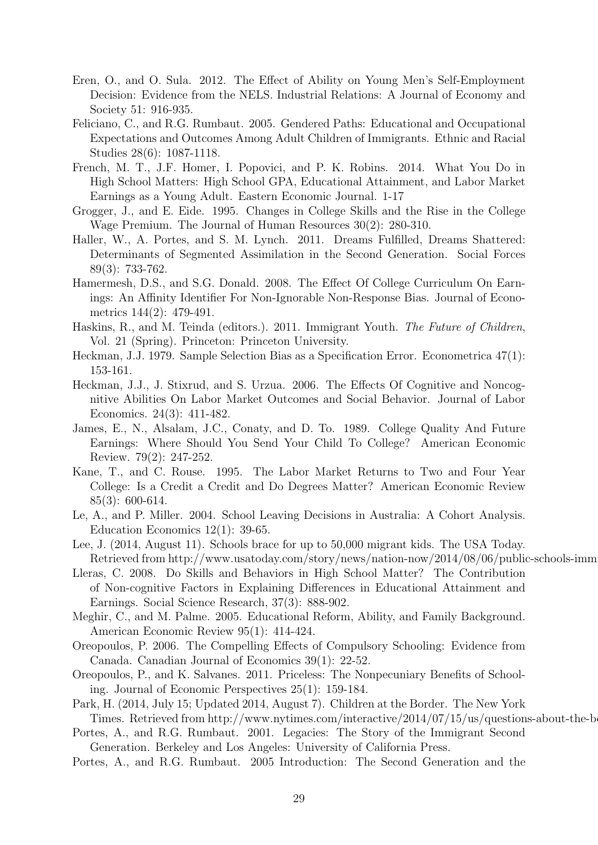- Eren, O., and O. Sula. 2012. The Effect of Ability on Young Men's Self-Employment Decision: Evidence from the NELS. Industrial Relations: A Journal of Economy and Society 51: 916-935.
- Feliciano, C., and R.G. Rumbaut. 2005. Gendered Paths: Educational and Occupational Expectations and Outcomes Among Adult Children of Immigrants. Ethnic and Racial Studies 28(6): 1087-1118.
- French, M. T., J.F. Homer, I. Popovici, and P. K. Robins. 2014. What You Do in High School Matters: High School GPA, Educational Attainment, and Labor Market Earnings as a Young Adult. Eastern Economic Journal. 1-17
- Grogger, J., and E. Eide. 1995. Changes in College Skills and the Rise in the College Wage Premium. The Journal of Human Resources 30(2): 280-310.
- Haller, W., A. Portes, and S. M. Lynch. 2011. Dreams Fulfilled, Dreams Shattered: Determinants of Segmented Assimilation in the Second Generation. Social Forces 89(3): 733-762.
- Hamermesh, D.S., and S.G. Donald. 2008. The Effect Of College Curriculum On Earnings: An Affinity Identifier For Non-Ignorable Non-Response Bias. Journal of Econometrics 144(2): 479-491.
- Haskins, R., and M. Teinda (editors.). 2011. Immigrant Youth. *The Future of Children*, Vol. 21 (Spring). Princeton: Princeton University.
- Heckman, J.J. 1979. Sample Selection Bias as a Specification Error. Econometrica 47(1): 153-161.
- Heckman, J.J., J. Stixrud, and S. Urzua. 2006. The Effects Of Cognitive and Noncognitive Abilities On Labor Market Outcomes and Social Behavior. Journal of Labor Economics. 24(3): 411-482.
- James, E., N., Alsalam, J.C., Conaty, and D. To. 1989. College Quality And Future Earnings: Where Should You Send Your Child To College? American Economic Review. 79(2): 247-252.
- Kane, T., and C. Rouse. 1995. The Labor Market Returns to Two and Four Year College: Is a Credit a Credit and Do Degrees Matter? American Economic Review 85(3): 600-614.
- Le, A., and P. Miller. 2004. School Leaving Decisions in Australia: A Cohort Analysis. Education Economics 12(1): 39-65.
- Lee, J. (2014, August 11). Schools brace for up to 50,000 migrant kids. The USA Today. Retrieved from http://www.usatoday.com/story/news/nation-now/2014/08/06/public-schools-imm
- Lleras, C. 2008. Do Skills and Behaviors in High School Matter? The Contribution of Non-cognitive Factors in Explaining Differences in Educational Attainment and Earnings. Social Science Research, 37(3): 888-902.
- Meghir, C., and M. Palme. 2005. Educational Reform, Ability, and Family Background. American Economic Review 95(1): 414-424.
- Oreopoulos, P. 2006. The Compelling Effects of Compulsory Schooling: Evidence from Canada. Canadian Journal of Economics 39(1): 22-52.
- Oreopoulos, P., and K. Salvanes. 2011. Priceless: The Nonpecuniary Benefits of Schooling. Journal of Economic Perspectives 25(1): 159-184.
- Park, H. (2014, July 15; Updated 2014, August 7). Children at the Border. The New York Times. Retrieved from http://www.nytimes.com/interactive/2014/07/15/us/questions-about-the-b
- Portes, A., and R.G. Rumbaut. 2001. Legacies: The Story of the Immigrant Second Generation. Berkeley and Los Angeles: University of California Press.
- Portes, A., and R.G. Rumbaut. 2005 Introduction: The Second Generation and the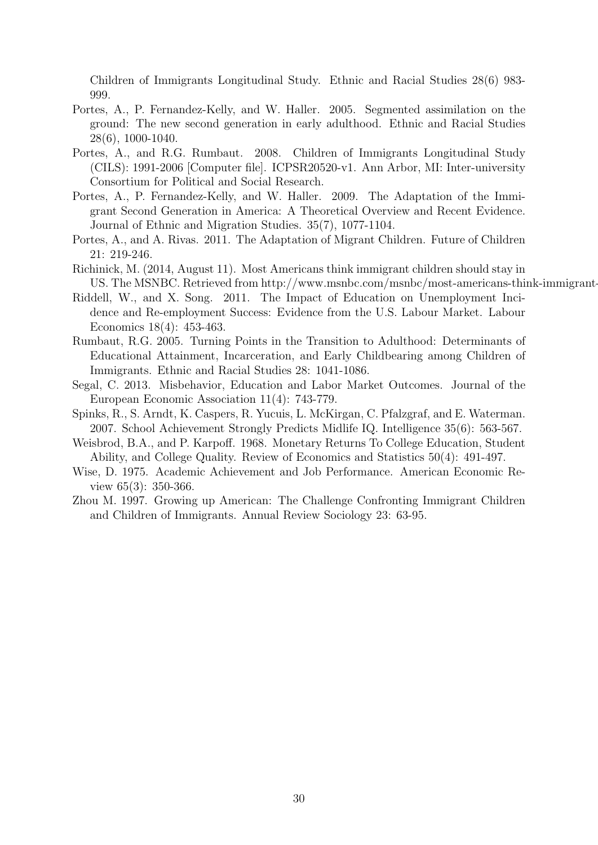Children of Immigrants Longitudinal Study. Ethnic and Racial Studies 28(6) 983- 999.

- Portes, A., P. Fernandez-Kelly, and W. Haller. 2005. Segmented assimilation on the ground: The new second generation in early adulthood. Ethnic and Racial Studies 28(6), 1000-1040.
- Portes, A., and R.G. Rumbaut. 2008. Children of Immigrants Longitudinal Study (CILS): 1991-2006 [Computer file]. ICPSR20520-v1. Ann Arbor, MI: Inter-university Consortium for Political and Social Research.
- Portes, A., P. Fernandez-Kelly, and W. Haller. 2009. The Adaptation of the Immigrant Second Generation in America: A Theoretical Overview and Recent Evidence. Journal of Ethnic and Migration Studies. 35(7), 1077-1104.
- Portes, A., and A. Rivas. 2011. The Adaptation of Migrant Children. Future of Children 21: 219-246.
- Richinick, M. (2014, August 11). Most Americans think immigrant children should stay in US. The MSNBC. Retrieved from http://www.msnbc.com/msnbc/most-americans-think-immigrant-
- Riddell, W., and X. Song. 2011. The Impact of Education on Unemployment Incidence and Re-employment Success: Evidence from the U.S. Labour Market. Labour Economics 18(4): 453-463.
- Rumbaut, R.G. 2005. Turning Points in the Transition to Adulthood: Determinants of Educational Attainment, Incarceration, and Early Childbearing among Children of Immigrants. Ethnic and Racial Studies 28: 1041-1086.
- Segal, C. 2013. Misbehavior, Education and Labor Market Outcomes. Journal of the European Economic Association 11(4): 743-779.
- Spinks, R., S. Arndt, K. Caspers, R. Yucuis, L. McKirgan, C. Pfalzgraf, and E. Waterman. 2007. School Achievement Strongly Predicts Midlife IQ. Intelligence 35(6): 563-567.
- Weisbrod, B.A., and P. Karpoff. 1968. Monetary Returns To College Education, Student Ability, and College Quality. Review of Economics and Statistics 50(4): 491-497.
- Wise, D. 1975. Academic Achievement and Job Performance. American Economic Review 65(3): 350-366.
- Zhou M. 1997. Growing up American: The Challenge Confronting Immigrant Children and Children of Immigrants. Annual Review Sociology 23: 63-95.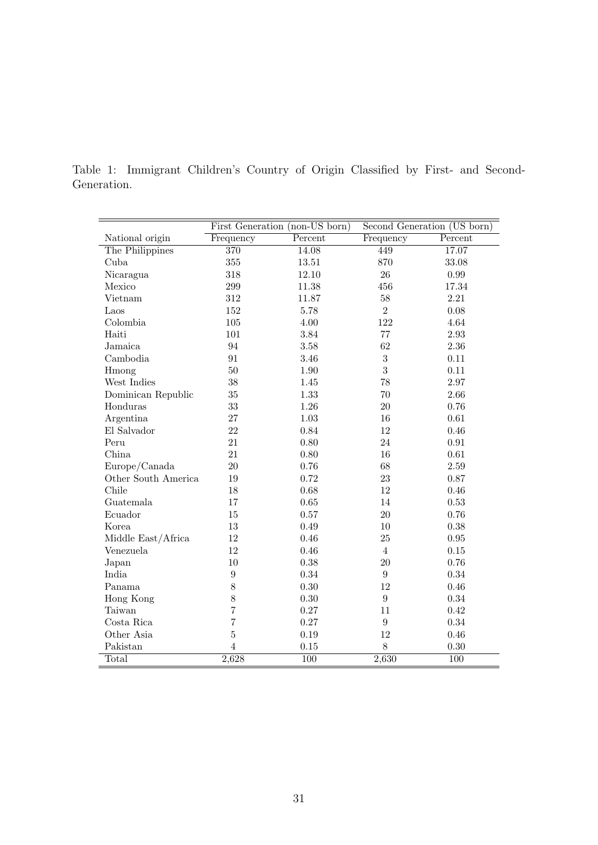|                     |                  | First Generation (non-US born) |                  | Second Generation (US born) |
|---------------------|------------------|--------------------------------|------------------|-----------------------------|
| National origin     | Frequency        | Percent                        | Frequency        | Percent                     |
| The Philippines     | 370              | 14.08                          | 449              | 17.07                       |
| Cuba                | $355\,$          | 13.51                          | 870              | 33.08                       |
| Nicaragua           | 318              | 12.10                          | 26               | 0.99                        |
| Mexico              | $\,299$          | 11.38                          | 456              | $17.34\,$                   |
| Vietnam             | $312\,$          | 11.87                          | 58               | $2.21\,$                    |
| Laos                | 152              | 5.78                           | $\overline{2}$   | 0.08                        |
| Colombia            | $105\,$          | 4.00                           | 122              | 4.64                        |
| Haiti               | 101              | 3.84                           | 77               | 2.93                        |
| Jamaica             | 94               | 3.58                           | 62               | 2.36                        |
| Cambodia            | 91               | 3.46                           | $\sqrt{3}$       | 0.11                        |
| Hmong               | 50               | 1.90                           | 3                | 0.11                        |
| West Indies         | 38               | 1.45                           | 78               | $2.97\,$                    |
| Dominican Republic  | $35\,$           | 1.33                           | 70               | 2.66                        |
| Honduras            | $33\,$           | 1.26                           | 20               | 0.76                        |
| Argentina           | 27               | 1.03                           | 16               | 0.61                        |
| El Salvador         | 22               | 0.84                           | 12               | 0.46                        |
| Peru                | 21               | 0.80                           | 24               | 0.91                        |
| China               | 21               | 0.80                           | 16               | 0.61                        |
| Europe/Canada       | 20               | 0.76                           | 68               | 2.59                        |
| Other South America | 19               | 0.72                           | 23               | 0.87                        |
| Chile               | 18               | 0.68                           | 12               | 0.46                        |
| Guatemala           | 17               | 0.65                           | 14               | 0.53                        |
| Ecuador             | 15               | 0.57                           | 20               | 0.76                        |
| Korea               | 13               | 0.49                           | 10               | 0.38                        |
| Middle East/Africa  | 12               | 0.46                           | 25               | 0.95                        |
| Venezuela           | 12               | 0.46                           | $\overline{4}$   | 0.15                        |
| Japan               | 10               | 0.38                           | 20               | 0.76                        |
| India               | $\boldsymbol{9}$ | 0.34                           | $\boldsymbol{9}$ | 0.34                        |
| Panama              | 8                | 0.30                           | 12               | 0.46                        |
| Hong Kong           | 8                | 0.30                           | $\boldsymbol{9}$ | 0.34                        |
| Taiwan              | 7                | 0.27                           | 11               | 0.42                        |
| Costa Rica          | 7                | 0.27                           | $\boldsymbol{9}$ | 0.34                        |
| Other Asia          | $\overline{5}$   | 0.19                           | 12               | 0.46                        |
| Pakistan            | $\overline{4}$   | 0.15                           | 8                | 0.30                        |
| Total               | 2,628            | 100                            | 2,630            | 100                         |

Table 1: Immigrant Children's Country of Origin Classified by First- and Second-Generation.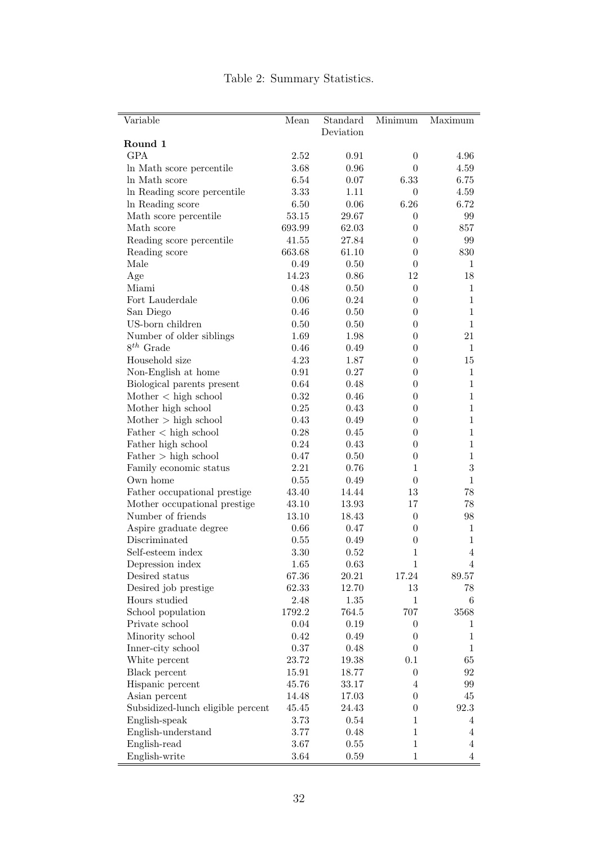| Variable                          | Mean   | Standard  | Minimum          | Maximum        |
|-----------------------------------|--------|-----------|------------------|----------------|
|                                   |        | Deviation |                  |                |
| Round 1                           |        |           |                  |                |
| <b>GPA</b>                        | 2.52   | 0.91      | $\overline{0}$   | 4.96           |
| In Math score percentile          | 3.68   | 0.96      | $\theta$         | 4.59           |
| In Math score                     | 6.54   | 0.07      | 6.33             | 6.75           |
| In Reading score percentile       | 3.33   | 1.11      | $\theta$         | 4.59           |
| In Reading score                  | 6.50   | 0.06      | 6.26             | 6.72           |
| Math score percentile             | 53.15  | 29.67     | $\theta$         | 99             |
| Math score                        | 693.99 | 62.03     | $\overline{0}$   | 857            |
| Reading score percentile          | 41.55  | 27.84     | $\theta$         | 99             |
| Reading score                     | 663.68 | 61.10     | $\theta$         | 830            |
| Male                              | 0.49   | 0.50      | $\theta$         | 1              |
| Age                               | 14.23  | 0.86      | 12               | 18             |
| Miami                             | 0.48   | 0.50      | $\overline{0}$   | $\mathbf{1}$   |
| Fort Lauderdale                   | 0.06   | 0.24      | $\boldsymbol{0}$ | $\mathbf{1}$   |
| San Diego                         | 0.46   | 0.50      | $\theta$         | $\mathbf{1}$   |
| US-born children                  | 0.50   | 0.50      | $\theta$         | $\mathbf{1}$   |
| Number of older siblings          | 1.69   | 1.98      | $\theta$         | 21             |
| $8^{th}$ Grade                    | 0.46   | 0.49      | $\theta$         | $\mathbf{1}$   |
| Household size                    | 4.23   | 1.87      | $\overline{0}$   | 15             |
| Non-English at home               | 0.91   | 0.27      | $\theta$         | $\mathbf{1}$   |
| Biological parents present        | 0.64   | 0.48      | $\theta$         | $\mathbf{1}$   |
| Mother < high school              | 0.32   | 0.46      | $\theta$         | $\mathbf{1}$   |
| Mother high school                | 0.25   | 0.43      | $\theta$         | $\mathbf{1}$   |
| Mother > high school              | 0.43   | 0.49      | $\theta$         | $\mathbf{1}$   |
| Father < high school              | 0.28   | 0.45      | $\overline{0}$   | $\mathbf{1}$   |
| Father high school                | 0.24   | 0.43      | $\boldsymbol{0}$ | $\mathbf{1}$   |
| Father > high school              | 0.47   | 0.50      | $\boldsymbol{0}$ | $\mathbf{1}$   |
| Family economic status            | 2.21   | 0.76      | 1                | $\sqrt{3}$     |
| Own home                          | 0.55   | 0.49      | $\boldsymbol{0}$ | $\mathbf{1}$   |
| Father occupational prestige      | 43.40  | 14.44     | 13               | $78\,$         |
| Mother occupational prestige      | 43.10  | 13.93     | 17               | $78\,$         |
| Number of friends                 | 13.10  | 18.43     | $\boldsymbol{0}$ | 98             |
| Aspire graduate degree            | 0.66   | 0.47      | $\overline{0}$   | $\mathbf{1}$   |
| Discriminated                     | 0.55   | 0.49      | $\boldsymbol{0}$ | $\mathbf{1}$   |
| Self-esteem index                 | 3.30   | 0.52      | $\mathbf 1$      | $\overline{4}$ |
| Depression index                  | 1.65   | 0.63      | $\overline{1}$   | $\overline{4}$ |
| Desired status                    | 67.36  | 20.21     | 17.24            | 89.57          |
| Desired job prestige              | 62.33  | 12.70     | 13               | 78             |
| Hours studied                     | 2.48   | 1.35      | 1                | 6              |
| School population                 | 1792.2 | 764.5     | 707              | 3568           |
| Private school                    | 0.04   | 0.19      | $\theta$         | 1              |
| Minority school                   | 0.42   | 0.49      | $\overline{0}$   | $\mathbf{1}$   |
| Inner-city school                 | 0.37   | 0.48      | 0                | $\mathbf{1}$   |
| White percent                     | 23.72  | 19.38     | 0.1              | 65             |
| Black percent                     | 15.91  | 18.77     | $\boldsymbol{0}$ | $92\,$         |
| Hispanic percent                  | 45.76  | 33.17     | $\overline{4}$   | 99             |
| Asian percent                     | 14.48  | 17.03     | $\theta$         | $45\,$         |
| Subsidized-lunch eligible percent | 45.45  | 24.43     | $\boldsymbol{0}$ | 92.3           |
| English-speak                     | 3.73   | 0.54      | 1                | 4              |
| English-understand                | 3.77   | 0.48      | $\mathbf 1$      | $\overline{4}$ |
| English-read                      | 3.67   | 0.55      | $\mathbf{1}$     | $\overline{4}$ |
| English-write                     | 3.64   | 0.59      | $\mathbf 1$      | $\overline{4}$ |

# Table 2: Summary Statistics.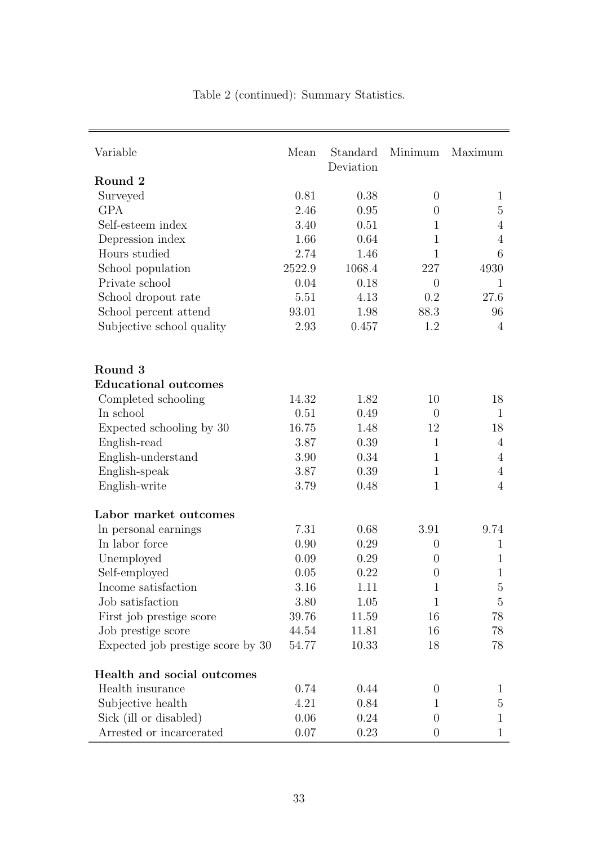| Variable                          | Mean   | Standard<br>Deviation | Minimum          | Maximum          |
|-----------------------------------|--------|-----------------------|------------------|------------------|
| Round 2                           |        |                       |                  |                  |
| Surveyed                          | 0.81   | 0.38                  | $\overline{0}$   | $\mathbf{1}$     |
| <b>GPA</b>                        | 2.46   | 0.95                  | $\overline{0}$   | 5                |
| Self-esteem index                 | 3.40   | 0.51                  | $\mathbf{1}$     | 4                |
| Depression index                  | 1.66   | 0.64                  | 1                | 4                |
| Hours studied                     | 2.74   | 1.46                  | $\mathbf{1}$     | 6                |
| School population                 | 2522.9 | 1068.4                | 227              | 4930             |
| Private school                    | 0.04   | 0.18                  | $\theta$         | 1                |
| School dropout rate               | 5.51   | 4.13                  | 0.2              | 27.6             |
| School percent attend             | 93.01  | 1.98                  | 88.3             | 96               |
| Subjective school quality         | 2.93   | 0.457                 | 1.2              | $\overline{4}$   |
| Round 3                           |        |                       |                  |                  |
| <b>Educational outcomes</b>       |        |                       |                  |                  |
| Completed schooling               | 14.32  | 1.82                  | 10               | 18               |
| In school                         | 0.51   | 0.49                  | $\overline{0}$   | $\mathbf{1}$     |
| Expected schooling by 30          | 16.75  | 1.48                  | 12               | 18               |
| English-read                      | 3.87   | 0.39                  | $\mathbf{1}$     | 4                |
| English-understand                | 3.90   | 0.34                  | $\mathbf{1}$     | 4                |
| English-speak                     | 3.87   | 0.39                  | $\mathbf{1}$     | 4                |
| English-write                     | 3.79   | 0.48                  | 1                | $\overline{4}$   |
| Labor market outcomes             |        |                       |                  |                  |
| In personal earnings              | 7.31   | 0.68                  | 3.91             | 9.74             |
| In labor force                    | 0.90   | 0.29                  | $\boldsymbol{0}$ | $\mathbf{1}$     |
| Unemployed                        | 0.09   | 0.29                  | $\theta$         | 1                |
| Self-employed                     | 0.05   | 0.22                  | $\boldsymbol{0}$ | 1                |
| Income satisfaction               | 3.16   | 1.11                  | 1                | $\mathbf 5$      |
| Job satisfaction                  | 3.80   | 1.05                  | $\mathbf{1}$     | $\mathbf 5$      |
| First job prestige score          | 39.76  | 11.59                 | 16               | 78               |
| Job prestige score                | 44.54  | 11.81                 | 16               | 78               |
| Expected job prestige score by 30 | 54.77  | 10.33                 | 18               | 78               |
| Health and social outcomes        |        |                       |                  |                  |
| Health insurance                  | 0.74   | 0.44                  | $\boldsymbol{0}$ | $\mathbf 1$      |
| Subjective health                 | 4.21   | 0.84                  | 1                | 5                |
| Sick (ill or disabled)            | 0.06   | 0.24                  | 0                | $\mathbf 1$<br>1 |
| Arrested or incarcerated          | 0.07   | 0.23                  | $\theta$         |                  |

Table 2 (continued): Summary Statistics.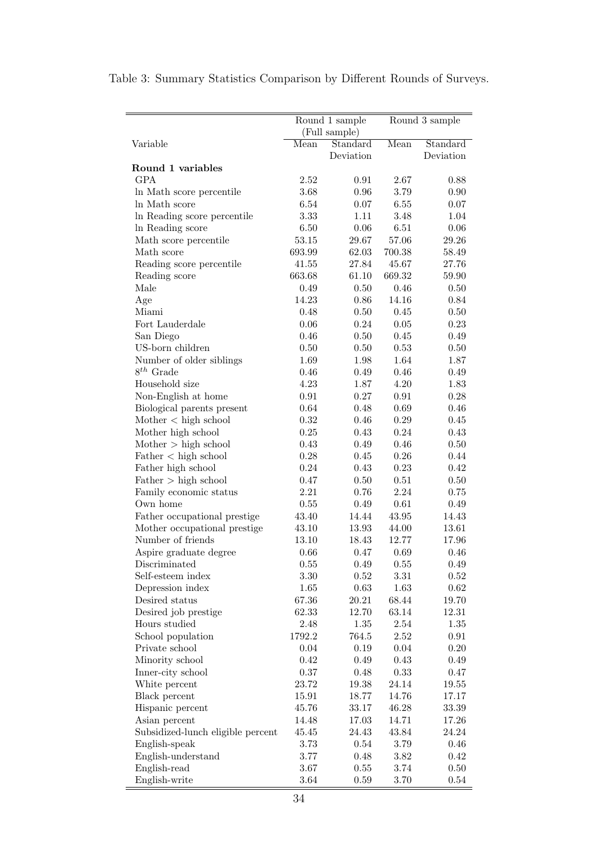|                                      |           | Round 1 sample |          | Round 3 sample |
|--------------------------------------|-----------|----------------|----------|----------------|
|                                      |           | (Full sample)  |          |                |
| Variable                             | Mean      | Standard       | Mean     | Standard       |
|                                      |           | Deviation      |          | Deviation      |
| Round 1 variables                    |           |                |          |                |
| <b>GPA</b>                           | 2.52      | 0.91           | 2.67     | 0.88           |
| In Math score percentile             | 3.68      | 0.96           | 3.79     | 0.90           |
| In Math score                        | 6.54      | 0.07           | 6.55     | 0.07           |
| In Reading score percentile          | 3.33      | 1.11           | 3.48     | 1.04           |
| In Reading score                     | 6.50      | 0.06           | 6.51     | $0.06\,$       |
| Math score percentile                | 53.15     | 29.67          | 57.06    | 29.26          |
| Math score                           | 693.99    | 62.03          | 700.38   | 58.49          |
| Reading score percentile             | 41.55     | 27.84          | 45.67    | 27.76          |
| Reading score                        | 663.68    | 61.10          | 669.32   | 59.90          |
| Male                                 | 0.49      | 0.50           | 0.46     | 0.50           |
| Age                                  | 14.23     | 0.86           | 14.16    | 0.84           |
| Miami                                | 0.48      | 0.50           | 0.45     | 0.50           |
| Fort Lauderdale                      | 0.06      | 0.24           | 0.05     | 0.23           |
| San Diego                            | 0.46      | 0.50           | 0.45     | 0.49           |
| US-born children                     | 0.50      | 0.50           | 0.53     | 0.50           |
| Number of older siblings             | 1.69      | 1.98           | 1.64     | 1.87           |
| $8^{th}$ Grade                       | 0.46      | 0.49           | 0.46     | 0.49           |
| Household size                       | 4.23      | 1.87           | 4.20     | 1.83           |
| Non-English at home                  | 0.91      | 0.27           | 0.91     | 0.28           |
| Biological parents present           | 0.64      | 0.48           | 0.69     | 0.46           |
| $\text{Mother} < \text{high school}$ | 0.32      | 0.46           | 0.29     | 0.45           |
| Mother high school                   | 0.25      | 0.43           | 0.24     | 0.43           |
| Mother > high school                 | 0.43      | 0.49           | 0.46     | 0.50           |
| Father < high school                 | 0.28      | 0.45           | 0.26     | 0.44           |
| Father high school                   | 0.24      | 0.43           | 0.23     | 0.42           |
| Father > high school                 | 0.47      | 0.50           | 0.51     | 0.50           |
| Family economic status               | 2.21      | 0.76           | 2.24     | 0.75           |
| Own home                             | 0.55      | 0.49           | 0.61     | 0.49           |
| Father occupational prestige         | $43.40\,$ | 14.44          | 43.95    | 14.43          |
| Mother occupational prestige         | 43.10     | 13.93          | 44.00    | 13.61          |
| Number of friends                    | 13.10     | 18.43          | 12.77    | 17.96          |
| Aspire graduate degree               | 0.66      | 0.47           | 0.69     | 0.46           |
| Discriminated                        | 0.55      | 0.49           | $0.55\,$ | 0.49           |
| Self-esteem index                    | 3.30      | 0.52           | 3.31     | 0.52           |
| Depression index                     | 1.65      | 0.63           | 1.63     | 0.62           |
| Desired status                       | 67.36     | 20.21          | 68.44    | 19.70          |
| Desired job prestige                 | 62.33     | 12.70          | 63.14    | 12.31          |
| Hours studied                        | 2.48      | 1.35           | 2.54     | 1.35           |
| School population                    | 1792.2    | 764.5          | 2.52     | 0.91           |
| Private school                       | 0.04      | 0.19           | 0.04     | 0.20           |
| Minority school                      | 0.42      | 0.49           | 0.43     | 0.49           |
| Inner-city school                    | 0.37      | 0.48           | 0.33     | 0.47           |
| White percent                        | 23.72     | 19.38          | 24.14    | 19.55          |
| Black percent                        | 15.91     | 18.77          | 14.76    | 17.17          |
| Hispanic percent                     | 45.76     | 33.17          | 46.28    | 33.39          |
| Asian percent                        | 14.48     | 17.03          | 14.71    | 17.26          |
| Subsidized-lunch eligible percent    | 45.45     | 24.43          | 43.84    | 24.24          |
| English-speak                        | 3.73      | 0.54           | 3.79     | 0.46           |
| English-understand                   | $3.77\,$  | 0.48           | 3.82     | 0.42           |
| English-read                         | 3.67      | $0.55\,$       | 3.74     | 0.50           |
| English-write                        | 3.64      | 0.59           | $3.70\,$ | 0.54           |

# Table 3: Summary Statistics Comparison by Different Rounds of Surveys.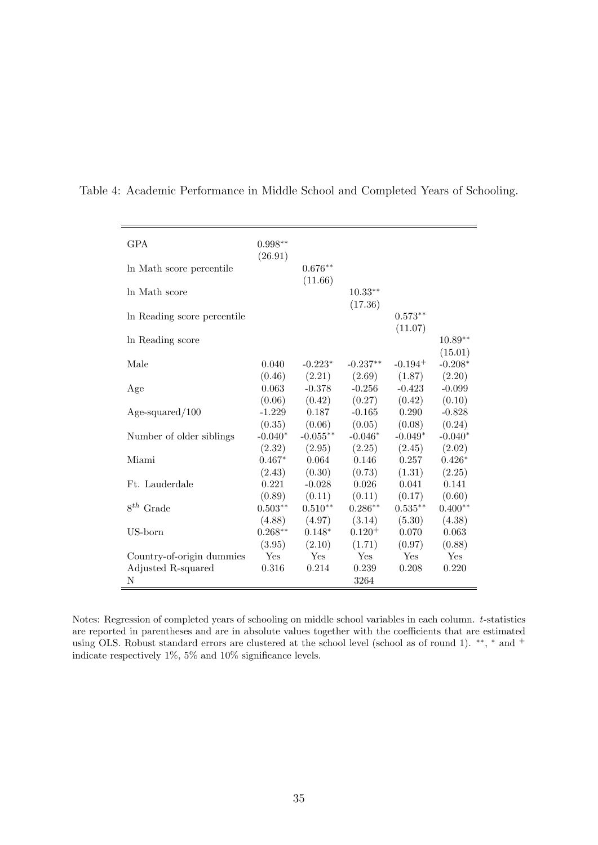| <b>GPA</b>                  | $0.998**$<br>(26.91) |                      |                       |                       |                      |
|-----------------------------|----------------------|----------------------|-----------------------|-----------------------|----------------------|
| In Math score percentile    |                      | $0.676**$<br>(11.66) |                       |                       |                      |
| ln Math score               |                      |                      | $10.33***$<br>(17.36) |                       |                      |
| In Reading score percentile |                      |                      |                       | $0.573**$<br>(11.07)  |                      |
| In Reading score            |                      |                      |                       |                       | $10.89**$<br>(15.01) |
| Male                        | 0.040<br>(0.46)      | $-0.223*$<br>(2.21)  | $-0.237**$<br>(2.69)  | $-0.194$ <sup>+</sup> | $-0.208*$            |
| Age                         | 0.063                | $-0.378$             | $-0.256$              | (1.87)<br>$-0.423$    | (2.20)<br>$-0.099$   |
| $Age$ -squared/100          | (0.06)<br>$-1.229$   | (0.42)<br>0.187      | (0.27)<br>$-0.165$    | (0.42)<br>0.290       | (0.10)<br>$-0.828$   |
| Number of older siblings    | (0.35)<br>$-0.040*$  | (0.06)<br>$-0.055**$ | (0.05)<br>$-0.046*$   | (0.08)<br>$-0.049*$   | (0.24)<br>$-0.040*$  |
| Miami                       | (2.32)<br>$0.467*$   | (2.95)<br>0.064      | (2.25)<br>0.146       | (2.45)<br>0.257       | (2.02)<br>$0.426*$   |
| Ft. Lauderdale              | (2.43)<br>0.221      | (0.30)<br>$-0.028$   | (0.73)<br>0.026       | (1.31)<br>0.041       | (2.25)<br>0.141      |
| $8^{th}$ Grade              | (0.89)<br>$0.503**$  | (0.11)<br>$0.510**$  | (0.11)<br>$0.286**$   | (0.17)<br>$0.535**$   | (0.60)<br>$0.400**$  |
| US-born                     | (4.88)<br>$0.268**$  | (4.97)<br>$0.148*$   | (3.14)<br>$0.120^{+}$ | (5.30)<br>0.070       | (4.38)<br>0.063      |
| Country-of-origin dummies   | (3.95)<br>Yes        | (2.10)<br>Yes        | (1.71)<br>Yes         | (0.97)<br>Yes         | (0.88)<br>Yes        |
| Adjusted R-squared<br>N     | 0.316                | 0.214                | 0.239<br>3264         | 0.208                 | 0.220                |

Table 4: Academic Performance in Middle School and Completed Years of Schooling.

Notes: Regression of completed years of schooling on middle school variables in each column. *t*-statistics are reported in parentheses and are in absolute values together with the coefficients that are estimated using OLS. Robust standard errors are clustered at the school level (school as of round 1). <sup>\*\*</sup>, <sup>\*</sup> and <sup>+</sup> indicate respectively 1%, 5% and 10% significance levels.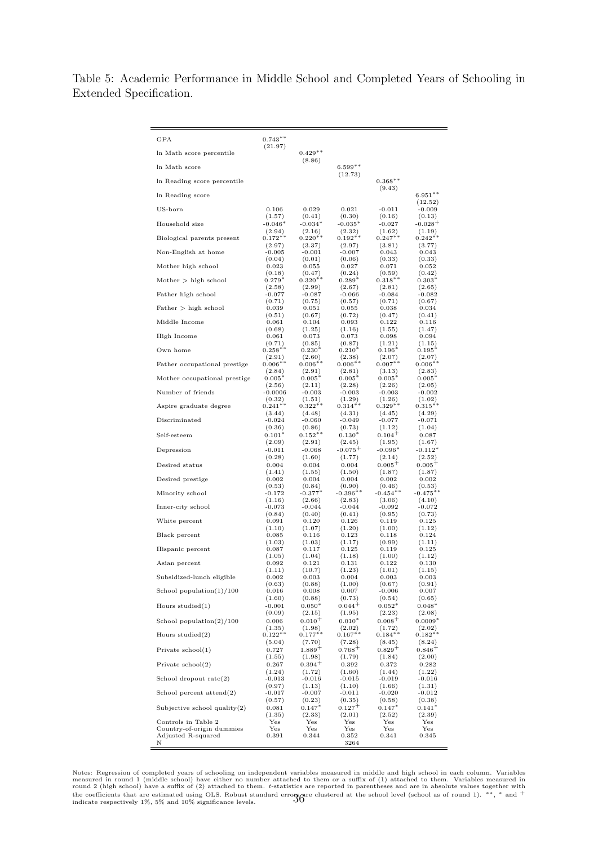Table 5: Academic Performance in Middle School and Completed Years of Schooling in Extended Specification.

| GPA                               | $0.743**$<br>(21.97)           |                          |                          |                          |                          |
|-----------------------------------|--------------------------------|--------------------------|--------------------------|--------------------------|--------------------------|
| In Math score percentile          |                                | $0.429**$                |                          |                          |                          |
| In Math score                     |                                | (8.86)                   | $6.599**$                |                          |                          |
| In Reading score percentile       |                                |                          | (12.73)                  | $0.368**$                |                          |
| In Reading score                  |                                |                          |                          | (9.43)                   | $6.951**$                |
| US-born                           | 0.106                          | 0.029                    | 0.021                    | $-0.011$                 | (12.52)<br>$-0.009$      |
| Household size                    | (1.57)                         | (0.41)                   | (0.30)                   | (0.16)                   | (0.13)                   |
|                                   | $-0.046*$                      | $-0.034*$                | $-0.035*$                | $-0.027$                 | $-0.028$ <sup>+</sup>    |
| Biological parents present        | (2.94)                         | (2.16)                   | (2.32)                   | (1.62)                   | (1.19)                   |
|                                   | $0.172**$                      | $0.220**$                | $0.192**$                | $0.247**$                | $0.242**$                |
| Non-English at home               | (2.97)                         | (3.37)                   | (2.97)                   | (3.81)                   | (3.77)                   |
|                                   | $-0.005$                       | $-0.001$                 | $-0.007$                 | 0.043                    | 0.043                    |
| Mother high school                | (0.04)                         | (0.01)                   | (0.06)                   | (0.33)                   | (0.33)                   |
|                                   | 0.023                          | 0.055                    | 0.027                    | 0.071                    | 0.052                    |
| Mother > high school              | (0.18)                         | (0.47)                   | (0.24)                   | (0.59)                   | (0.42)                   |
|                                   | $0.279*$                       | $0.320**$                | $0.289*$                 | $0.318**$                | $0.303^{*}$              |
| Father high school                | (2.58)                         | (2.99)                   | (2.67)                   | (2.81)                   | (2.65)                   |
|                                   | $-0.077$                       | $-0.087$                 | $-0.066$                 | $-0.084$                 | $-0.082$                 |
| Father > high school              | (0.71)                         | (0.75)                   | (0.57)                   | (0.71)                   | (0.67)                   |
|                                   | 0.039                          | 0.051                    | 0.055                    | 0.038                    | 0.034                    |
| Middle Income                     | (0.51)                         | (0.67)                   | (0.72)                   | (0.47)                   | (0.41)                   |
|                                   | 0.061                          | 0.104                    | 0.093                    | 0.122                    | 0.116                    |
| High Income                       | (0.68)                         | (1.25)                   | (1.16)                   | (1.55)                   | (1.47)                   |
|                                   | 0.061                          | 0.073                    | 0.073                    | 0.098                    | 0.094                    |
| Own home                          | (0.71)                         | (0.85)                   | (0.87)                   | (1.21)                   | (1.15)                   |
|                                   | $0.258***$                     | $0.230*$                 | $0.210*$                 | $0.196*$                 | $0.195*$                 |
| Father occupational prestige      | (2.91)                         | (2.60)                   | (2.38)                   | (2.07)                   | (2.07)                   |
|                                   | $0.006**$                      | $0.006**$                | $0.006**$                | $0.007***$               | $0.006**$                |
| Mother occupational prestige      | (2.84)                         | (2.91)                   | (2.81)                   | (3.13)                   | (2.83)                   |
|                                   | $0.005*$                       | $0.005*$                 | $0.005*$                 | $0.005*$                 | $0.005*$                 |
| Number of friends                 | (2.56)                         | (2.11)                   | (2.28)                   | (2.26)                   | (2.05)                   |
|                                   | $-0.0006$                      | $-0.003$                 | $-0.003$                 | $-0.003$                 | $-0.002$                 |
| Aspire graduate degree            | (0.32)                         | (1.51)                   | (1.29)                   | (1.26)                   | (1.02)                   |
|                                   | $0.241**$                      | $0.322**$                | $0.314**$                | $0.329**$                | $0.315**$                |
| Discriminated                     | (3.44)                         | (4.48)                   | (4.31)                   | (4.45)                   | (4.29)                   |
|                                   | $-0.024$                       | $-0.060$                 | $-0.049$                 | $-0.077$                 | $-0.071$                 |
| Self-esteem                       | (0.36)                         | (0.86)                   | (0.73)                   | (1.12)                   | (1.04)                   |
|                                   | $0.101*$                       | $0.152**$                | $0.130*$                 | $0.104+$                 | 0.087                    |
| Depression                        | (2.09)                         | (2.91)                   | (2.45)                   | (1.95)                   | (1.67)                   |
|                                   | $-0.011$                       | $-0.068$                 | $-0.075^{+}$             | $-0.096*$                | $-0.112*$                |
| Desired status                    | (0.28)                         | (1.60)                   | (1.77)                   | (2.14)                   | (2.52)                   |
|                                   | 0.004                          | 0.004                    | 0.004                    | $0.005+$                 | $0.005^+$                |
| Desired prestige                  | (1.41)                         | (1.55)                   | (1.50)                   | (1.87)                   | (1.87)                   |
|                                   | 0.002                          | 0.004                    | 0.004                    | 0.002                    | 0.002                    |
| Minority school                   | (0.53)                         | (0.84)<br>$-0.377*$      | (0.90)<br>$-0.396**$     | (0.46)<br>$-0.454**$     | (0.53)<br>$-0.475**$     |
| Inner-city school                 | $-0.172$<br>(1.16)<br>$-0.073$ | (2.66)<br>$-0.044$       | (2.83)<br>-0.044         | (3.06)<br>$-0.092$       | (4.10)<br>$-0.072$       |
|                                   | (0.84)                         | (0.40)                   | (0.41)                   | (0.95)<br>0.119          | (0.73)                   |
| White percent                     | 0.091<br>(1.10)                | 0.120<br>(1.07)<br>0.116 | 0.126<br>(1.20)          | (1.00)                   | 0.125<br>(1.12)          |
| Black percent                     | 0.085<br>(1.03)                | (1.03)<br>0.117          | 0.123<br>(1.17)<br>0.125 | 0.118<br>(0.99)<br>0.119 | 0.124<br>(1.11)<br>0.125 |
| Hispanic percent                  | 0.087<br>(1.05)                | (1.04)                   | (1.18)                   | (1.00)<br>0.122          | (1.12)                   |
| Asian percent                     | 0.092<br>(1.11)                | 0.121<br>(10.7)          | 0.131<br>(1.23)          | (1.01)                   | 0.130<br>(1.15)          |
| Subsidized-lunch eligible         | 0.002                          | 0.003                    | 0.004                    | 0.003                    | 0.003                    |
|                                   | (0.63)                         | (0.88)                   | (1.00)                   | (0.67)                   | (0.91)                   |
| School population $(1)/100$       | 0.016                          | 0.008                    | 0.007                    | $-0.006$                 | 0.007                    |
|                                   | (1.60)                         | (0.88)                   | (0.73)                   | (0.54)                   | (0.65)                   |
| Hours studied $(1)$               | $-0.001$                       | $0.050*$                 | $0.044^{+}$              | $0.052*$                 | $0.048*$                 |
|                                   | (0.09)                         | (2.15)                   | (1.95)                   | (2.23)                   | (2.08)                   |
| School population $(2)/100$       | 0.006                          | $0.010^{+}$              | $0.010*$                 | $0.008 +$                | $0.0009*$                |
|                                   | (1.35)                         | (1.98)                   | (2.02)                   | (1.72)                   | (2.02)                   |
| Hours studied $(2)$               | $0.122**$                      | $0.177***$               | $0.167**$                | $0.184**$                | $0.182**$                |
|                                   | (5.04)                         | (7.70)                   | (7.28)                   | (8.45)                   | (8.24)                   |
| Private $\rm school(1)$           | 0.727                          | $1.889+$                 | $0.768 +$                | $0.829 +$                | $0.846 +$                |
|                                   | (1.55)                         | (1.98)                   | (1.79)                   | (1.84)                   | (2.00)                   |
| Private $\text{school}(2)$        | 0.267                          | $0.394 +$                | 0.392                    | 0.372                    | 0.282                    |
|                                   | (1.24)                         | (1.72)                   | (1.60)                   | (1.44)                   | (1.22)                   |
| School dropout $rate(2)$          | $-0.013$                       | $-0.016$                 | $-0.015$                 | $-0.019$                 | $-0.016$                 |
|                                   | (0.97)                         | (1.13)                   | (1.10)                   | (1.66)                   | (1.31)                   |
| School percent $\text{attend}(2)$ | $-0.017$                       | $-0.007$                 | $-0.011$                 | $-0.020$                 | $-0.012$                 |
|                                   | (0.57)                         | (0.23)                   | (0.35)                   | (0.58)                   | (0.38)                   |
| Subjective school quality $(2)$   | 0.081                          | $0.147*$                 | $0.127^{+}$              | $0.147*$                 | $0.141*$                 |
|                                   | (1.35)                         | (2.33)                   | (2.01)                   | (2.52)                   | (2.39)                   |
| Controls in Table 2               | $_{\rm Yes}$                   | Yes                      | $_{\rm Yes}$             | $_{\rm Yes}$             | $_{\rm Yes}$             |
| Country-of-origin dummies         | Yes                            | $_{\rm Yes}$             | $_{\rm Yes}$             | $_{\rm Yes}$             | Yes                      |
| Adjusted R-squared<br>Ν           | $_{0.391}$                     | 0.344                    | 0.352<br>3264            | 0.341                    | 0.345                    |

Notes: Regression of completed years of schooling on independent variables measured in middle and high school in each column. Variables<br>measured in round 1 (middle school) have either no number attached to them or a suffix the coefficients that are estimated using OLS. Robust standard errors are clustered at the school level (school as of round 1). \*\*, \* and <sup>+</sup> indicate respectively 1%, 5% and 10% significance levels.  $36$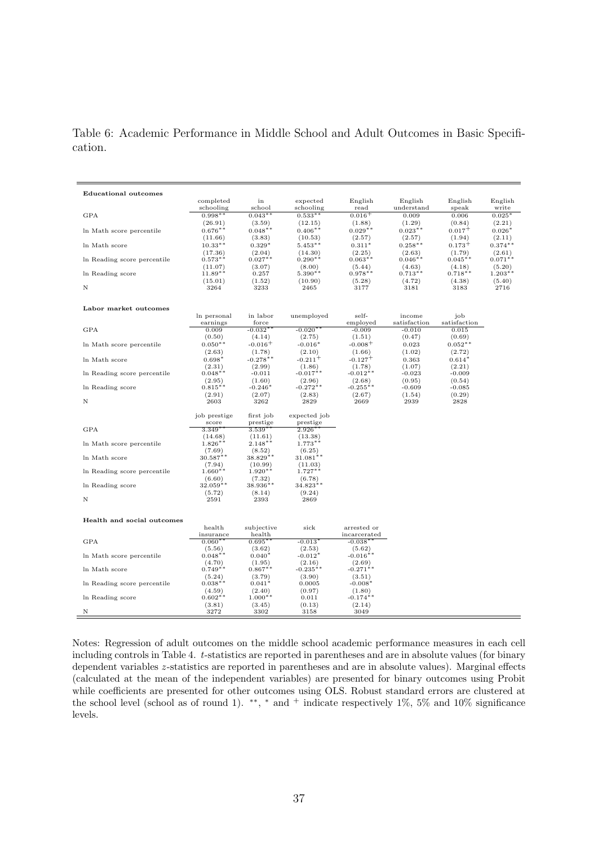Table 6: Academic Performance in Middle School and Adult Outcomes in Basic Specification.

| <b>Educational outcomes</b> | completed    | in            | expected            | English               | English      | English      | English   |
|-----------------------------|--------------|---------------|---------------------|-----------------------|--------------|--------------|-----------|
|                             | schooling    | school        | schooling           | read                  | understand   | speak        | write     |
| <b>GPA</b>                  | $0.998**$    | $0.043**$     | $0.533**$           | $0.016+$              | 0.009        | 0.006        | $0.025*$  |
|                             | (26.91)      | (3.59)        | (12.15)             | (1.88)                | (1.29)       | (0.84)       | (2.21)    |
| In Math score percentile    | $0.676**$    | $0.048**$     | $0.406**$           | $0.029**$             | $0.023**$    | $0.017^{+}$  | $0.026*$  |
|                             | (11.66)      | (3.83)        | (10.53)             | (2.57)                | (2.57)       | (1.94)       | (2.11)    |
| In Math score               | $10.33**$    | $0.329*$      | $5.453**$           | $0.311*$              | $0.258**$    | $0.173+$     | $0.374**$ |
|                             | (17.36)      | (2.04)        | (14.30)             | (2.25)                | (2.63)       | (1.79)       | (2.61)    |
| In Reading score percentile | $0.573**$    | $0.027**$     | $0.290**$           | $0.063**$             | $0.046**$    | $0.045***$   | $0.071**$ |
|                             | (11.07)      | (3.07)        | (8.00)              | (5.44)                | (4.63)       | (4.18)       | (5.20)    |
| In Reading score            | $11.89**$    | 0.257         | $5.390**$           | $0.978**$             | $0.713**$    | $0.718**$    | $1.203**$ |
|                             | (15.01)      | (1.52)        | (10.90)             | (5.28)                | (4.72)       | (4.38)       | (5.40)    |
| N                           | 3264         | 3233          | 2465                | 3177                  | 3181         | 3183         | 2716      |
| Labor market outcomes       |              |               |                     |                       |              |              |           |
|                             | In personal  | in labor      | unemployed          | self-                 | income       | job          |           |
|                             | earnings     | force         |                     | employed              | satisfaction | satisfaction |           |
| <b>GPA</b>                  | 0.009        | $-0.032$ $^*$ | $-0.020*$           | $-0.009$              | -0.010       | 0.015        |           |
|                             | (0.50)       | (4.14)        | (2.75)              | (1.51)                | (0.47)       | (0.69)       |           |
| In Math score percentile    | $0.050**$    | $-0.016+$     | $-0.016*$           | $-0.008+$             | 0.023        | $0.052**$    |           |
|                             | (2.63)       | (1.78)        | (2.10)              | (1.66)                | (1.02)       | (2.72)       |           |
| In Math score               | $0.698*$     | $-0.278**$    | $-0.211+$           | $-0.127$ <sup>+</sup> | 0.363        | $0.614*$     |           |
|                             | (2.31)       | (2.99)        | (1.86)              | (1.78)                | (1.07)       | (2.21)       |           |
| In Reading score percentile | $0.048**$    | $-0.011$      | $-0.017**$          | $-0.012**$            | $-0.023$     | $-0.009$     |           |
|                             | (2.95)       | (1.60)        | (2.96)              | (2.68)                | (0.95)       | (0.54)       |           |
| In Reading score            | $0.815**$    | $-0.246*$     | $-0.272**$          | $-0.255***$           | $-0.609$     | $-0.085$     |           |
|                             | (2.91)       | (2.07)        | (2.83)              | (2.67)                | (1.54)       | (0.29)       |           |
| N                           | 2603         | 3262          | 2829                | 2669                  | 2939         | 2828         |           |
|                             | job prestige | first job     | expected job        |                       |              |              |           |
|                             | score        | prestige      | prestige            |                       |              |              |           |
| <b>GPA</b>                  | $3.349**$    | $3.539**$     | $2.926*$            |                       |              |              |           |
|                             | (14.68)      | (11.61)       | (13.38)             |                       |              |              |           |
| In Math score percentile    | $1.826**$    | $2.148**$     | $1.773**$           |                       |              |              |           |
|                             | (7.69)       | (8.52)        | (6.25)              |                       |              |              |           |
| In Math score               | $30.587**$   | 38.829**      | $31.081**$          |                       |              |              |           |
|                             | (7.94)       | (10.99)       | (11.03)             |                       |              |              |           |
| In Reading score percentile | $1.660**$    | $1.920**$     | $1.727**$           |                       |              |              |           |
|                             | (6.60)       | (7.32)        | (6.78)              |                       |              |              |           |
| In Reading score            | 32.059**     | 38.936**      | $34.823^{\ast\ast}$ |                       |              |              |           |
|                             | (5.72)       | (8.14)        | (9.24)              |                       |              |              |           |
| Ν                           | 2591         | 2393          | 2869                |                       |              |              |           |
| Health and social outcomes  |              |               |                     |                       |              |              |           |
|                             | health       | subjective    | sick                | arrested or           |              |              |           |
|                             | insurance    | health        |                     | incarcerated          |              |              |           |
| <b>GPA</b>                  | $0.060**$    | $0.695*$      | $-0.013*$           | $-0.038*$             |              |              |           |
|                             | (5.56)       | (3.62)        | (2.53)              | (5.62)                |              |              |           |
| In Math score percentile    | $0.048**$    | $0.040*$      | $-0.012*$           | $-0.016**$            |              |              |           |
|                             | (4.70)       | (1.95)        | (2.16)              | (2.69)                |              |              |           |
| In Math score               | $0.749**$    | $0.867**$     | $-0.235**$          | $-0.271**$            |              |              |           |
|                             | (5.24)       | (3.79)        | (3.90)              | (3.51)                |              |              |           |
| In Reading score percentile | $0.038**$    | $0.041*$      | 0.0005              | $-0.008*$             |              |              |           |
|                             | (4.59)       | (2.40)        | (0.97)              | (1.80)                |              |              |           |
| In Reading score            | $0.602**$    | $1.000**$     | 0.011               | $-0.174***$           |              |              |           |
|                             | (3.81)       | (3.45)        | (0.13)              | (2.14)                |              |              |           |
| N                           | 3272         | 3302          | 3158                | 3049                  |              |              |           |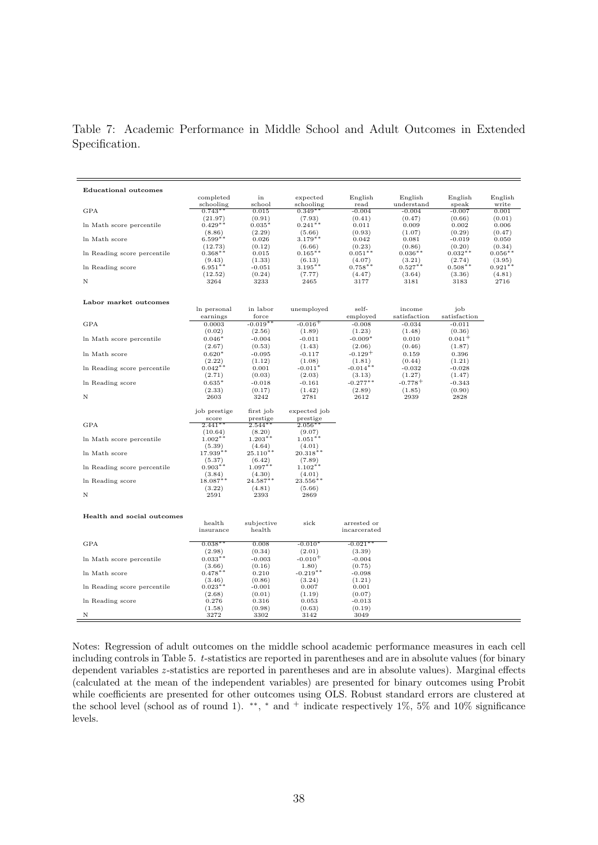Table 7: Academic Performance in Middle School and Adult Outcomes in Extended Specification.

| <b>Educational outcomes</b> |                      |                       |                       |                       |                        |                     |                     |
|-----------------------------|----------------------|-----------------------|-----------------------|-----------------------|------------------------|---------------------|---------------------|
|                             | completed            | in                    | expected              | English               | English                | English             | English             |
|                             | schooling            | school                | schooling             | read                  | understand             | speak               | write               |
| <b>GPA</b>                  | $0.743**$            | 0.015                 | $0.349**$             | $-0.004$              | $-0.004$               | $-0.007$            | 0.001               |
|                             | (21.97)              | (0.91)                | (7.93)                | (0.41)                | (0.47)                 | (0.66)              | (0.01)              |
| In Math score percentile    | $0.429**$            | $0.035*$              | $0.241**$             | 0.011                 | 0.009                  | 0.002               | 0.006               |
|                             | (8.86)               | (2.29)                | (5.66)                | (0.93)                | (1.07)                 | (0.29)              | (0.47)              |
| In Math score               | $6.599**$            | 0.026                 | $3.179***$            | 0.042                 | 0.081                  | $-0.019$            | 0.050               |
| In Reading score percentile | (12.73)<br>$0.368**$ | (0.12)<br>0.015       | (6.66)<br>$0.165***$  | (0.23)<br>$0.051**$   | (0.86)<br>$0.036**$    | (0.20)<br>$0.032**$ | (0.34)<br>$0.056**$ |
|                             | (9.43)               | (1.33)                | (6.13)                | (4.07)                | (3.21)                 | (2.74)              | (3.95)              |
| In Reading score            | $6.951**$            | $-0.051$              | $3.195**$             | $0.758**$             | $0.527**$              | $0.508**$           | $0.921**$           |
|                             | (12.52)              | (0.24)                | (7.77)                | (4.47)                | (3.64)                 | (3.36)              | (4.81)              |
| Ν                           | 3264                 | 3233                  | 2465                  | 3177                  | 3181                   | 3183                | 2716                |
|                             |                      |                       |                       |                       |                        |                     |                     |
|                             |                      |                       |                       |                       |                        |                     |                     |
| Labor market outcomes       |                      |                       |                       |                       |                        |                     |                     |
|                             | In personal          | in labor<br>force     | unemployed            | self-<br>employed     | income<br>satisfaction | job<br>satisfaction |                     |
| <b>GPA</b>                  | earnings             | $-0.019**$            |                       |                       |                        | $-0.011$            |                     |
|                             | 0.0003<br>(0.02)     |                       | $-0.016$ <sup>+</sup> | $-0.008$<br>(1.23)    | $-0.034$<br>(1.48)     | (0.36)              |                     |
| In Math score percentile    |                      | (2.56)                | (1.89)<br>$-0.011$    | $-0.009*$             | 0.010                  | $0.041 +$           |                     |
|                             | $0.046*$<br>(2.67)   | $-0.004$<br>(0.53)    | (1.43)                | (2.06)                | (0.46)                 | (1.87)              |                     |
| In Math score               | $0.620*$             | $-0.095$              | $-0.117$              | $-0.129$ <sup>+</sup> | 0.159                  | 0.396               |                     |
|                             | (2.22)               | (1.12)                | (1.08)                | (1.81)                | (0.44)                 | (1.21)              |                     |
| In Reading score percentile | $0.042**$            | 0.001                 | $-0.011*$             | $-0.014**$            | $-0.032$               | $-0.028$            |                     |
|                             | (2.71)               | (0.03)                | (2.03)                | (3.13)                | (1.27)                 | (1.47)              |                     |
| In Reading score            | $0.635*$             | $-0.018$              | $-0.161$              | $-0.277**$            | $-0.778^{+}$           | $-0.343$            |                     |
|                             | (2.33)               | (0.17)                | (1.42)                | (2.89)                | (1.85)                 | (0.90)              |                     |
| N                           | 2603                 | 3242                  | 2781                  | 2612                  | 2939                   | 2828                |                     |
|                             |                      |                       |                       |                       |                        |                     |                     |
|                             | job prestige         | first job             | expected job          |                       |                        |                     |                     |
|                             | score                | prestige              | prestige              |                       |                        |                     |                     |
| <b>GPA</b>                  | $2.441**$            | $2.544***$            | $2.056**$             |                       |                        |                     |                     |
|                             | (10.64)              | (8.20)                | (9.07)                |                       |                        |                     |                     |
| In Math score percentile    | $1.002**$            | $1.203**$             | $1.051**$             |                       |                        |                     |                     |
| In Math score               | (5.39)<br>$17.939**$ | (4.64)<br>$25.110***$ | (4.01)<br>$20.318**$  |                       |                        |                     |                     |
|                             | (5.37)               | (6.42)                | (7.89)                |                       |                        |                     |                     |
| In Reading score percentile | $0.903**$            | $1.097**$             | $1.102**$             |                       |                        |                     |                     |
|                             | (3.84)               | (4.30)                | (4.01)                |                       |                        |                     |                     |
| In Reading score            | 18.087**             | $24.587**$            | $23.556**$            |                       |                        |                     |                     |
|                             | (3.22)               | (4.81)                | (5.66)                |                       |                        |                     |                     |
| N                           | 2591                 | 2393                  | 2869                  |                       |                        |                     |                     |
|                             |                      |                       |                       |                       |                        |                     |                     |
|                             |                      |                       |                       |                       |                        |                     |                     |
| Health and social outcomes  | health               | subjective            | sick                  | arrested or           |                        |                     |                     |
|                             | insurance            | health                |                       | incarcerated          |                        |                     |                     |
|                             |                      |                       |                       |                       |                        |                     |                     |
| <b>GPA</b>                  | $0.038**$            | 0.008                 | $-0.010"$             | $-0.021$ $^*$         |                        |                     |                     |
|                             | (2.98)               | (0.34)                | (2.01)                | (3.39)                |                        |                     |                     |
| In Math score percentile    | $0.033**$            | $-0.003$              | $-0.010^{+}$          | $-0.004$              |                        |                     |                     |
|                             | (3.66)               | (0.16)                | (1.80)                | (0.75)                |                        |                     |                     |
| In Math score               | $0.478**$            | 0.210                 | $-0.219**$            | $-0.098$              |                        |                     |                     |
|                             | (3.46)               | (0.86)                | (3.24)                | (1.21)                |                        |                     |                     |
| In Reading score percentile | $0.023**$            | $-0.001$              | 0.007                 | 0.001                 |                        |                     |                     |
|                             | (2.68)               | (0.01)                | (1.19)                | (0.07)                |                        |                     |                     |
| In Reading score            | 0.276                | 0.316                 | 0.053                 | $-0.013$              |                        |                     |                     |
|                             |                      |                       |                       |                       |                        |                     |                     |
| Ν                           | (1.58)<br>3272       | (0.98)<br>3302        | (0.63)<br>3142        | (0.19)<br>3049        |                        |                     |                     |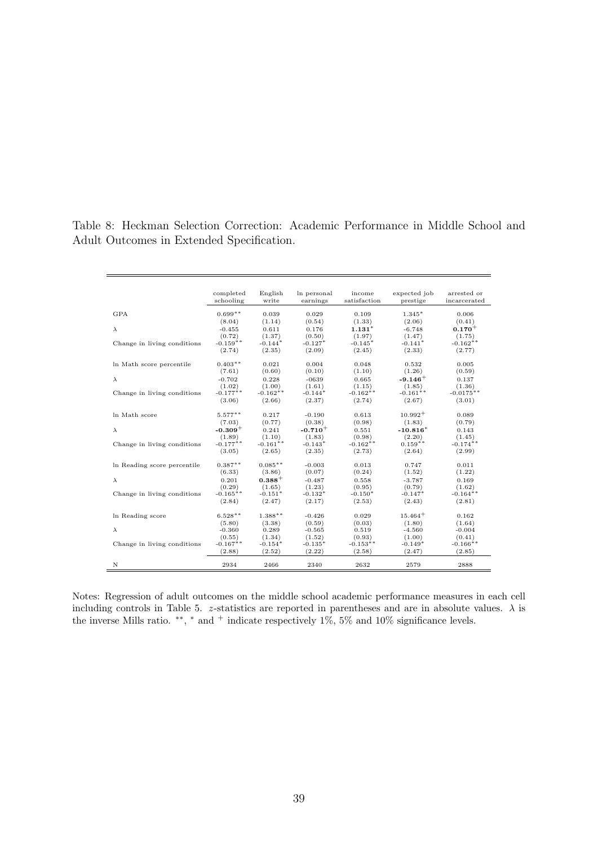Table 8: Heckman Selection Correction: Academic Performance in Middle School and Adult Outcomes in Extended Specification.

|                             | completed<br>schooling | English<br>write | In personal<br>earnings | income<br>satisfaction | expected job<br>prestige | arrested or<br>incarcerated |
|-----------------------------|------------------------|------------------|-------------------------|------------------------|--------------------------|-----------------------------|
| <b>GPA</b>                  | $0.699**$              | 0.039            | 0.029                   | 0.109                  | $1.345*$                 | 0.006                       |
|                             | (8.04)                 | (1.14)           | (0.54)                  | (1.33)                 | (2.06)                   | (0.41)                      |
| $\lambda$                   | $-0.455$               | 0.611            | 0.176                   | $1.131*$               | $-6.748$                 | $0.170 +$                   |
|                             | (0.72)                 | (1.37)           | (0.50)                  | (1.97)                 | (1.47)                   | (1.75)                      |
| Change in living conditions | $-0.159**$             | $-0.144*$        | $-0.127*$               | $-0.145*$              | $-0.141*$                | $-0.162**$                  |
|                             | (2.74)                 | (2.35)           | (2.09)                  | (2.45)                 | (2.33)                   | (2.77)                      |
| In Math score percentile    | $0.403**$              | 0.021            | 0.004                   | 0.048                  | 0.532                    | 0.005                       |
|                             | (7.61)                 | (0.60)           | (0.10)                  | (1.10)                 | (1.26)                   | (0.59)                      |
| $\lambda$                   | $-0.702$               | 0.228            | $-0639$                 | 0.665                  | $-9.146+$                | 0.137                       |
|                             | (1.02)                 | (1.00)           | (1.61)                  | (1.15)                 | (1.85)                   | (1.36)                      |
| Change in living conditions | $-0.177***$            | $-0.162**$       | $-0.144*$               | $-0.162**$             | $-0.161**$               | $-0.0175**$                 |
|                             | (3.06)                 | (2.66)           | (2.37)                  | (2.74)                 | (2.67)                   | (3.01)                      |
| In Math score               | $5.577***$             | 0.217            | $-0.190$                | 0.613                  | $10.992+$                | 0.089                       |
|                             | (7.03)                 | (0.77)           | (0.38)                  | (0.98)                 | (1.83)                   | (0.79)                      |
| $\lambda$                   | $-0.309+$              | 0.241            | $-0.710+$               | 0.551                  | $-10.816*$               | 0.143                       |
|                             | (1.89)                 | (1.10)           | (1.83)                  | (0.98)                 | (2.20)                   | (1.45)                      |
| Change in living conditions | $-0.177**$             | $-0.161**$       | $-0.143*$               | $-0.162**$             | $0.159**$                | $-0.174**$                  |
|                             | (3.05)                 | (2.65)           | (2.35)                  | (2.73)                 | (2.64)                   | (2.99)                      |
| In Reading score percentile | $0.387**$              | $0.085**$        | $-0.003$                | 0.013                  | 0.747                    | 0.011                       |
|                             | (6.33)                 | (3.86)           | (0.07)                  | (0.24)                 | (1.52)                   | (1.22)                      |
| $\lambda$                   | 0.201                  | $0.388 +$        | $-0.487$                | 0.558                  | $-3.787$                 | 0.169                       |
|                             | (0.29)                 | (1.65)           | (1.23)                  | (0.95)                 | (0.79)                   | (1.62)                      |
| Change in living conditions | $-0.165**$             | $-0.151*$        | $-0.132*$               | $-0.150*$              | $-0.147*$                | $-0.164**$                  |
|                             | (2.84)                 | (2.47)           | (2.17)                  | (2.53)                 | (2.43)                   | (2.81)                      |
| In Reading score            | $6.528**$              | $1.388**$        | $-0.426$                | 0.029                  | $15.464+$                | 0.162                       |
|                             | (5.80)                 | (3.38)           | (0.59)                  | (0.03)                 | (1.80)                   | (1.64)                      |
| $\lambda$                   | $-0.360$               | 0.289            | $-0.565$                | 0.519                  | $-4.560$                 | $-0.004$                    |
|                             | (0.55)                 | (1.34)           | (1.52)                  | (0.93)                 | (1.00)                   | (0.41)                      |
| Change in living conditions | $-0.167**$             | $-0.154*$        | $-0.135*$               | $-0.153**$             | $-0.149*$                | $-0.166$ **                 |
|                             | (2.88)                 | (2.52)           | (2.22)                  | (2.58)                 | (2.47)                   | (2.85)                      |
| N                           | 2934                   | 2466             | 2340                    | 2632                   | 2579                     | 2888                        |

Notes: Regression of adult outcomes on the middle school academic performance measures in each cell including controls in Table 5. *z* -statistics are reported in parentheses and are in absolute values. *λ* is the inverse Mills ratio. <sup>\*\*</sup>, <sup>\*</sup> and <sup>+</sup> indicate respectively 1%, 5% and 10% significance levels.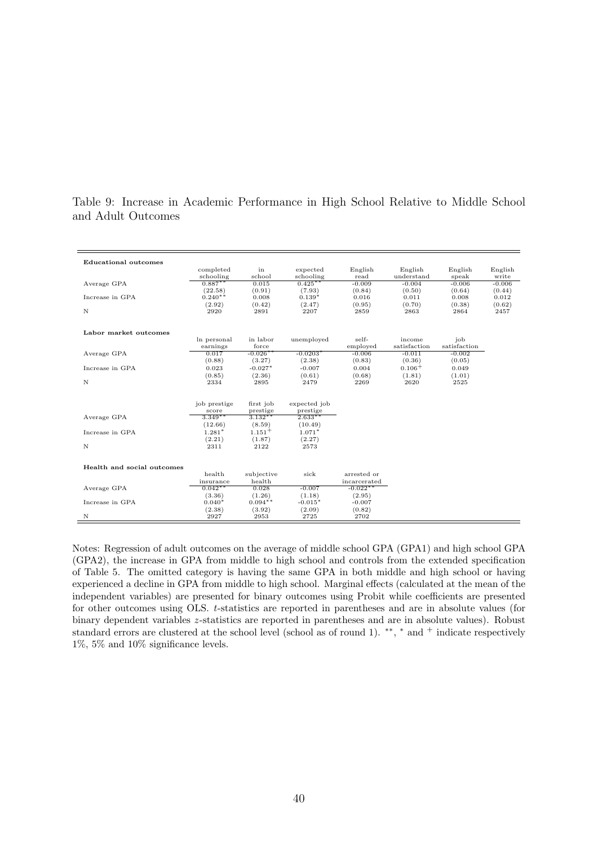| <b>Educational outcomes</b> |                    |            |                       |              |              |              |          |
|-----------------------------|--------------------|------------|-----------------------|--------------|--------------|--------------|----------|
|                             | completed          | in         | expected              | English      | English      | English      | English  |
|                             | schooling          | school     | schooling             | read         | understand   | speak        | write    |
| Average GPA                 | $0.887**$          | 0.015      | $0.425***$            | $-0.009$     | $-0.004$     | $-0.006$     | $-0.006$ |
|                             | (22.58)            | (0.91)     | (7.93)                | (0.84)       | (0.50)       | (0.64)       | (0.44)   |
| Increase in GPA             | $0.240**$          | 0.008      | $0.139*$              | 0.016        | 0.011        | 0.008        | 0.012    |
|                             | (2.92)             | (0.42)     | (2.47)                | (0.95)       | (0.70)       | (0.38)       | (0.62)   |
| N                           | 2920               | 2891       | 2207                  | 2859         | 2863         | 2864         | 2457     |
|                             |                    |            |                       |              |              |              |          |
| Labor market outcomes       |                    |            |                       |              |              |              |          |
|                             | In personal        | in labor   | unemployed            | self-        | income       | job          |          |
|                             | earnings           | force      |                       | employed     | satisfaction | satisfaction |          |
| Average GPA                 | 0.017              | $-0.026**$ | $-0.0203*$            | $-0.006$     | $-0.011$     | $-0.002$     |          |
|                             | (0.88)             | (3.27)     | (2.38)                | (0.83)       | (0.36)       | (0.05)       |          |
| Increase in GPA             | 0.023              | $-0.027*$  | $-0.007$              | 0.004        | $0.106+$     | 0.049        |          |
|                             | (0.85)             | (2.36)     | (0.61)                | (0.68)       | (1.81)       | (1.01)       |          |
| N                           | 2334               | 2895       | 2479                  | 2269         | 2620         | 2525         |          |
|                             |                    |            |                       |              |              |              |          |
|                             | job prestige       | first job  | expected job          |              |              |              |          |
|                             |                    | prestige   |                       |              |              |              |          |
| Average GPA                 | score<br>$3.349**$ | $3.132**$  | prestige<br>$2.633**$ |              |              |              |          |
|                             | (12.66)            | (8.59)     | (10.49)               |              |              |              |          |
|                             | $1.281*$           | $1.151 +$  | $1.071*$              |              |              |              |          |
| Increase in GPA             |                    |            |                       |              |              |              |          |
|                             | (2.21)             | (1.87)     | (2.27)                |              |              |              |          |
| N                           | 2311               | 2122       | 2573                  |              |              |              |          |
|                             |                    |            |                       |              |              |              |          |
| Health and social outcomes  |                    |            |                       |              |              |              |          |
|                             | health             | subjective | sick                  | arrested or  |              |              |          |
|                             | insurance          | health     |                       | incarcerated |              |              |          |
| Average GPA                 | $0.042***$         | 0.028      | $-0.007$              | $-0.022$ **  |              |              |          |
|                             | (3.36)             | (1.26)     | (1.18)                | (2.95)       |              |              |          |
| Increase in GPA             | $0.040*$           | $0.094**$  | $-0.015*$             | $-0.007$     |              |              |          |
|                             | (2.38)             | (3.92)     | (2.09)                | (0.82)       |              |              |          |
| N                           | 2927               | 2953       | 2725                  | 2702         |              |              |          |

Table 9: Increase in Academic Performance in High School Relative to Middle School and Adult Outcomes

Notes: Regression of adult outcomes on the average of middle school GPA (GPA1) and high school GPA (GPA2), the increase in GPA from middle to high school and controls from the extended specification of Table 5. The omitted category is having the same GPA in both middle and high school or having experienced a decline in GPA from middle to high school. Marginal effects (calculated at the mean of the independent variables) are presented for binary outcomes using Probit while coefficients are presented for other outcomes using OLS. *t*-statistics are reported in parentheses and are in absolute values (for binary dependent variables *z* -statistics are reported in parentheses and are in absolute values). Robust standard errors are clustered at the school level (school as of round 1). <sup>\*\*</sup>, <sup>\*</sup> and <sup>+</sup> indicate respectively 1%, 5% and 10% significance levels.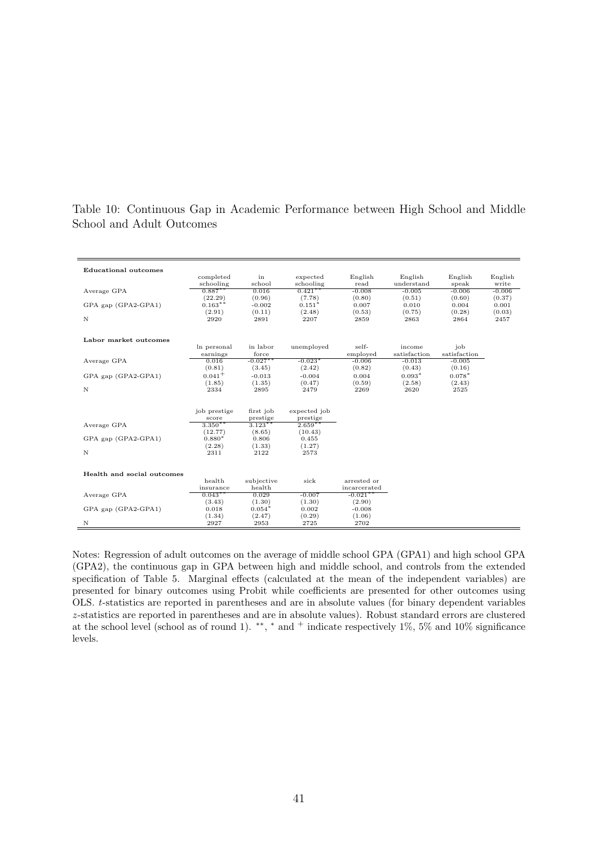| <b>Educational outcomes</b> |                        |                 |                |                           |              |                |                |
|-----------------------------|------------------------|-----------------|----------------|---------------------------|--------------|----------------|----------------|
|                             | completed              | in              | expected       | English                   | English      | English        | English        |
|                             | schooling              | school          | schooling      | read                      | understand   | speak          | write          |
| Average GPA                 | $0.887***$             | 0.016           | $0.421***$     | $-0.008$                  | $-0.005$     | $-0.006$       | $-0.006$       |
|                             | (22.29)                | (0.96)          | (7.78)         | (0.80)                    | (0.51)       | (0.60)         | (0.37)         |
| GPA gap (GPA2-GPA1)         | $0.163**$              | $-0.002$        | $0.151*$       | 0.007                     | 0.010        | 0.004          | 0.001          |
| N                           | (2.91)<br>2920         | (0.11)<br>2891  | (2.48)<br>2207 | (0.53)<br>2859            | (0.75)       | (0.28)<br>2864 | (0.03)<br>2457 |
|                             |                        |                 |                |                           | 2863         |                |                |
| Labor market outcomes       |                        |                 |                |                           |              |                |                |
|                             | In personal            | in labor        | unemployed     | self-                     | income       | job            |                |
|                             | earnings               | force           |                | employed                  | satisfaction | satisfaction   |                |
| Average GPA                 | 0.016                  | $-0.027***$     | $-0.023*$      | $-0.006$                  | $-0.013$     | $-0.005$       |                |
|                             | (0.81)                 | (3.45)          | (2.42)         | (0.82)                    | (0.43)       | (0.16)         |                |
| GPA gap (GPA2-GPA1)         | $0.041+$               | $-0.013$        | $-0.004$       | 0.004                     | $0.093*$     | $0.078*$       |                |
|                             | (1.85)                 | (1.35)          | (0.47)         | (0.59)                    | (2.58)       | (2.43)         |                |
| $\mathbf N$                 | 2334                   | 2895            | 2479           | 2269                      | 2620         | 2525           |                |
|                             |                        |                 |                |                           |              |                |                |
|                             | job prestige           | first job       | expected job   |                           |              |                |                |
|                             | score                  | prestige        | prestige       |                           |              |                |                |
| Average GPA                 | $3.350**$              | $3.123***$      | $2.659**$      |                           |              |                |                |
|                             | (12.77)                | (8.65)          | (10.43)        |                           |              |                |                |
| GPA gap (GPA2-GPA1)         | $0.880*$               | 0.806           | 0.455          |                           |              |                |                |
|                             | (2.28)                 | (1.33)          | (1.27)         |                           |              |                |                |
| N                           | 2311                   | 2122            | 2573           |                           |              |                |                |
|                             |                        |                 |                |                           |              |                |                |
| Health and social outcomes  |                        |                 |                |                           |              |                |                |
|                             | health                 | subjective      | sick           | arrested or               |              |                |                |
| Average GPA                 | insurance<br>$0.043**$ | health<br>0.029 | $-0.007$       | incarcerated<br>$-0.021*$ |              |                |                |
|                             | (3.43)                 | (1.30)          | (1.30)         | (2.90)                    |              |                |                |
| GPA gap (GPA2-GPA1)         | 0.018                  | $0.054*$        | 0.002          | $-0.008$                  |              |                |                |
|                             | (1.34)                 | (2.47)          | (0.29)         | (1.06)                    |              |                |                |
| N                           | 2927                   | 2953            | 2725           | 2702                      |              |                |                |

Table 10: Continuous Gap in Academic Performance between High School and Middle School and Adult Outcomes

Notes: Regression of adult outcomes on the average of middle school GPA (GPA1) and high school GPA (GPA2), the continuous gap in GPA between high and middle school, and controls from the extended specification of Table 5. Marginal effects (calculated at the mean of the independent variables) are presented for binary outcomes using Probit while coefficients are presented for other outcomes using OLS. *t*-statistics are reported in parentheses and are in absolute values (for binary dependent variables *z* -statistics are reported in parentheses and are in absolute values). Robust standard errors are clustered at the school level (school as of round 1). <sup>\*\*</sup>, <sup>\*</sup> and <sup>+</sup> indicate respectively 1\%, 5\% and 10\% significance levels.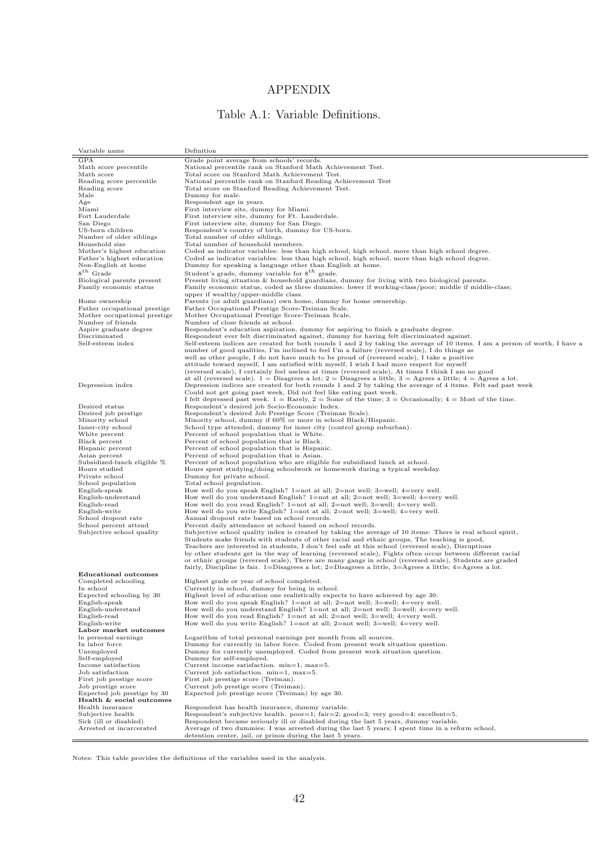### APPENDIX

### Table A.1: Variable Definitions.

| <b>GPA</b><br>Grade point average from schools' records.<br>National percentile rank on Stanford Math Achievement Test.<br>Math score percentile<br>Total score on Stanford Math Achievement Test.<br>Math score<br>National percentile rank on Stanford Reading Achievement Test<br>Reading score percentile<br>Total score on Stanford Reading Achievement Test.<br>Reading score<br>Dummy for male.<br>Male<br>Respondent age in years.<br>Age<br>Miami<br>First interview site, dummy for Miami.<br>First interview site, dummy for Ft. Lauderdale.<br>Fort Lauderdale<br>First interview site, dummy for San Diego.<br>San Diego<br>US-born children<br>Respondent's country of birth, dummy for US-born.<br>Number of older siblings<br>Total number of older siblings.<br>Household size<br>Total number of household members.<br>Mother's highest education<br>Coded as indicator variables: less than high school, high school, more than high school degree.<br>Father's highest education<br>Coded as indicator variables: less than high school, high school, more than high school degree.<br>Non-English at home<br>Dummy for speaking a language other than English at home.<br>$8^{th}$ Grade<br>Student's grade, dummy variable for $8^{th}$ grade.<br>Present living situation $\&$ household guardians, dummy for living with two biological parents.<br>Biological parents present<br>Family economic status, coded as three dummies: lower if working-class/poor; middle if middle-class;<br>Family economic status<br>upper if wealthy/upper-middle class.<br>Parents (or adult guardians) own home, dummy for home ownership.<br>Home ownership<br>Father Occupational Prestige Score-Treiman Scale.<br>Father occupational prestige<br>Mother occupational prestige<br>Mother Occupational Prestige Score-Treiman Scale.<br>Number of friends<br>Number of close friends at school.<br>Respondent's education aspiration, dummy for aspiring to finish a graduate degree.<br>Aspire graduate degree<br>Discriminated<br>Respondent ever felt discriminated against, dummy for having felt discriminated against.<br>Self-esteem index<br>Self-esteem indices are created for both rounds 1 and 2 by taking the average of 10 items. I am a person of worth, I have a<br>number of good qualities, I'm inclined to feel I'm a failure (reversed scale), I do things as<br>well as other people, I do not have much to be proud of (reversed scale), I take a positive<br>attitude toward myself, I am satisfied with myself, I wish I had more respect for myself<br>(reversed scale), I certainly feel useless at times (reversed scale), At times I think I am no good<br>at all (reversed scale). $1 =$ Disagrees a lot; $2 =$ Disagrees a little, $3 =$ Agrees a little; $4 =$ Agrees a lot.<br>Depression indices are created for both rounds 1 and 2 by taking the average of 4 items. Felt sad past week<br>Depression index<br>Could not get going past week, Did not feel like eating past week,<br>I felt depressed past week. $1 =$ Rarely, $2 =$ Some of the time; $3 =$ Occasionally; $4 =$ Most of the time.<br>Desired status<br>Respondent's desired job Socio-Economic Index.<br>Desired job prestige<br>Respondent's desired Job Prestige Score (Treiman Scale).<br>Minority school<br>Minority school, dummy if 60% or more in school Black/Hispanic.<br>Inner-city school<br>School type attended, dummy for inner city (control group suburban).<br>White percent<br>Percent of school population that is White.<br>Black percent<br>Percent of school population that is Black.<br>Hispanic percent<br>Percent of school population that is Hispanic.<br>Asian percent<br>Percent of school population that is Asian.<br>Subsidized-lunch eligible %<br>Percent of school population who are eligible for subsidized lunch at school.<br>Hours studied<br>Hours spent studying/doing schoolwork or homework during a typical weekday.<br>Private school<br>Dummy for private school.<br>Total school population.<br>School population<br>How well do you speak English? 1=not at all; 2=not well; 3=well; 4=very well.<br>English-speak<br>English-understand<br>How well do you understand English? 1=not at all; 2=not well; 3=well; 4=very well.<br>English-read<br>How well do you read English? $1=$ not at all; $2=$ not well; $3=$ well; $4=$ very well.<br>English-write<br>How well do you write English? 1=not at all; 2=not well; 3=well; 4=very well.<br>School dropout rate<br>Annual dropout rate based on school records.<br>School percent attend<br>Percent daily attendance at school based on school records.<br>Subjective school quality index is created by taking the average of 10 items: There is real school spirit,<br>Subjective school quality<br>Students make friends with students of other racial and ethnic groups, The teaching is good,<br>Teachers are interested in students, I don't feel safe at this school (reversed scale), Disruptions<br>by other students get in the way of learning (reversed scale), Fights often occur between different racial<br>or ethnic groups (reversed scale), There are many gangs in school (reversed scale), Students are graded<br>fairly, Discipline is fair. 1=Disagrees a lot; 2=Disagrees a little, 3=Agrees a little; 4=Agrees a lot.<br><b>Educational outcomes</b><br>Highest grade or year of school completed.<br>Completed schooling<br>In school<br>Currently in school, dummy for being in school.<br>Expected schooling by 30<br>Highest level of education one realistically expects to have achieved by age 30.<br>How well do you speak English? 1=not at all; 2=not well; 3=well; 4=very well.<br>English-speak<br>How well do you understand English? 1=not at all; 2=not well; 3=well; 4=very well.<br>English-understand<br>English-read<br>How well do you read English? 1=not at all; 2=not well; 3=well; 4=very well.<br>English-write<br>How well do you write English? 1=not at all; 2=not well; 3=well; 4=very well.<br>Labor market outcomes<br>In personal earnings<br>Logarithm of total personal earnings per month from all sources.<br>Dummy for currently in labor force. Coded from present work situation question.<br>In labor force<br>Unemployed<br>Dummy for currently unemployed. Coded from present work situation question.<br>Self-employed<br>Dummy for self-employed.<br>Income satisfaction<br>Current income satisfaction. min=1, max=5.<br>Current job satisfaction. min=1, max=5.<br>Job satisfaction<br>First job prestige score<br>First job prestige score (Treiman).<br>Job prestige score<br>Current job prestige score (Treiman).<br>Expected job prestige by 30<br>Expected job prestige score (Treiman) by age 30.<br>Health & social outcomes<br>Health insurance<br>Respondent has health insurance, dummy variable.<br>Subjective health<br>Respondent's subjective health. $poor=1$ ; fair=2; good=3; very good=4; excellent=5.<br>Sick (ill or disabled)<br>Respondent became seriously ill or disabled during the last 5 years, dummy variable.<br>Arrested or incarcerated<br>Average of two dummies: I was arrested during the last 5 years; I spent time in a reform school,<br>detention center, jail, or prison during the last 5 years. | Variable name | Definition |
|---------------------------------------------------------------------------------------------------------------------------------------------------------------------------------------------------------------------------------------------------------------------------------------------------------------------------------------------------------------------------------------------------------------------------------------------------------------------------------------------------------------------------------------------------------------------------------------------------------------------------------------------------------------------------------------------------------------------------------------------------------------------------------------------------------------------------------------------------------------------------------------------------------------------------------------------------------------------------------------------------------------------------------------------------------------------------------------------------------------------------------------------------------------------------------------------------------------------------------------------------------------------------------------------------------------------------------------------------------------------------------------------------------------------------------------------------------------------------------------------------------------------------------------------------------------------------------------------------------------------------------------------------------------------------------------------------------------------------------------------------------------------------------------------------------------------------------------------------------------------------------------------------------------------------------------------------------------------------------------------------------------------------------------------------------------------------------------------------------------------------------------------------------------------------------------------------------------------------------------------------------------------------------------------------------------------------------------------------------------------------------------------------------------------------------------------------------------------------------------------------------------------------------------------------------------------------------------------------------------------------------------------------------------------------------------------------------------------------------------------------------------------------------------------------------------------------------------------------------------------------------------------------------------------------------------------------------------------------------------------------------------------------------------------------------------------------------------------------------------------------------------------------------------------------------------------------------------------------------------------------------------------------------------------------------------------------------------------------------------------------------------------------------------------------------------------------------------------------------------------------------------------------------------------------------------------------------------------------------------------------------------------------------------------------------------------------------------------------------------------------------------------------------------------------------------------------------------------------------------------------------------------------------------------------------------------------------------------------------------------------------------------------------------------------------------------------------------------------------------------------------------------------------------------------------------------------------------------------------------------------------------------------------------------------------------------------------------------------------------------------------------------------------------------------------------------------------------------------------------------------------------------------------------------------------------------------------------------------------------------------------------------------------------------------------------------------------------------------------------------------------------------------------------------------------------------------------------------------------------------------------------------------------------------------------------------------------------------------------------------------------------------------------------------------------------------------------------------------------------------------------------------------------------------------------------------------------------------------------------------------------------------------------------------------------------------------------------------------------------------------------------------------------------------------------------------------------------------------------------------------------------------------------------------------------------------------------------------------------------------------------------------------------------------------------------------------------------------------------------------------------------------------------------------------------------------------------------------------------------------------------------------------------------------------------------------------------------------------------------------------------------------------------------------------------------------------------------------------------------------------------------------------------------------------------------------------------------------------------------------------------------------------------------------------------------------------------------------------------------------------------------------------------------------------------------------------------------------------------------------------------------------------------------------------------------------------------------------------------------------------------------------------------------------------------------------------------------------------------------------------------------------------------------------------------------------------------------------------------------------------------------------------------------------------------------------------------------------------------------------------------------------------------------------------------------------------------------------------------------------------------------------------------------------------------------------------------------------------------------------------------------------------------------------------------------------------------------|---------------|------------|
|                                                                                                                                                                                                                                                                                                                                                                                                                                                                                                                                                                                                                                                                                                                                                                                                                                                                                                                                                                                                                                                                                                                                                                                                                                                                                                                                                                                                                                                                                                                                                                                                                                                                                                                                                                                                                                                                                                                                                                                                                                                                                                                                                                                                                                                                                                                                                                                                                                                                                                                                                                                                                                                                                                                                                                                                                                                                                                                                                                                                                                                                                                                                                                                                                                                                                                                                                                                                                                                                                                                                                                                                                                                                                                                                                                                                                                                                                                                                                                                                                                                                                                                                                                                                                                                                                                                                                                                                                                                                                                                                                                                                                                                                                                                                                                                                                                                                                                                                                                                                                                                                                                                                                                                                                                                                                                                                                                                                                                                                                                                                                                                                                                                                                                                                                                                                                                                                                                                                                                                                                                                                                                                                                                                                                                                                                                                                                                                                                                                                                                                                                                                                                                                                                                                                                                                                                                                                                                                                                                                                                                                                                                                                                                                                                                                                                                                                       |               |            |
|                                                                                                                                                                                                                                                                                                                                                                                                                                                                                                                                                                                                                                                                                                                                                                                                                                                                                                                                                                                                                                                                                                                                                                                                                                                                                                                                                                                                                                                                                                                                                                                                                                                                                                                                                                                                                                                                                                                                                                                                                                                                                                                                                                                                                                                                                                                                                                                                                                                                                                                                                                                                                                                                                                                                                                                                                                                                                                                                                                                                                                                                                                                                                                                                                                                                                                                                                                                                                                                                                                                                                                                                                                                                                                                                                                                                                                                                                                                                                                                                                                                                                                                                                                                                                                                                                                                                                                                                                                                                                                                                                                                                                                                                                                                                                                                                                                                                                                                                                                                                                                                                                                                                                                                                                                                                                                                                                                                                                                                                                                                                                                                                                                                                                                                                                                                                                                                                                                                                                                                                                                                                                                                                                                                                                                                                                                                                                                                                                                                                                                                                                                                                                                                                                                                                                                                                                                                                                                                                                                                                                                                                                                                                                                                                                                                                                                                                       |               |            |
|                                                                                                                                                                                                                                                                                                                                                                                                                                                                                                                                                                                                                                                                                                                                                                                                                                                                                                                                                                                                                                                                                                                                                                                                                                                                                                                                                                                                                                                                                                                                                                                                                                                                                                                                                                                                                                                                                                                                                                                                                                                                                                                                                                                                                                                                                                                                                                                                                                                                                                                                                                                                                                                                                                                                                                                                                                                                                                                                                                                                                                                                                                                                                                                                                                                                                                                                                                                                                                                                                                                                                                                                                                                                                                                                                                                                                                                                                                                                                                                                                                                                                                                                                                                                                                                                                                                                                                                                                                                                                                                                                                                                                                                                                                                                                                                                                                                                                                                                                                                                                                                                                                                                                                                                                                                                                                                                                                                                                                                                                                                                                                                                                                                                                                                                                                                                                                                                                                                                                                                                                                                                                                                                                                                                                                                                                                                                                                                                                                                                                                                                                                                                                                                                                                                                                                                                                                                                                                                                                                                                                                                                                                                                                                                                                                                                                                                                       |               |            |
|                                                                                                                                                                                                                                                                                                                                                                                                                                                                                                                                                                                                                                                                                                                                                                                                                                                                                                                                                                                                                                                                                                                                                                                                                                                                                                                                                                                                                                                                                                                                                                                                                                                                                                                                                                                                                                                                                                                                                                                                                                                                                                                                                                                                                                                                                                                                                                                                                                                                                                                                                                                                                                                                                                                                                                                                                                                                                                                                                                                                                                                                                                                                                                                                                                                                                                                                                                                                                                                                                                                                                                                                                                                                                                                                                                                                                                                                                                                                                                                                                                                                                                                                                                                                                                                                                                                                                                                                                                                                                                                                                                                                                                                                                                                                                                                                                                                                                                                                                                                                                                                                                                                                                                                                                                                                                                                                                                                                                                                                                                                                                                                                                                                                                                                                                                                                                                                                                                                                                                                                                                                                                                                                                                                                                                                                                                                                                                                                                                                                                                                                                                                                                                                                                                                                                                                                                                                                                                                                                                                                                                                                                                                                                                                                                                                                                                                                       |               |            |
|                                                                                                                                                                                                                                                                                                                                                                                                                                                                                                                                                                                                                                                                                                                                                                                                                                                                                                                                                                                                                                                                                                                                                                                                                                                                                                                                                                                                                                                                                                                                                                                                                                                                                                                                                                                                                                                                                                                                                                                                                                                                                                                                                                                                                                                                                                                                                                                                                                                                                                                                                                                                                                                                                                                                                                                                                                                                                                                                                                                                                                                                                                                                                                                                                                                                                                                                                                                                                                                                                                                                                                                                                                                                                                                                                                                                                                                                                                                                                                                                                                                                                                                                                                                                                                                                                                                                                                                                                                                                                                                                                                                                                                                                                                                                                                                                                                                                                                                                                                                                                                                                                                                                                                                                                                                                                                                                                                                                                                                                                                                                                                                                                                                                                                                                                                                                                                                                                                                                                                                                                                                                                                                                                                                                                                                                                                                                                                                                                                                                                                                                                                                                                                                                                                                                                                                                                                                                                                                                                                                                                                                                                                                                                                                                                                                                                                                                       |               |            |
|                                                                                                                                                                                                                                                                                                                                                                                                                                                                                                                                                                                                                                                                                                                                                                                                                                                                                                                                                                                                                                                                                                                                                                                                                                                                                                                                                                                                                                                                                                                                                                                                                                                                                                                                                                                                                                                                                                                                                                                                                                                                                                                                                                                                                                                                                                                                                                                                                                                                                                                                                                                                                                                                                                                                                                                                                                                                                                                                                                                                                                                                                                                                                                                                                                                                                                                                                                                                                                                                                                                                                                                                                                                                                                                                                                                                                                                                                                                                                                                                                                                                                                                                                                                                                                                                                                                                                                                                                                                                                                                                                                                                                                                                                                                                                                                                                                                                                                                                                                                                                                                                                                                                                                                                                                                                                                                                                                                                                                                                                                                                                                                                                                                                                                                                                                                                                                                                                                                                                                                                                                                                                                                                                                                                                                                                                                                                                                                                                                                                                                                                                                                                                                                                                                                                                                                                                                                                                                                                                                                                                                                                                                                                                                                                                                                                                                                                       |               |            |
|                                                                                                                                                                                                                                                                                                                                                                                                                                                                                                                                                                                                                                                                                                                                                                                                                                                                                                                                                                                                                                                                                                                                                                                                                                                                                                                                                                                                                                                                                                                                                                                                                                                                                                                                                                                                                                                                                                                                                                                                                                                                                                                                                                                                                                                                                                                                                                                                                                                                                                                                                                                                                                                                                                                                                                                                                                                                                                                                                                                                                                                                                                                                                                                                                                                                                                                                                                                                                                                                                                                                                                                                                                                                                                                                                                                                                                                                                                                                                                                                                                                                                                                                                                                                                                                                                                                                                                                                                                                                                                                                                                                                                                                                                                                                                                                                                                                                                                                                                                                                                                                                                                                                                                                                                                                                                                                                                                                                                                                                                                                                                                                                                                                                                                                                                                                                                                                                                                                                                                                                                                                                                                                                                                                                                                                                                                                                                                                                                                                                                                                                                                                                                                                                                                                                                                                                                                                                                                                                                                                                                                                                                                                                                                                                                                                                                                                                       |               |            |
|                                                                                                                                                                                                                                                                                                                                                                                                                                                                                                                                                                                                                                                                                                                                                                                                                                                                                                                                                                                                                                                                                                                                                                                                                                                                                                                                                                                                                                                                                                                                                                                                                                                                                                                                                                                                                                                                                                                                                                                                                                                                                                                                                                                                                                                                                                                                                                                                                                                                                                                                                                                                                                                                                                                                                                                                                                                                                                                                                                                                                                                                                                                                                                                                                                                                                                                                                                                                                                                                                                                                                                                                                                                                                                                                                                                                                                                                                                                                                                                                                                                                                                                                                                                                                                                                                                                                                                                                                                                                                                                                                                                                                                                                                                                                                                                                                                                                                                                                                                                                                                                                                                                                                                                                                                                                                                                                                                                                                                                                                                                                                                                                                                                                                                                                                                                                                                                                                                                                                                                                                                                                                                                                                                                                                                                                                                                                                                                                                                                                                                                                                                                                                                                                                                                                                                                                                                                                                                                                                                                                                                                                                                                                                                                                                                                                                                                                       |               |            |
|                                                                                                                                                                                                                                                                                                                                                                                                                                                                                                                                                                                                                                                                                                                                                                                                                                                                                                                                                                                                                                                                                                                                                                                                                                                                                                                                                                                                                                                                                                                                                                                                                                                                                                                                                                                                                                                                                                                                                                                                                                                                                                                                                                                                                                                                                                                                                                                                                                                                                                                                                                                                                                                                                                                                                                                                                                                                                                                                                                                                                                                                                                                                                                                                                                                                                                                                                                                                                                                                                                                                                                                                                                                                                                                                                                                                                                                                                                                                                                                                                                                                                                                                                                                                                                                                                                                                                                                                                                                                                                                                                                                                                                                                                                                                                                                                                                                                                                                                                                                                                                                                                                                                                                                                                                                                                                                                                                                                                                                                                                                                                                                                                                                                                                                                                                                                                                                                                                                                                                                                                                                                                                                                                                                                                                                                                                                                                                                                                                                                                                                                                                                                                                                                                                                                                                                                                                                                                                                                                                                                                                                                                                                                                                                                                                                                                                                                       |               |            |
|                                                                                                                                                                                                                                                                                                                                                                                                                                                                                                                                                                                                                                                                                                                                                                                                                                                                                                                                                                                                                                                                                                                                                                                                                                                                                                                                                                                                                                                                                                                                                                                                                                                                                                                                                                                                                                                                                                                                                                                                                                                                                                                                                                                                                                                                                                                                                                                                                                                                                                                                                                                                                                                                                                                                                                                                                                                                                                                                                                                                                                                                                                                                                                                                                                                                                                                                                                                                                                                                                                                                                                                                                                                                                                                                                                                                                                                                                                                                                                                                                                                                                                                                                                                                                                                                                                                                                                                                                                                                                                                                                                                                                                                                                                                                                                                                                                                                                                                                                                                                                                                                                                                                                                                                                                                                                                                                                                                                                                                                                                                                                                                                                                                                                                                                                                                                                                                                                                                                                                                                                                                                                                                                                                                                                                                                                                                                                                                                                                                                                                                                                                                                                                                                                                                                                                                                                                                                                                                                                                                                                                                                                                                                                                                                                                                                                                                                       |               |            |
|                                                                                                                                                                                                                                                                                                                                                                                                                                                                                                                                                                                                                                                                                                                                                                                                                                                                                                                                                                                                                                                                                                                                                                                                                                                                                                                                                                                                                                                                                                                                                                                                                                                                                                                                                                                                                                                                                                                                                                                                                                                                                                                                                                                                                                                                                                                                                                                                                                                                                                                                                                                                                                                                                                                                                                                                                                                                                                                                                                                                                                                                                                                                                                                                                                                                                                                                                                                                                                                                                                                                                                                                                                                                                                                                                                                                                                                                                                                                                                                                                                                                                                                                                                                                                                                                                                                                                                                                                                                                                                                                                                                                                                                                                                                                                                                                                                                                                                                                                                                                                                                                                                                                                                                                                                                                                                                                                                                                                                                                                                                                                                                                                                                                                                                                                                                                                                                                                                                                                                                                                                                                                                                                                                                                                                                                                                                                                                                                                                                                                                                                                                                                                                                                                                                                                                                                                                                                                                                                                                                                                                                                                                                                                                                                                                                                                                                                       |               |            |
|                                                                                                                                                                                                                                                                                                                                                                                                                                                                                                                                                                                                                                                                                                                                                                                                                                                                                                                                                                                                                                                                                                                                                                                                                                                                                                                                                                                                                                                                                                                                                                                                                                                                                                                                                                                                                                                                                                                                                                                                                                                                                                                                                                                                                                                                                                                                                                                                                                                                                                                                                                                                                                                                                                                                                                                                                                                                                                                                                                                                                                                                                                                                                                                                                                                                                                                                                                                                                                                                                                                                                                                                                                                                                                                                                                                                                                                                                                                                                                                                                                                                                                                                                                                                                                                                                                                                                                                                                                                                                                                                                                                                                                                                                                                                                                                                                                                                                                                                                                                                                                                                                                                                                                                                                                                                                                                                                                                                                                                                                                                                                                                                                                                                                                                                                                                                                                                                                                                                                                                                                                                                                                                                                                                                                                                                                                                                                                                                                                                                                                                                                                                                                                                                                                                                                                                                                                                                                                                                                                                                                                                                                                                                                                                                                                                                                                                                       |               |            |
|                                                                                                                                                                                                                                                                                                                                                                                                                                                                                                                                                                                                                                                                                                                                                                                                                                                                                                                                                                                                                                                                                                                                                                                                                                                                                                                                                                                                                                                                                                                                                                                                                                                                                                                                                                                                                                                                                                                                                                                                                                                                                                                                                                                                                                                                                                                                                                                                                                                                                                                                                                                                                                                                                                                                                                                                                                                                                                                                                                                                                                                                                                                                                                                                                                                                                                                                                                                                                                                                                                                                                                                                                                                                                                                                                                                                                                                                                                                                                                                                                                                                                                                                                                                                                                                                                                                                                                                                                                                                                                                                                                                                                                                                                                                                                                                                                                                                                                                                                                                                                                                                                                                                                                                                                                                                                                                                                                                                                                                                                                                                                                                                                                                                                                                                                                                                                                                                                                                                                                                                                                                                                                                                                                                                                                                                                                                                                                                                                                                                                                                                                                                                                                                                                                                                                                                                                                                                                                                                                                                                                                                                                                                                                                                                                                                                                                                                       |               |            |
|                                                                                                                                                                                                                                                                                                                                                                                                                                                                                                                                                                                                                                                                                                                                                                                                                                                                                                                                                                                                                                                                                                                                                                                                                                                                                                                                                                                                                                                                                                                                                                                                                                                                                                                                                                                                                                                                                                                                                                                                                                                                                                                                                                                                                                                                                                                                                                                                                                                                                                                                                                                                                                                                                                                                                                                                                                                                                                                                                                                                                                                                                                                                                                                                                                                                                                                                                                                                                                                                                                                                                                                                                                                                                                                                                                                                                                                                                                                                                                                                                                                                                                                                                                                                                                                                                                                                                                                                                                                                                                                                                                                                                                                                                                                                                                                                                                                                                                                                                                                                                                                                                                                                                                                                                                                                                                                                                                                                                                                                                                                                                                                                                                                                                                                                                                                                                                                                                                                                                                                                                                                                                                                                                                                                                                                                                                                                                                                                                                                                                                                                                                                                                                                                                                                                                                                                                                                                                                                                                                                                                                                                                                                                                                                                                                                                                                                                       |               |            |
|                                                                                                                                                                                                                                                                                                                                                                                                                                                                                                                                                                                                                                                                                                                                                                                                                                                                                                                                                                                                                                                                                                                                                                                                                                                                                                                                                                                                                                                                                                                                                                                                                                                                                                                                                                                                                                                                                                                                                                                                                                                                                                                                                                                                                                                                                                                                                                                                                                                                                                                                                                                                                                                                                                                                                                                                                                                                                                                                                                                                                                                                                                                                                                                                                                                                                                                                                                                                                                                                                                                                                                                                                                                                                                                                                                                                                                                                                                                                                                                                                                                                                                                                                                                                                                                                                                                                                                                                                                                                                                                                                                                                                                                                                                                                                                                                                                                                                                                                                                                                                                                                                                                                                                                                                                                                                                                                                                                                                                                                                                                                                                                                                                                                                                                                                                                                                                                                                                                                                                                                                                                                                                                                                                                                                                                                                                                                                                                                                                                                                                                                                                                                                                                                                                                                                                                                                                                                                                                                                                                                                                                                                                                                                                                                                                                                                                                                       |               |            |
|                                                                                                                                                                                                                                                                                                                                                                                                                                                                                                                                                                                                                                                                                                                                                                                                                                                                                                                                                                                                                                                                                                                                                                                                                                                                                                                                                                                                                                                                                                                                                                                                                                                                                                                                                                                                                                                                                                                                                                                                                                                                                                                                                                                                                                                                                                                                                                                                                                                                                                                                                                                                                                                                                                                                                                                                                                                                                                                                                                                                                                                                                                                                                                                                                                                                                                                                                                                                                                                                                                                                                                                                                                                                                                                                                                                                                                                                                                                                                                                                                                                                                                                                                                                                                                                                                                                                                                                                                                                                                                                                                                                                                                                                                                                                                                                                                                                                                                                                                                                                                                                                                                                                                                                                                                                                                                                                                                                                                                                                                                                                                                                                                                                                                                                                                                                                                                                                                                                                                                                                                                                                                                                                                                                                                                                                                                                                                                                                                                                                                                                                                                                                                                                                                                                                                                                                                                                                                                                                                                                                                                                                                                                                                                                                                                                                                                                                       |               |            |
|                                                                                                                                                                                                                                                                                                                                                                                                                                                                                                                                                                                                                                                                                                                                                                                                                                                                                                                                                                                                                                                                                                                                                                                                                                                                                                                                                                                                                                                                                                                                                                                                                                                                                                                                                                                                                                                                                                                                                                                                                                                                                                                                                                                                                                                                                                                                                                                                                                                                                                                                                                                                                                                                                                                                                                                                                                                                                                                                                                                                                                                                                                                                                                                                                                                                                                                                                                                                                                                                                                                                                                                                                                                                                                                                                                                                                                                                                                                                                                                                                                                                                                                                                                                                                                                                                                                                                                                                                                                                                                                                                                                                                                                                                                                                                                                                                                                                                                                                                                                                                                                                                                                                                                                                                                                                                                                                                                                                                                                                                                                                                                                                                                                                                                                                                                                                                                                                                                                                                                                                                                                                                                                                                                                                                                                                                                                                                                                                                                                                                                                                                                                                                                                                                                                                                                                                                                                                                                                                                                                                                                                                                                                                                                                                                                                                                                                                       |               |            |
|                                                                                                                                                                                                                                                                                                                                                                                                                                                                                                                                                                                                                                                                                                                                                                                                                                                                                                                                                                                                                                                                                                                                                                                                                                                                                                                                                                                                                                                                                                                                                                                                                                                                                                                                                                                                                                                                                                                                                                                                                                                                                                                                                                                                                                                                                                                                                                                                                                                                                                                                                                                                                                                                                                                                                                                                                                                                                                                                                                                                                                                                                                                                                                                                                                                                                                                                                                                                                                                                                                                                                                                                                                                                                                                                                                                                                                                                                                                                                                                                                                                                                                                                                                                                                                                                                                                                                                                                                                                                                                                                                                                                                                                                                                                                                                                                                                                                                                                                                                                                                                                                                                                                                                                                                                                                                                                                                                                                                                                                                                                                                                                                                                                                                                                                                                                                                                                                                                                                                                                                                                                                                                                                                                                                                                                                                                                                                                                                                                                                                                                                                                                                                                                                                                                                                                                                                                                                                                                                                                                                                                                                                                                                                                                                                                                                                                                                       |               |            |
|                                                                                                                                                                                                                                                                                                                                                                                                                                                                                                                                                                                                                                                                                                                                                                                                                                                                                                                                                                                                                                                                                                                                                                                                                                                                                                                                                                                                                                                                                                                                                                                                                                                                                                                                                                                                                                                                                                                                                                                                                                                                                                                                                                                                                                                                                                                                                                                                                                                                                                                                                                                                                                                                                                                                                                                                                                                                                                                                                                                                                                                                                                                                                                                                                                                                                                                                                                                                                                                                                                                                                                                                                                                                                                                                                                                                                                                                                                                                                                                                                                                                                                                                                                                                                                                                                                                                                                                                                                                                                                                                                                                                                                                                                                                                                                                                                                                                                                                                                                                                                                                                                                                                                                                                                                                                                                                                                                                                                                                                                                                                                                                                                                                                                                                                                                                                                                                                                                                                                                                                                                                                                                                                                                                                                                                                                                                                                                                                                                                                                                                                                                                                                                                                                                                                                                                                                                                                                                                                                                                                                                                                                                                                                                                                                                                                                                                                       |               |            |
|                                                                                                                                                                                                                                                                                                                                                                                                                                                                                                                                                                                                                                                                                                                                                                                                                                                                                                                                                                                                                                                                                                                                                                                                                                                                                                                                                                                                                                                                                                                                                                                                                                                                                                                                                                                                                                                                                                                                                                                                                                                                                                                                                                                                                                                                                                                                                                                                                                                                                                                                                                                                                                                                                                                                                                                                                                                                                                                                                                                                                                                                                                                                                                                                                                                                                                                                                                                                                                                                                                                                                                                                                                                                                                                                                                                                                                                                                                                                                                                                                                                                                                                                                                                                                                                                                                                                                                                                                                                                                                                                                                                                                                                                                                                                                                                                                                                                                                                                                                                                                                                                                                                                                                                                                                                                                                                                                                                                                                                                                                                                                                                                                                                                                                                                                                                                                                                                                                                                                                                                                                                                                                                                                                                                                                                                                                                                                                                                                                                                                                                                                                                                                                                                                                                                                                                                                                                                                                                                                                                                                                                                                                                                                                                                                                                                                                                                       |               |            |
|                                                                                                                                                                                                                                                                                                                                                                                                                                                                                                                                                                                                                                                                                                                                                                                                                                                                                                                                                                                                                                                                                                                                                                                                                                                                                                                                                                                                                                                                                                                                                                                                                                                                                                                                                                                                                                                                                                                                                                                                                                                                                                                                                                                                                                                                                                                                                                                                                                                                                                                                                                                                                                                                                                                                                                                                                                                                                                                                                                                                                                                                                                                                                                                                                                                                                                                                                                                                                                                                                                                                                                                                                                                                                                                                                                                                                                                                                                                                                                                                                                                                                                                                                                                                                                                                                                                                                                                                                                                                                                                                                                                                                                                                                                                                                                                                                                                                                                                                                                                                                                                                                                                                                                                                                                                                                                                                                                                                                                                                                                                                                                                                                                                                                                                                                                                                                                                                                                                                                                                                                                                                                                                                                                                                                                                                                                                                                                                                                                                                                                                                                                                                                                                                                                                                                                                                                                                                                                                                                                                                                                                                                                                                                                                                                                                                                                                                       |               |            |
|                                                                                                                                                                                                                                                                                                                                                                                                                                                                                                                                                                                                                                                                                                                                                                                                                                                                                                                                                                                                                                                                                                                                                                                                                                                                                                                                                                                                                                                                                                                                                                                                                                                                                                                                                                                                                                                                                                                                                                                                                                                                                                                                                                                                                                                                                                                                                                                                                                                                                                                                                                                                                                                                                                                                                                                                                                                                                                                                                                                                                                                                                                                                                                                                                                                                                                                                                                                                                                                                                                                                                                                                                                                                                                                                                                                                                                                                                                                                                                                                                                                                                                                                                                                                                                                                                                                                                                                                                                                                                                                                                                                                                                                                                                                                                                                                                                                                                                                                                                                                                                                                                                                                                                                                                                                                                                                                                                                                                                                                                                                                                                                                                                                                                                                                                                                                                                                                                                                                                                                                                                                                                                                                                                                                                                                                                                                                                                                                                                                                                                                                                                                                                                                                                                                                                                                                                                                                                                                                                                                                                                                                                                                                                                                                                                                                                                                                       |               |            |
|                                                                                                                                                                                                                                                                                                                                                                                                                                                                                                                                                                                                                                                                                                                                                                                                                                                                                                                                                                                                                                                                                                                                                                                                                                                                                                                                                                                                                                                                                                                                                                                                                                                                                                                                                                                                                                                                                                                                                                                                                                                                                                                                                                                                                                                                                                                                                                                                                                                                                                                                                                                                                                                                                                                                                                                                                                                                                                                                                                                                                                                                                                                                                                                                                                                                                                                                                                                                                                                                                                                                                                                                                                                                                                                                                                                                                                                                                                                                                                                                                                                                                                                                                                                                                                                                                                                                                                                                                                                                                                                                                                                                                                                                                                                                                                                                                                                                                                                                                                                                                                                                                                                                                                                                                                                                                                                                                                                                                                                                                                                                                                                                                                                                                                                                                                                                                                                                                                                                                                                                                                                                                                                                                                                                                                                                                                                                                                                                                                                                                                                                                                                                                                                                                                                                                                                                                                                                                                                                                                                                                                                                                                                                                                                                                                                                                                                                       |               |            |
|                                                                                                                                                                                                                                                                                                                                                                                                                                                                                                                                                                                                                                                                                                                                                                                                                                                                                                                                                                                                                                                                                                                                                                                                                                                                                                                                                                                                                                                                                                                                                                                                                                                                                                                                                                                                                                                                                                                                                                                                                                                                                                                                                                                                                                                                                                                                                                                                                                                                                                                                                                                                                                                                                                                                                                                                                                                                                                                                                                                                                                                                                                                                                                                                                                                                                                                                                                                                                                                                                                                                                                                                                                                                                                                                                                                                                                                                                                                                                                                                                                                                                                                                                                                                                                                                                                                                                                                                                                                                                                                                                                                                                                                                                                                                                                                                                                                                                                                                                                                                                                                                                                                                                                                                                                                                                                                                                                                                                                                                                                                                                                                                                                                                                                                                                                                                                                                                                                                                                                                                                                                                                                                                                                                                                                                                                                                                                                                                                                                                                                                                                                                                                                                                                                                                                                                                                                                                                                                                                                                                                                                                                                                                                                                                                                                                                                                                       |               |            |
|                                                                                                                                                                                                                                                                                                                                                                                                                                                                                                                                                                                                                                                                                                                                                                                                                                                                                                                                                                                                                                                                                                                                                                                                                                                                                                                                                                                                                                                                                                                                                                                                                                                                                                                                                                                                                                                                                                                                                                                                                                                                                                                                                                                                                                                                                                                                                                                                                                                                                                                                                                                                                                                                                                                                                                                                                                                                                                                                                                                                                                                                                                                                                                                                                                                                                                                                                                                                                                                                                                                                                                                                                                                                                                                                                                                                                                                                                                                                                                                                                                                                                                                                                                                                                                                                                                                                                                                                                                                                                                                                                                                                                                                                                                                                                                                                                                                                                                                                                                                                                                                                                                                                                                                                                                                                                                                                                                                                                                                                                                                                                                                                                                                                                                                                                                                                                                                                                                                                                                                                                                                                                                                                                                                                                                                                                                                                                                                                                                                                                                                                                                                                                                                                                                                                                                                                                                                                                                                                                                                                                                                                                                                                                                                                                                                                                                                                       |               |            |
|                                                                                                                                                                                                                                                                                                                                                                                                                                                                                                                                                                                                                                                                                                                                                                                                                                                                                                                                                                                                                                                                                                                                                                                                                                                                                                                                                                                                                                                                                                                                                                                                                                                                                                                                                                                                                                                                                                                                                                                                                                                                                                                                                                                                                                                                                                                                                                                                                                                                                                                                                                                                                                                                                                                                                                                                                                                                                                                                                                                                                                                                                                                                                                                                                                                                                                                                                                                                                                                                                                                                                                                                                                                                                                                                                                                                                                                                                                                                                                                                                                                                                                                                                                                                                                                                                                                                                                                                                                                                                                                                                                                                                                                                                                                                                                                                                                                                                                                                                                                                                                                                                                                                                                                                                                                                                                                                                                                                                                                                                                                                                                                                                                                                                                                                                                                                                                                                                                                                                                                                                                                                                                                                                                                                                                                                                                                                                                                                                                                                                                                                                                                                                                                                                                                                                                                                                                                                                                                                                                                                                                                                                                                                                                                                                                                                                                                                       |               |            |
|                                                                                                                                                                                                                                                                                                                                                                                                                                                                                                                                                                                                                                                                                                                                                                                                                                                                                                                                                                                                                                                                                                                                                                                                                                                                                                                                                                                                                                                                                                                                                                                                                                                                                                                                                                                                                                                                                                                                                                                                                                                                                                                                                                                                                                                                                                                                                                                                                                                                                                                                                                                                                                                                                                                                                                                                                                                                                                                                                                                                                                                                                                                                                                                                                                                                                                                                                                                                                                                                                                                                                                                                                                                                                                                                                                                                                                                                                                                                                                                                                                                                                                                                                                                                                                                                                                                                                                                                                                                                                                                                                                                                                                                                                                                                                                                                                                                                                                                                                                                                                                                                                                                                                                                                                                                                                                                                                                                                                                                                                                                                                                                                                                                                                                                                                                                                                                                                                                                                                                                                                                                                                                                                                                                                                                                                                                                                                                                                                                                                                                                                                                                                                                                                                                                                                                                                                                                                                                                                                                                                                                                                                                                                                                                                                                                                                                                                       |               |            |
|                                                                                                                                                                                                                                                                                                                                                                                                                                                                                                                                                                                                                                                                                                                                                                                                                                                                                                                                                                                                                                                                                                                                                                                                                                                                                                                                                                                                                                                                                                                                                                                                                                                                                                                                                                                                                                                                                                                                                                                                                                                                                                                                                                                                                                                                                                                                                                                                                                                                                                                                                                                                                                                                                                                                                                                                                                                                                                                                                                                                                                                                                                                                                                                                                                                                                                                                                                                                                                                                                                                                                                                                                                                                                                                                                                                                                                                                                                                                                                                                                                                                                                                                                                                                                                                                                                                                                                                                                                                                                                                                                                                                                                                                                                                                                                                                                                                                                                                                                                                                                                                                                                                                                                                                                                                                                                                                                                                                                                                                                                                                                                                                                                                                                                                                                                                                                                                                                                                                                                                                                                                                                                                                                                                                                                                                                                                                                                                                                                                                                                                                                                                                                                                                                                                                                                                                                                                                                                                                                                                                                                                                                                                                                                                                                                                                                                                                       |               |            |
|                                                                                                                                                                                                                                                                                                                                                                                                                                                                                                                                                                                                                                                                                                                                                                                                                                                                                                                                                                                                                                                                                                                                                                                                                                                                                                                                                                                                                                                                                                                                                                                                                                                                                                                                                                                                                                                                                                                                                                                                                                                                                                                                                                                                                                                                                                                                                                                                                                                                                                                                                                                                                                                                                                                                                                                                                                                                                                                                                                                                                                                                                                                                                                                                                                                                                                                                                                                                                                                                                                                                                                                                                                                                                                                                                                                                                                                                                                                                                                                                                                                                                                                                                                                                                                                                                                                                                                                                                                                                                                                                                                                                                                                                                                                                                                                                                                                                                                                                                                                                                                                                                                                                                                                                                                                                                                                                                                                                                                                                                                                                                                                                                                                                                                                                                                                                                                                                                                                                                                                                                                                                                                                                                                                                                                                                                                                                                                                                                                                                                                                                                                                                                                                                                                                                                                                                                                                                                                                                                                                                                                                                                                                                                                                                                                                                                                                                       |               |            |
|                                                                                                                                                                                                                                                                                                                                                                                                                                                                                                                                                                                                                                                                                                                                                                                                                                                                                                                                                                                                                                                                                                                                                                                                                                                                                                                                                                                                                                                                                                                                                                                                                                                                                                                                                                                                                                                                                                                                                                                                                                                                                                                                                                                                                                                                                                                                                                                                                                                                                                                                                                                                                                                                                                                                                                                                                                                                                                                                                                                                                                                                                                                                                                                                                                                                                                                                                                                                                                                                                                                                                                                                                                                                                                                                                                                                                                                                                                                                                                                                                                                                                                                                                                                                                                                                                                                                                                                                                                                                                                                                                                                                                                                                                                                                                                                                                                                                                                                                                                                                                                                                                                                                                                                                                                                                                                                                                                                                                                                                                                                                                                                                                                                                                                                                                                                                                                                                                                                                                                                                                                                                                                                                                                                                                                                                                                                                                                                                                                                                                                                                                                                                                                                                                                                                                                                                                                                                                                                                                                                                                                                                                                                                                                                                                                                                                                                                       |               |            |
|                                                                                                                                                                                                                                                                                                                                                                                                                                                                                                                                                                                                                                                                                                                                                                                                                                                                                                                                                                                                                                                                                                                                                                                                                                                                                                                                                                                                                                                                                                                                                                                                                                                                                                                                                                                                                                                                                                                                                                                                                                                                                                                                                                                                                                                                                                                                                                                                                                                                                                                                                                                                                                                                                                                                                                                                                                                                                                                                                                                                                                                                                                                                                                                                                                                                                                                                                                                                                                                                                                                                                                                                                                                                                                                                                                                                                                                                                                                                                                                                                                                                                                                                                                                                                                                                                                                                                                                                                                                                                                                                                                                                                                                                                                                                                                                                                                                                                                                                                                                                                                                                                                                                                                                                                                                                                                                                                                                                                                                                                                                                                                                                                                                                                                                                                                                                                                                                                                                                                                                                                                                                                                                                                                                                                                                                                                                                                                                                                                                                                                                                                                                                                                                                                                                                                                                                                                                                                                                                                                                                                                                                                                                                                                                                                                                                                                                                       |               |            |
|                                                                                                                                                                                                                                                                                                                                                                                                                                                                                                                                                                                                                                                                                                                                                                                                                                                                                                                                                                                                                                                                                                                                                                                                                                                                                                                                                                                                                                                                                                                                                                                                                                                                                                                                                                                                                                                                                                                                                                                                                                                                                                                                                                                                                                                                                                                                                                                                                                                                                                                                                                                                                                                                                                                                                                                                                                                                                                                                                                                                                                                                                                                                                                                                                                                                                                                                                                                                                                                                                                                                                                                                                                                                                                                                                                                                                                                                                                                                                                                                                                                                                                                                                                                                                                                                                                                                                                                                                                                                                                                                                                                                                                                                                                                                                                                                                                                                                                                                                                                                                                                                                                                                                                                                                                                                                                                                                                                                                                                                                                                                                                                                                                                                                                                                                                                                                                                                                                                                                                                                                                                                                                                                                                                                                                                                                                                                                                                                                                                                                                                                                                                                                                                                                                                                                                                                                                                                                                                                                                                                                                                                                                                                                                                                                                                                                                                                       |               |            |
|                                                                                                                                                                                                                                                                                                                                                                                                                                                                                                                                                                                                                                                                                                                                                                                                                                                                                                                                                                                                                                                                                                                                                                                                                                                                                                                                                                                                                                                                                                                                                                                                                                                                                                                                                                                                                                                                                                                                                                                                                                                                                                                                                                                                                                                                                                                                                                                                                                                                                                                                                                                                                                                                                                                                                                                                                                                                                                                                                                                                                                                                                                                                                                                                                                                                                                                                                                                                                                                                                                                                                                                                                                                                                                                                                                                                                                                                                                                                                                                                                                                                                                                                                                                                                                                                                                                                                                                                                                                                                                                                                                                                                                                                                                                                                                                                                                                                                                                                                                                                                                                                                                                                                                                                                                                                                                                                                                                                                                                                                                                                                                                                                                                                                                                                                                                                                                                                                                                                                                                                                                                                                                                                                                                                                                                                                                                                                                                                                                                                                                                                                                                                                                                                                                                                                                                                                                                                                                                                                                                                                                                                                                                                                                                                                                                                                                                                       |               |            |
|                                                                                                                                                                                                                                                                                                                                                                                                                                                                                                                                                                                                                                                                                                                                                                                                                                                                                                                                                                                                                                                                                                                                                                                                                                                                                                                                                                                                                                                                                                                                                                                                                                                                                                                                                                                                                                                                                                                                                                                                                                                                                                                                                                                                                                                                                                                                                                                                                                                                                                                                                                                                                                                                                                                                                                                                                                                                                                                                                                                                                                                                                                                                                                                                                                                                                                                                                                                                                                                                                                                                                                                                                                                                                                                                                                                                                                                                                                                                                                                                                                                                                                                                                                                                                                                                                                                                                                                                                                                                                                                                                                                                                                                                                                                                                                                                                                                                                                                                                                                                                                                                                                                                                                                                                                                                                                                                                                                                                                                                                                                                                                                                                                                                                                                                                                                                                                                                                                                                                                                                                                                                                                                                                                                                                                                                                                                                                                                                                                                                                                                                                                                                                                                                                                                                                                                                                                                                                                                                                                                                                                                                                                                                                                                                                                                                                                                                       |               |            |
|                                                                                                                                                                                                                                                                                                                                                                                                                                                                                                                                                                                                                                                                                                                                                                                                                                                                                                                                                                                                                                                                                                                                                                                                                                                                                                                                                                                                                                                                                                                                                                                                                                                                                                                                                                                                                                                                                                                                                                                                                                                                                                                                                                                                                                                                                                                                                                                                                                                                                                                                                                                                                                                                                                                                                                                                                                                                                                                                                                                                                                                                                                                                                                                                                                                                                                                                                                                                                                                                                                                                                                                                                                                                                                                                                                                                                                                                                                                                                                                                                                                                                                                                                                                                                                                                                                                                                                                                                                                                                                                                                                                                                                                                                                                                                                                                                                                                                                                                                                                                                                                                                                                                                                                                                                                                                                                                                                                                                                                                                                                                                                                                                                                                                                                                                                                                                                                                                                                                                                                                                                                                                                                                                                                                                                                                                                                                                                                                                                                                                                                                                                                                                                                                                                                                                                                                                                                                                                                                                                                                                                                                                                                                                                                                                                                                                                                                       |               |            |
|                                                                                                                                                                                                                                                                                                                                                                                                                                                                                                                                                                                                                                                                                                                                                                                                                                                                                                                                                                                                                                                                                                                                                                                                                                                                                                                                                                                                                                                                                                                                                                                                                                                                                                                                                                                                                                                                                                                                                                                                                                                                                                                                                                                                                                                                                                                                                                                                                                                                                                                                                                                                                                                                                                                                                                                                                                                                                                                                                                                                                                                                                                                                                                                                                                                                                                                                                                                                                                                                                                                                                                                                                                                                                                                                                                                                                                                                                                                                                                                                                                                                                                                                                                                                                                                                                                                                                                                                                                                                                                                                                                                                                                                                                                                                                                                                                                                                                                                                                                                                                                                                                                                                                                                                                                                                                                                                                                                                                                                                                                                                                                                                                                                                                                                                                                                                                                                                                                                                                                                                                                                                                                                                                                                                                                                                                                                                                                                                                                                                                                                                                                                                                                                                                                                                                                                                                                                                                                                                                                                                                                                                                                                                                                                                                                                                                                                                       |               |            |
|                                                                                                                                                                                                                                                                                                                                                                                                                                                                                                                                                                                                                                                                                                                                                                                                                                                                                                                                                                                                                                                                                                                                                                                                                                                                                                                                                                                                                                                                                                                                                                                                                                                                                                                                                                                                                                                                                                                                                                                                                                                                                                                                                                                                                                                                                                                                                                                                                                                                                                                                                                                                                                                                                                                                                                                                                                                                                                                                                                                                                                                                                                                                                                                                                                                                                                                                                                                                                                                                                                                                                                                                                                                                                                                                                                                                                                                                                                                                                                                                                                                                                                                                                                                                                                                                                                                                                                                                                                                                                                                                                                                                                                                                                                                                                                                                                                                                                                                                                                                                                                                                                                                                                                                                                                                                                                                                                                                                                                                                                                                                                                                                                                                                                                                                                                                                                                                                                                                                                                                                                                                                                                                                                                                                                                                                                                                                                                                                                                                                                                                                                                                                                                                                                                                                                                                                                                                                                                                                                                                                                                                                                                                                                                                                                                                                                                                                       |               |            |
|                                                                                                                                                                                                                                                                                                                                                                                                                                                                                                                                                                                                                                                                                                                                                                                                                                                                                                                                                                                                                                                                                                                                                                                                                                                                                                                                                                                                                                                                                                                                                                                                                                                                                                                                                                                                                                                                                                                                                                                                                                                                                                                                                                                                                                                                                                                                                                                                                                                                                                                                                                                                                                                                                                                                                                                                                                                                                                                                                                                                                                                                                                                                                                                                                                                                                                                                                                                                                                                                                                                                                                                                                                                                                                                                                                                                                                                                                                                                                                                                                                                                                                                                                                                                                                                                                                                                                                                                                                                                                                                                                                                                                                                                                                                                                                                                                                                                                                                                                                                                                                                                                                                                                                                                                                                                                                                                                                                                                                                                                                                                                                                                                                                                                                                                                                                                                                                                                                                                                                                                                                                                                                                                                                                                                                                                                                                                                                                                                                                                                                                                                                                                                                                                                                                                                                                                                                                                                                                                                                                                                                                                                                                                                                                                                                                                                                                                       |               |            |
|                                                                                                                                                                                                                                                                                                                                                                                                                                                                                                                                                                                                                                                                                                                                                                                                                                                                                                                                                                                                                                                                                                                                                                                                                                                                                                                                                                                                                                                                                                                                                                                                                                                                                                                                                                                                                                                                                                                                                                                                                                                                                                                                                                                                                                                                                                                                                                                                                                                                                                                                                                                                                                                                                                                                                                                                                                                                                                                                                                                                                                                                                                                                                                                                                                                                                                                                                                                                                                                                                                                                                                                                                                                                                                                                                                                                                                                                                                                                                                                                                                                                                                                                                                                                                                                                                                                                                                                                                                                                                                                                                                                                                                                                                                                                                                                                                                                                                                                                                                                                                                                                                                                                                                                                                                                                                                                                                                                                                                                                                                                                                                                                                                                                                                                                                                                                                                                                                                                                                                                                                                                                                                                                                                                                                                                                                                                                                                                                                                                                                                                                                                                                                                                                                                                                                                                                                                                                                                                                                                                                                                                                                                                                                                                                                                                                                                                                       |               |            |
|                                                                                                                                                                                                                                                                                                                                                                                                                                                                                                                                                                                                                                                                                                                                                                                                                                                                                                                                                                                                                                                                                                                                                                                                                                                                                                                                                                                                                                                                                                                                                                                                                                                                                                                                                                                                                                                                                                                                                                                                                                                                                                                                                                                                                                                                                                                                                                                                                                                                                                                                                                                                                                                                                                                                                                                                                                                                                                                                                                                                                                                                                                                                                                                                                                                                                                                                                                                                                                                                                                                                                                                                                                                                                                                                                                                                                                                                                                                                                                                                                                                                                                                                                                                                                                                                                                                                                                                                                                                                                                                                                                                                                                                                                                                                                                                                                                                                                                                                                                                                                                                                                                                                                                                                                                                                                                                                                                                                                                                                                                                                                                                                                                                                                                                                                                                                                                                                                                                                                                                                                                                                                                                                                                                                                                                                                                                                                                                                                                                                                                                                                                                                                                                                                                                                                                                                                                                                                                                                                                                                                                                                                                                                                                                                                                                                                                                                       |               |            |
|                                                                                                                                                                                                                                                                                                                                                                                                                                                                                                                                                                                                                                                                                                                                                                                                                                                                                                                                                                                                                                                                                                                                                                                                                                                                                                                                                                                                                                                                                                                                                                                                                                                                                                                                                                                                                                                                                                                                                                                                                                                                                                                                                                                                                                                                                                                                                                                                                                                                                                                                                                                                                                                                                                                                                                                                                                                                                                                                                                                                                                                                                                                                                                                                                                                                                                                                                                                                                                                                                                                                                                                                                                                                                                                                                                                                                                                                                                                                                                                                                                                                                                                                                                                                                                                                                                                                                                                                                                                                                                                                                                                                                                                                                                                                                                                                                                                                                                                                                                                                                                                                                                                                                                                                                                                                                                                                                                                                                                                                                                                                                                                                                                                                                                                                                                                                                                                                                                                                                                                                                                                                                                                                                                                                                                                                                                                                                                                                                                                                                                                                                                                                                                                                                                                                                                                                                                                                                                                                                                                                                                                                                                                                                                                                                                                                                                                                       |               |            |
|                                                                                                                                                                                                                                                                                                                                                                                                                                                                                                                                                                                                                                                                                                                                                                                                                                                                                                                                                                                                                                                                                                                                                                                                                                                                                                                                                                                                                                                                                                                                                                                                                                                                                                                                                                                                                                                                                                                                                                                                                                                                                                                                                                                                                                                                                                                                                                                                                                                                                                                                                                                                                                                                                                                                                                                                                                                                                                                                                                                                                                                                                                                                                                                                                                                                                                                                                                                                                                                                                                                                                                                                                                                                                                                                                                                                                                                                                                                                                                                                                                                                                                                                                                                                                                                                                                                                                                                                                                                                                                                                                                                                                                                                                                                                                                                                                                                                                                                                                                                                                                                                                                                                                                                                                                                                                                                                                                                                                                                                                                                                                                                                                                                                                                                                                                                                                                                                                                                                                                                                                                                                                                                                                                                                                                                                                                                                                                                                                                                                                                                                                                                                                                                                                                                                                                                                                                                                                                                                                                                                                                                                                                                                                                                                                                                                                                                                       |               |            |
|                                                                                                                                                                                                                                                                                                                                                                                                                                                                                                                                                                                                                                                                                                                                                                                                                                                                                                                                                                                                                                                                                                                                                                                                                                                                                                                                                                                                                                                                                                                                                                                                                                                                                                                                                                                                                                                                                                                                                                                                                                                                                                                                                                                                                                                                                                                                                                                                                                                                                                                                                                                                                                                                                                                                                                                                                                                                                                                                                                                                                                                                                                                                                                                                                                                                                                                                                                                                                                                                                                                                                                                                                                                                                                                                                                                                                                                                                                                                                                                                                                                                                                                                                                                                                                                                                                                                                                                                                                                                                                                                                                                                                                                                                                                                                                                                                                                                                                                                                                                                                                                                                                                                                                                                                                                                                                                                                                                                                                                                                                                                                                                                                                                                                                                                                                                                                                                                                                                                                                                                                                                                                                                                                                                                                                                                                                                                                                                                                                                                                                                                                                                                                                                                                                                                                                                                                                                                                                                                                                                                                                                                                                                                                                                                                                                                                                                                       |               |            |
|                                                                                                                                                                                                                                                                                                                                                                                                                                                                                                                                                                                                                                                                                                                                                                                                                                                                                                                                                                                                                                                                                                                                                                                                                                                                                                                                                                                                                                                                                                                                                                                                                                                                                                                                                                                                                                                                                                                                                                                                                                                                                                                                                                                                                                                                                                                                                                                                                                                                                                                                                                                                                                                                                                                                                                                                                                                                                                                                                                                                                                                                                                                                                                                                                                                                                                                                                                                                                                                                                                                                                                                                                                                                                                                                                                                                                                                                                                                                                                                                                                                                                                                                                                                                                                                                                                                                                                                                                                                                                                                                                                                                                                                                                                                                                                                                                                                                                                                                                                                                                                                                                                                                                                                                                                                                                                                                                                                                                                                                                                                                                                                                                                                                                                                                                                                                                                                                                                                                                                                                                                                                                                                                                                                                                                                                                                                                                                                                                                                                                                                                                                                                                                                                                                                                                                                                                                                                                                                                                                                                                                                                                                                                                                                                                                                                                                                                       |               |            |
|                                                                                                                                                                                                                                                                                                                                                                                                                                                                                                                                                                                                                                                                                                                                                                                                                                                                                                                                                                                                                                                                                                                                                                                                                                                                                                                                                                                                                                                                                                                                                                                                                                                                                                                                                                                                                                                                                                                                                                                                                                                                                                                                                                                                                                                                                                                                                                                                                                                                                                                                                                                                                                                                                                                                                                                                                                                                                                                                                                                                                                                                                                                                                                                                                                                                                                                                                                                                                                                                                                                                                                                                                                                                                                                                                                                                                                                                                                                                                                                                                                                                                                                                                                                                                                                                                                                                                                                                                                                                                                                                                                                                                                                                                                                                                                                                                                                                                                                                                                                                                                                                                                                                                                                                                                                                                                                                                                                                                                                                                                                                                                                                                                                                                                                                                                                                                                                                                                                                                                                                                                                                                                                                                                                                                                                                                                                                                                                                                                                                                                                                                                                                                                                                                                                                                                                                                                                                                                                                                                                                                                                                                                                                                                                                                                                                                                                                       |               |            |
|                                                                                                                                                                                                                                                                                                                                                                                                                                                                                                                                                                                                                                                                                                                                                                                                                                                                                                                                                                                                                                                                                                                                                                                                                                                                                                                                                                                                                                                                                                                                                                                                                                                                                                                                                                                                                                                                                                                                                                                                                                                                                                                                                                                                                                                                                                                                                                                                                                                                                                                                                                                                                                                                                                                                                                                                                                                                                                                                                                                                                                                                                                                                                                                                                                                                                                                                                                                                                                                                                                                                                                                                                                                                                                                                                                                                                                                                                                                                                                                                                                                                                                                                                                                                                                                                                                                                                                                                                                                                                                                                                                                                                                                                                                                                                                                                                                                                                                                                                                                                                                                                                                                                                                                                                                                                                                                                                                                                                                                                                                                                                                                                                                                                                                                                                                                                                                                                                                                                                                                                                                                                                                                                                                                                                                                                                                                                                                                                                                                                                                                                                                                                                                                                                                                                                                                                                                                                                                                                                                                                                                                                                                                                                                                                                                                                                                                                       |               |            |
|                                                                                                                                                                                                                                                                                                                                                                                                                                                                                                                                                                                                                                                                                                                                                                                                                                                                                                                                                                                                                                                                                                                                                                                                                                                                                                                                                                                                                                                                                                                                                                                                                                                                                                                                                                                                                                                                                                                                                                                                                                                                                                                                                                                                                                                                                                                                                                                                                                                                                                                                                                                                                                                                                                                                                                                                                                                                                                                                                                                                                                                                                                                                                                                                                                                                                                                                                                                                                                                                                                                                                                                                                                                                                                                                                                                                                                                                                                                                                                                                                                                                                                                                                                                                                                                                                                                                                                                                                                                                                                                                                                                                                                                                                                                                                                                                                                                                                                                                                                                                                                                                                                                                                                                                                                                                                                                                                                                                                                                                                                                                                                                                                                                                                                                                                                                                                                                                                                                                                                                                                                                                                                                                                                                                                                                                                                                                                                                                                                                                                                                                                                                                                                                                                                                                                                                                                                                                                                                                                                                                                                                                                                                                                                                                                                                                                                                                       |               |            |
|                                                                                                                                                                                                                                                                                                                                                                                                                                                                                                                                                                                                                                                                                                                                                                                                                                                                                                                                                                                                                                                                                                                                                                                                                                                                                                                                                                                                                                                                                                                                                                                                                                                                                                                                                                                                                                                                                                                                                                                                                                                                                                                                                                                                                                                                                                                                                                                                                                                                                                                                                                                                                                                                                                                                                                                                                                                                                                                                                                                                                                                                                                                                                                                                                                                                                                                                                                                                                                                                                                                                                                                                                                                                                                                                                                                                                                                                                                                                                                                                                                                                                                                                                                                                                                                                                                                                                                                                                                                                                                                                                                                                                                                                                                                                                                                                                                                                                                                                                                                                                                                                                                                                                                                                                                                                                                                                                                                                                                                                                                                                                                                                                                                                                                                                                                                                                                                                                                                                                                                                                                                                                                                                                                                                                                                                                                                                                                                                                                                                                                                                                                                                                                                                                                                                                                                                                                                                                                                                                                                                                                                                                                                                                                                                                                                                                                                                       |               |            |
|                                                                                                                                                                                                                                                                                                                                                                                                                                                                                                                                                                                                                                                                                                                                                                                                                                                                                                                                                                                                                                                                                                                                                                                                                                                                                                                                                                                                                                                                                                                                                                                                                                                                                                                                                                                                                                                                                                                                                                                                                                                                                                                                                                                                                                                                                                                                                                                                                                                                                                                                                                                                                                                                                                                                                                                                                                                                                                                                                                                                                                                                                                                                                                                                                                                                                                                                                                                                                                                                                                                                                                                                                                                                                                                                                                                                                                                                                                                                                                                                                                                                                                                                                                                                                                                                                                                                                                                                                                                                                                                                                                                                                                                                                                                                                                                                                                                                                                                                                                                                                                                                                                                                                                                                                                                                                                                                                                                                                                                                                                                                                                                                                                                                                                                                                                                                                                                                                                                                                                                                                                                                                                                                                                                                                                                                                                                                                                                                                                                                                                                                                                                                                                                                                                                                                                                                                                                                                                                                                                                                                                                                                                                                                                                                                                                                                                                                       |               |            |
|                                                                                                                                                                                                                                                                                                                                                                                                                                                                                                                                                                                                                                                                                                                                                                                                                                                                                                                                                                                                                                                                                                                                                                                                                                                                                                                                                                                                                                                                                                                                                                                                                                                                                                                                                                                                                                                                                                                                                                                                                                                                                                                                                                                                                                                                                                                                                                                                                                                                                                                                                                                                                                                                                                                                                                                                                                                                                                                                                                                                                                                                                                                                                                                                                                                                                                                                                                                                                                                                                                                                                                                                                                                                                                                                                                                                                                                                                                                                                                                                                                                                                                                                                                                                                                                                                                                                                                                                                                                                                                                                                                                                                                                                                                                                                                                                                                                                                                                                                                                                                                                                                                                                                                                                                                                                                                                                                                                                                                                                                                                                                                                                                                                                                                                                                                                                                                                                                                                                                                                                                                                                                                                                                                                                                                                                                                                                                                                                                                                                                                                                                                                                                                                                                                                                                                                                                                                                                                                                                                                                                                                                                                                                                                                                                                                                                                                                       |               |            |
|                                                                                                                                                                                                                                                                                                                                                                                                                                                                                                                                                                                                                                                                                                                                                                                                                                                                                                                                                                                                                                                                                                                                                                                                                                                                                                                                                                                                                                                                                                                                                                                                                                                                                                                                                                                                                                                                                                                                                                                                                                                                                                                                                                                                                                                                                                                                                                                                                                                                                                                                                                                                                                                                                                                                                                                                                                                                                                                                                                                                                                                                                                                                                                                                                                                                                                                                                                                                                                                                                                                                                                                                                                                                                                                                                                                                                                                                                                                                                                                                                                                                                                                                                                                                                                                                                                                                                                                                                                                                                                                                                                                                                                                                                                                                                                                                                                                                                                                                                                                                                                                                                                                                                                                                                                                                                                                                                                                                                                                                                                                                                                                                                                                                                                                                                                                                                                                                                                                                                                                                                                                                                                                                                                                                                                                                                                                                                                                                                                                                                                                                                                                                                                                                                                                                                                                                                                                                                                                                                                                                                                                                                                                                                                                                                                                                                                                                       |               |            |
|                                                                                                                                                                                                                                                                                                                                                                                                                                                                                                                                                                                                                                                                                                                                                                                                                                                                                                                                                                                                                                                                                                                                                                                                                                                                                                                                                                                                                                                                                                                                                                                                                                                                                                                                                                                                                                                                                                                                                                                                                                                                                                                                                                                                                                                                                                                                                                                                                                                                                                                                                                                                                                                                                                                                                                                                                                                                                                                                                                                                                                                                                                                                                                                                                                                                                                                                                                                                                                                                                                                                                                                                                                                                                                                                                                                                                                                                                                                                                                                                                                                                                                                                                                                                                                                                                                                                                                                                                                                                                                                                                                                                                                                                                                                                                                                                                                                                                                                                                                                                                                                                                                                                                                                                                                                                                                                                                                                                                                                                                                                                                                                                                                                                                                                                                                                                                                                                                                                                                                                                                                                                                                                                                                                                                                                                                                                                                                                                                                                                                                                                                                                                                                                                                                                                                                                                                                                                                                                                                                                                                                                                                                                                                                                                                                                                                                                                       |               |            |
|                                                                                                                                                                                                                                                                                                                                                                                                                                                                                                                                                                                                                                                                                                                                                                                                                                                                                                                                                                                                                                                                                                                                                                                                                                                                                                                                                                                                                                                                                                                                                                                                                                                                                                                                                                                                                                                                                                                                                                                                                                                                                                                                                                                                                                                                                                                                                                                                                                                                                                                                                                                                                                                                                                                                                                                                                                                                                                                                                                                                                                                                                                                                                                                                                                                                                                                                                                                                                                                                                                                                                                                                                                                                                                                                                                                                                                                                                                                                                                                                                                                                                                                                                                                                                                                                                                                                                                                                                                                                                                                                                                                                                                                                                                                                                                                                                                                                                                                                                                                                                                                                                                                                                                                                                                                                                                                                                                                                                                                                                                                                                                                                                                                                                                                                                                                                                                                                                                                                                                                                                                                                                                                                                                                                                                                                                                                                                                                                                                                                                                                                                                                                                                                                                                                                                                                                                                                                                                                                                                                                                                                                                                                                                                                                                                                                                                                                       |               |            |
|                                                                                                                                                                                                                                                                                                                                                                                                                                                                                                                                                                                                                                                                                                                                                                                                                                                                                                                                                                                                                                                                                                                                                                                                                                                                                                                                                                                                                                                                                                                                                                                                                                                                                                                                                                                                                                                                                                                                                                                                                                                                                                                                                                                                                                                                                                                                                                                                                                                                                                                                                                                                                                                                                                                                                                                                                                                                                                                                                                                                                                                                                                                                                                                                                                                                                                                                                                                                                                                                                                                                                                                                                                                                                                                                                                                                                                                                                                                                                                                                                                                                                                                                                                                                                                                                                                                                                                                                                                                                                                                                                                                                                                                                                                                                                                                                                                                                                                                                                                                                                                                                                                                                                                                                                                                                                                                                                                                                                                                                                                                                                                                                                                                                                                                                                                                                                                                                                                                                                                                                                                                                                                                                                                                                                                                                                                                                                                                                                                                                                                                                                                                                                                                                                                                                                                                                                                                                                                                                                                                                                                                                                                                                                                                                                                                                                                                                       |               |            |
|                                                                                                                                                                                                                                                                                                                                                                                                                                                                                                                                                                                                                                                                                                                                                                                                                                                                                                                                                                                                                                                                                                                                                                                                                                                                                                                                                                                                                                                                                                                                                                                                                                                                                                                                                                                                                                                                                                                                                                                                                                                                                                                                                                                                                                                                                                                                                                                                                                                                                                                                                                                                                                                                                                                                                                                                                                                                                                                                                                                                                                                                                                                                                                                                                                                                                                                                                                                                                                                                                                                                                                                                                                                                                                                                                                                                                                                                                                                                                                                                                                                                                                                                                                                                                                                                                                                                                                                                                                                                                                                                                                                                                                                                                                                                                                                                                                                                                                                                                                                                                                                                                                                                                                                                                                                                                                                                                                                                                                                                                                                                                                                                                                                                                                                                                                                                                                                                                                                                                                                                                                                                                                                                                                                                                                                                                                                                                                                                                                                                                                                                                                                                                                                                                                                                                                                                                                                                                                                                                                                                                                                                                                                                                                                                                                                                                                                                       |               |            |
|                                                                                                                                                                                                                                                                                                                                                                                                                                                                                                                                                                                                                                                                                                                                                                                                                                                                                                                                                                                                                                                                                                                                                                                                                                                                                                                                                                                                                                                                                                                                                                                                                                                                                                                                                                                                                                                                                                                                                                                                                                                                                                                                                                                                                                                                                                                                                                                                                                                                                                                                                                                                                                                                                                                                                                                                                                                                                                                                                                                                                                                                                                                                                                                                                                                                                                                                                                                                                                                                                                                                                                                                                                                                                                                                                                                                                                                                                                                                                                                                                                                                                                                                                                                                                                                                                                                                                                                                                                                                                                                                                                                                                                                                                                                                                                                                                                                                                                                                                                                                                                                                                                                                                                                                                                                                                                                                                                                                                                                                                                                                                                                                                                                                                                                                                                                                                                                                                                                                                                                                                                                                                                                                                                                                                                                                                                                                                                                                                                                                                                                                                                                                                                                                                                                                                                                                                                                                                                                                                                                                                                                                                                                                                                                                                                                                                                                                       |               |            |
|                                                                                                                                                                                                                                                                                                                                                                                                                                                                                                                                                                                                                                                                                                                                                                                                                                                                                                                                                                                                                                                                                                                                                                                                                                                                                                                                                                                                                                                                                                                                                                                                                                                                                                                                                                                                                                                                                                                                                                                                                                                                                                                                                                                                                                                                                                                                                                                                                                                                                                                                                                                                                                                                                                                                                                                                                                                                                                                                                                                                                                                                                                                                                                                                                                                                                                                                                                                                                                                                                                                                                                                                                                                                                                                                                                                                                                                                                                                                                                                                                                                                                                                                                                                                                                                                                                                                                                                                                                                                                                                                                                                                                                                                                                                                                                                                                                                                                                                                                                                                                                                                                                                                                                                                                                                                                                                                                                                                                                                                                                                                                                                                                                                                                                                                                                                                                                                                                                                                                                                                                                                                                                                                                                                                                                                                                                                                                                                                                                                                                                                                                                                                                                                                                                                                                                                                                                                                                                                                                                                                                                                                                                                                                                                                                                                                                                                                       |               |            |
|                                                                                                                                                                                                                                                                                                                                                                                                                                                                                                                                                                                                                                                                                                                                                                                                                                                                                                                                                                                                                                                                                                                                                                                                                                                                                                                                                                                                                                                                                                                                                                                                                                                                                                                                                                                                                                                                                                                                                                                                                                                                                                                                                                                                                                                                                                                                                                                                                                                                                                                                                                                                                                                                                                                                                                                                                                                                                                                                                                                                                                                                                                                                                                                                                                                                                                                                                                                                                                                                                                                                                                                                                                                                                                                                                                                                                                                                                                                                                                                                                                                                                                                                                                                                                                                                                                                                                                                                                                                                                                                                                                                                                                                                                                                                                                                                                                                                                                                                                                                                                                                                                                                                                                                                                                                                                                                                                                                                                                                                                                                                                                                                                                                                                                                                                                                                                                                                                                                                                                                                                                                                                                                                                                                                                                                                                                                                                                                                                                                                                                                                                                                                                                                                                                                                                                                                                                                                                                                                                                                                                                                                                                                                                                                                                                                                                                                                       |               |            |
|                                                                                                                                                                                                                                                                                                                                                                                                                                                                                                                                                                                                                                                                                                                                                                                                                                                                                                                                                                                                                                                                                                                                                                                                                                                                                                                                                                                                                                                                                                                                                                                                                                                                                                                                                                                                                                                                                                                                                                                                                                                                                                                                                                                                                                                                                                                                                                                                                                                                                                                                                                                                                                                                                                                                                                                                                                                                                                                                                                                                                                                                                                                                                                                                                                                                                                                                                                                                                                                                                                                                                                                                                                                                                                                                                                                                                                                                                                                                                                                                                                                                                                                                                                                                                                                                                                                                                                                                                                                                                                                                                                                                                                                                                                                                                                                                                                                                                                                                                                                                                                                                                                                                                                                                                                                                                                                                                                                                                                                                                                                                                                                                                                                                                                                                                                                                                                                                                                                                                                                                                                                                                                                                                                                                                                                                                                                                                                                                                                                                                                                                                                                                                                                                                                                                                                                                                                                                                                                                                                                                                                                                                                                                                                                                                                                                                                                                       |               |            |
|                                                                                                                                                                                                                                                                                                                                                                                                                                                                                                                                                                                                                                                                                                                                                                                                                                                                                                                                                                                                                                                                                                                                                                                                                                                                                                                                                                                                                                                                                                                                                                                                                                                                                                                                                                                                                                                                                                                                                                                                                                                                                                                                                                                                                                                                                                                                                                                                                                                                                                                                                                                                                                                                                                                                                                                                                                                                                                                                                                                                                                                                                                                                                                                                                                                                                                                                                                                                                                                                                                                                                                                                                                                                                                                                                                                                                                                                                                                                                                                                                                                                                                                                                                                                                                                                                                                                                                                                                                                                                                                                                                                                                                                                                                                                                                                                                                                                                                                                                                                                                                                                                                                                                                                                                                                                                                                                                                                                                                                                                                                                                                                                                                                                                                                                                                                                                                                                                                                                                                                                                                                                                                                                                                                                                                                                                                                                                                                                                                                                                                                                                                                                                                                                                                                                                                                                                                                                                                                                                                                                                                                                                                                                                                                                                                                                                                                                       |               |            |
|                                                                                                                                                                                                                                                                                                                                                                                                                                                                                                                                                                                                                                                                                                                                                                                                                                                                                                                                                                                                                                                                                                                                                                                                                                                                                                                                                                                                                                                                                                                                                                                                                                                                                                                                                                                                                                                                                                                                                                                                                                                                                                                                                                                                                                                                                                                                                                                                                                                                                                                                                                                                                                                                                                                                                                                                                                                                                                                                                                                                                                                                                                                                                                                                                                                                                                                                                                                                                                                                                                                                                                                                                                                                                                                                                                                                                                                                                                                                                                                                                                                                                                                                                                                                                                                                                                                                                                                                                                                                                                                                                                                                                                                                                                                                                                                                                                                                                                                                                                                                                                                                                                                                                                                                                                                                                                                                                                                                                                                                                                                                                                                                                                                                                                                                                                                                                                                                                                                                                                                                                                                                                                                                                                                                                                                                                                                                                                                                                                                                                                                                                                                                                                                                                                                                                                                                                                                                                                                                                                                                                                                                                                                                                                                                                                                                                                                                       |               |            |
|                                                                                                                                                                                                                                                                                                                                                                                                                                                                                                                                                                                                                                                                                                                                                                                                                                                                                                                                                                                                                                                                                                                                                                                                                                                                                                                                                                                                                                                                                                                                                                                                                                                                                                                                                                                                                                                                                                                                                                                                                                                                                                                                                                                                                                                                                                                                                                                                                                                                                                                                                                                                                                                                                                                                                                                                                                                                                                                                                                                                                                                                                                                                                                                                                                                                                                                                                                                                                                                                                                                                                                                                                                                                                                                                                                                                                                                                                                                                                                                                                                                                                                                                                                                                                                                                                                                                                                                                                                                                                                                                                                                                                                                                                                                                                                                                                                                                                                                                                                                                                                                                                                                                                                                                                                                                                                                                                                                                                                                                                                                                                                                                                                                                                                                                                                                                                                                                                                                                                                                                                                                                                                                                                                                                                                                                                                                                                                                                                                                                                                                                                                                                                                                                                                                                                                                                                                                                                                                                                                                                                                                                                                                                                                                                                                                                                                                                       |               |            |
|                                                                                                                                                                                                                                                                                                                                                                                                                                                                                                                                                                                                                                                                                                                                                                                                                                                                                                                                                                                                                                                                                                                                                                                                                                                                                                                                                                                                                                                                                                                                                                                                                                                                                                                                                                                                                                                                                                                                                                                                                                                                                                                                                                                                                                                                                                                                                                                                                                                                                                                                                                                                                                                                                                                                                                                                                                                                                                                                                                                                                                                                                                                                                                                                                                                                                                                                                                                                                                                                                                                                                                                                                                                                                                                                                                                                                                                                                                                                                                                                                                                                                                                                                                                                                                                                                                                                                                                                                                                                                                                                                                                                                                                                                                                                                                                                                                                                                                                                                                                                                                                                                                                                                                                                                                                                                                                                                                                                                                                                                                                                                                                                                                                                                                                                                                                                                                                                                                                                                                                                                                                                                                                                                                                                                                                                                                                                                                                                                                                                                                                                                                                                                                                                                                                                                                                                                                                                                                                                                                                                                                                                                                                                                                                                                                                                                                                                       |               |            |
|                                                                                                                                                                                                                                                                                                                                                                                                                                                                                                                                                                                                                                                                                                                                                                                                                                                                                                                                                                                                                                                                                                                                                                                                                                                                                                                                                                                                                                                                                                                                                                                                                                                                                                                                                                                                                                                                                                                                                                                                                                                                                                                                                                                                                                                                                                                                                                                                                                                                                                                                                                                                                                                                                                                                                                                                                                                                                                                                                                                                                                                                                                                                                                                                                                                                                                                                                                                                                                                                                                                                                                                                                                                                                                                                                                                                                                                                                                                                                                                                                                                                                                                                                                                                                                                                                                                                                                                                                                                                                                                                                                                                                                                                                                                                                                                                                                                                                                                                                                                                                                                                                                                                                                                                                                                                                                                                                                                                                                                                                                                                                                                                                                                                                                                                                                                                                                                                                                                                                                                                                                                                                                                                                                                                                                                                                                                                                                                                                                                                                                                                                                                                                                                                                                                                                                                                                                                                                                                                                                                                                                                                                                                                                                                                                                                                                                                                       |               |            |
|                                                                                                                                                                                                                                                                                                                                                                                                                                                                                                                                                                                                                                                                                                                                                                                                                                                                                                                                                                                                                                                                                                                                                                                                                                                                                                                                                                                                                                                                                                                                                                                                                                                                                                                                                                                                                                                                                                                                                                                                                                                                                                                                                                                                                                                                                                                                                                                                                                                                                                                                                                                                                                                                                                                                                                                                                                                                                                                                                                                                                                                                                                                                                                                                                                                                                                                                                                                                                                                                                                                                                                                                                                                                                                                                                                                                                                                                                                                                                                                                                                                                                                                                                                                                                                                                                                                                                                                                                                                                                                                                                                                                                                                                                                                                                                                                                                                                                                                                                                                                                                                                                                                                                                                                                                                                                                                                                                                                                                                                                                                                                                                                                                                                                                                                                                                                                                                                                                                                                                                                                                                                                                                                                                                                                                                                                                                                                                                                                                                                                                                                                                                                                                                                                                                                                                                                                                                                                                                                                                                                                                                                                                                                                                                                                                                                                                                                       |               |            |
|                                                                                                                                                                                                                                                                                                                                                                                                                                                                                                                                                                                                                                                                                                                                                                                                                                                                                                                                                                                                                                                                                                                                                                                                                                                                                                                                                                                                                                                                                                                                                                                                                                                                                                                                                                                                                                                                                                                                                                                                                                                                                                                                                                                                                                                                                                                                                                                                                                                                                                                                                                                                                                                                                                                                                                                                                                                                                                                                                                                                                                                                                                                                                                                                                                                                                                                                                                                                                                                                                                                                                                                                                                                                                                                                                                                                                                                                                                                                                                                                                                                                                                                                                                                                                                                                                                                                                                                                                                                                                                                                                                                                                                                                                                                                                                                                                                                                                                                                                                                                                                                                                                                                                                                                                                                                                                                                                                                                                                                                                                                                                                                                                                                                                                                                                                                                                                                                                                                                                                                                                                                                                                                                                                                                                                                                                                                                                                                                                                                                                                                                                                                                                                                                                                                                                                                                                                                                                                                                                                                                                                                                                                                                                                                                                                                                                                                                       |               |            |
|                                                                                                                                                                                                                                                                                                                                                                                                                                                                                                                                                                                                                                                                                                                                                                                                                                                                                                                                                                                                                                                                                                                                                                                                                                                                                                                                                                                                                                                                                                                                                                                                                                                                                                                                                                                                                                                                                                                                                                                                                                                                                                                                                                                                                                                                                                                                                                                                                                                                                                                                                                                                                                                                                                                                                                                                                                                                                                                                                                                                                                                                                                                                                                                                                                                                                                                                                                                                                                                                                                                                                                                                                                                                                                                                                                                                                                                                                                                                                                                                                                                                                                                                                                                                                                                                                                                                                                                                                                                                                                                                                                                                                                                                                                                                                                                                                                                                                                                                                                                                                                                                                                                                                                                                                                                                                                                                                                                                                                                                                                                                                                                                                                                                                                                                                                                                                                                                                                                                                                                                                                                                                                                                                                                                                                                                                                                                                                                                                                                                                                                                                                                                                                                                                                                                                                                                                                                                                                                                                                                                                                                                                                                                                                                                                                                                                                                                       |               |            |

Notes: This table provides the definitions of the variables used in the analysis.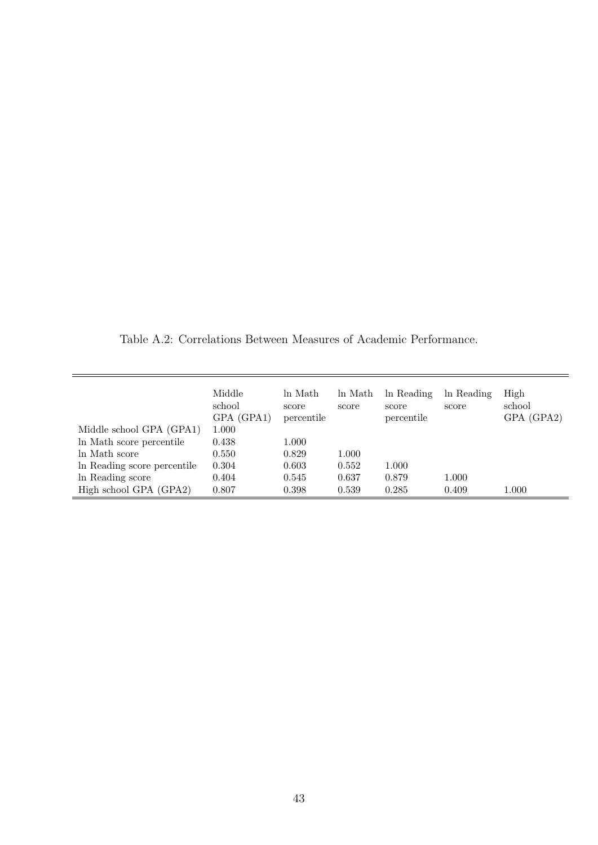Table A.2: Correlations Between Measures of Academic Performance.

|                             | Middle<br>school<br>GPA (GPA1) | ln Math<br>score<br>percentile | ln Math<br>score | In Reading<br>score<br>percentile | ln Reading<br>score | High<br>school<br>GPA (GPA2) |
|-----------------------------|--------------------------------|--------------------------------|------------------|-----------------------------------|---------------------|------------------------------|
| Middle school GPA (GPA1)    | 1.000                          |                                |                  |                                   |                     |                              |
| In Math score percentile    | 0.438                          | 1.000                          |                  |                                   |                     |                              |
| In Math score               | 0.550                          | 0.829                          | 1.000            |                                   |                     |                              |
| In Reading score percentile | 0.304                          | 0.603                          | 0.552            | 1.000                             |                     |                              |
| In Reading score            | 0.404                          | 0.545                          | 0.637            | 0.879                             | 1.000               |                              |
| High school GPA (GPA2)      | 0.807                          | 0.398                          | 0.539            | 0.285                             | 0.409               | 1.000                        |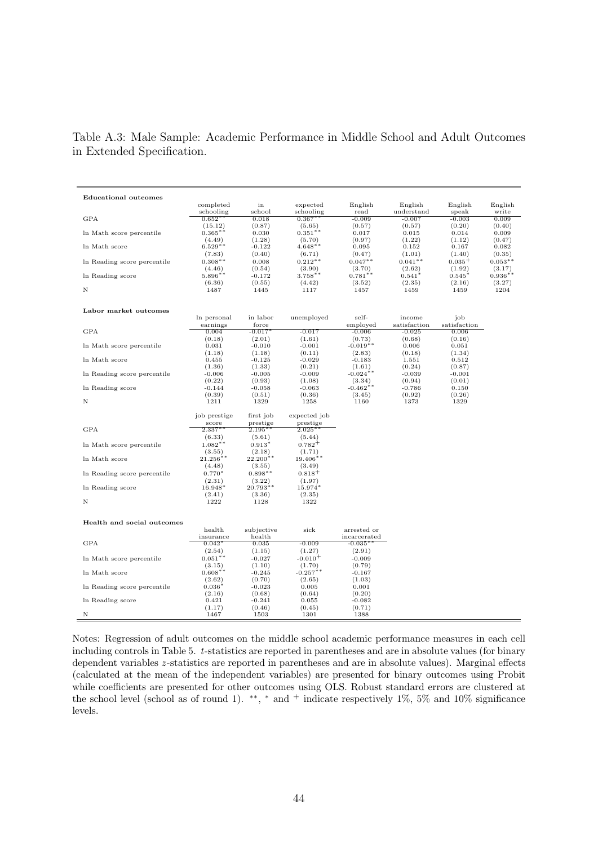Table A.3: Male Sample: Academic Performance in Middle School and Adult Outcomes in Extended Specification.

| <b>Educational outcomes</b> |                     |                      |                     |                     |                    |                    |                     |
|-----------------------------|---------------------|----------------------|---------------------|---------------------|--------------------|--------------------|---------------------|
|                             | completed           | in                   | expected            | English             | English            | English            | English             |
|                             | schooling           | school               | schooling           | read                | understand         | speak              | write               |
| <b>GPA</b>                  | $0.652**$           | 0.018                | $0.367**$           | $-0.009$            | $-0.007$           | $-0.003$           | 0.009               |
|                             | (15.12)             | (0.87)               | (5.65)              | (0.57)              | (0.57)             | (0.20)             | (0.40)              |
| In Math score percentile    | $0.365***$          | 0.030                | $0.351***$          | 0.017               | 0.015              | 0.014              | 0.009               |
|                             | (4.49)              | (1.28)               | (5.70)              | (0.97)              | (1.22)             | (1.12)             | (0.47)              |
| In Math score               | $6.529**$           | $-0.122$             | $4.648**$           | 0.095               | 0.152              | 0.167              | 0.082               |
|                             | (7.83)              | (0.40)               | (6.71)              | (0.47)              | (1.01)             | (1.40)             | (0.35)              |
| In Reading score percentile | $0.308**$           | 0.008                | $0.212**$           | $0.047**$           | $0.041**$          | $0.035 +$          | $0.053**$           |
|                             | (4.46)<br>$5.896**$ | (0.54)               | (3.90)<br>$3.758**$ | (3.70)              | (2.62)             | (1.92)             | (3.17)<br>$0.936**$ |
| In Reading score            | (6.36)              | $-0.172$<br>(0.55)   | (4.42)              | $0.781**$<br>(3.52) | $0.541*$<br>(2.35) | $0.545*$<br>(2.16) | (3.27)              |
| N                           | 1487                | 1445                 | 1117                | 1457                | 1459               | 1459               | 1204                |
|                             |                     |                      |                     |                     |                    |                    |                     |
| Labor market outcomes       |                     |                      |                     |                     |                    |                    |                     |
|                             | In personal         | in labor             | unemployed          | self-               | income             | job                |                     |
|                             | earnings            | force                |                     | employed            | satisfaction       | satisfaction       |                     |
| <b>GPA</b>                  | 0.004               | $-0.017$             | $-0.017$            | $-0.006$            | $-0.025$           | 0.006              |                     |
|                             | (0.18)              | (2.01)               | (1.61)              | (0.73)              | (0.68)             | (0.16)             |                     |
| In Math score percentile    | 0.031               | $-0.010$             | $-0.001$            | $-0.019**$          | 0.006              | 0.051              |                     |
|                             | (1.18)              | (1.18)               | (0.11)              | (2.83)              | (0.18)             | (1.34)             |                     |
| In Math score               | 0.455               | $-0.125$             | $-0.029$            | $-0.183$            | 1.551              | 0.512              |                     |
|                             | (1.36)              | (1.33)               | (0.21)              | (1.61)              | (0.24)             | (0.87)             |                     |
| In Reading score percentile | $-0.006$            | $-0.005$             | $-0.009$            | $-0.024**$          | $-0.039$           | $-0.001$           |                     |
|                             | (0.22)              | (0.93)               | (1.08)              | (3.34)              | (0.94)             | (0.01)             |                     |
| In Reading score            | $-0.144$            | $-0.058$             | $-0.063$            | $-0.462**$          | $-0.786$           | 0.150              |                     |
| N                           | (0.39)<br>1211      | (0.51)<br>1329       | (0.36)<br>1258      | (3.45)<br>1160      | (0.92)<br>1373     | (0.26)<br>1329     |                     |
|                             |                     |                      |                     |                     |                    |                    |                     |
|                             | job prestige        | first job            | expected job        |                     |                    |                    |                     |
|                             | score               | prestige             | prestige            |                     |                    |                    |                     |
| <b>GPA</b>                  | $2.337*$            | $2.195*$             | $2.025*$            |                     |                    |                    |                     |
|                             | (6.33)              | (5.61)               | (5.44)              |                     |                    |                    |                     |
| In Math score percentile    | $1.082**$           | $0.913*$             | $0.782^{+}$         |                     |                    |                    |                     |
|                             | (3.55)              | (2.18)               | (1.71)              |                     |                    |                    |                     |
| In Math score               | $21.256***$         | $22.200**$           | $19.406**$          |                     |                    |                    |                     |
|                             | (4.48)              | (3.55)               | (3.49)              |                     |                    |                    |                     |
| In Reading score percentile | $0.770*$<br>(2.31)  | $0.898**$            | $0.818 +$<br>(1.97) |                     |                    |                    |                     |
| In Reading score            | $16.948*$           | (3.22)<br>$20.793**$ | $15.974*$           |                     |                    |                    |                     |
|                             | (2.41)              | (3.36)               | (2.35)              |                     |                    |                    |                     |
| N                           | 1222                | 1128                 | 1322                |                     |                    |                    |                     |
|                             |                     |                      |                     |                     |                    |                    |                     |
| Health and social outcomes  |                     |                      |                     |                     |                    |                    |                     |
|                             | health              | subjective           | sick                | arrested or         |                    |                    |                     |
|                             | insurance           | health               |                     | incarcerated        |                    |                    |                     |
| <b>GPA</b>                  | $0.042*$            | 0.035                | $-0.009$            | $-0.035*$           |                    |                    |                     |
|                             | (2.54)              | (1.15)               | (1.27)              | (2.91)              |                    |                    |                     |
| In Math score percentile    | $0.051**$           | $-0.027$             | $-0.010+$           | $-0.009$            |                    |                    |                     |
|                             | (3.15)              | (1.10)               | (1.70)              | (0.79)              |                    |                    |                     |
| In Math score               | $0.608**$           | $-0.245$             | $-0.257***$         | $-0.167$            |                    |                    |                     |
|                             | (2.62)              | (0.70)               | (2.65)              | (1.03)              |                    |                    |                     |
| In Reading score percentile | $0.036*$            | $-0.023$             | 0.005               | 0.001               |                    |                    |                     |
| In Reading score            | (2.16)<br>0.421     | (0.68)<br>$-0.241$   | (0.64)<br>0.055     | (0.20)<br>$-0.082$  |                    |                    |                     |
|                             | (1.17)              | (0.46)               | (0.45)              | (0.71)              |                    |                    |                     |
| N                           | 1467                | 1503                 | 1301                | 1388                |                    |                    |                     |
|                             |                     |                      |                     |                     |                    |                    |                     |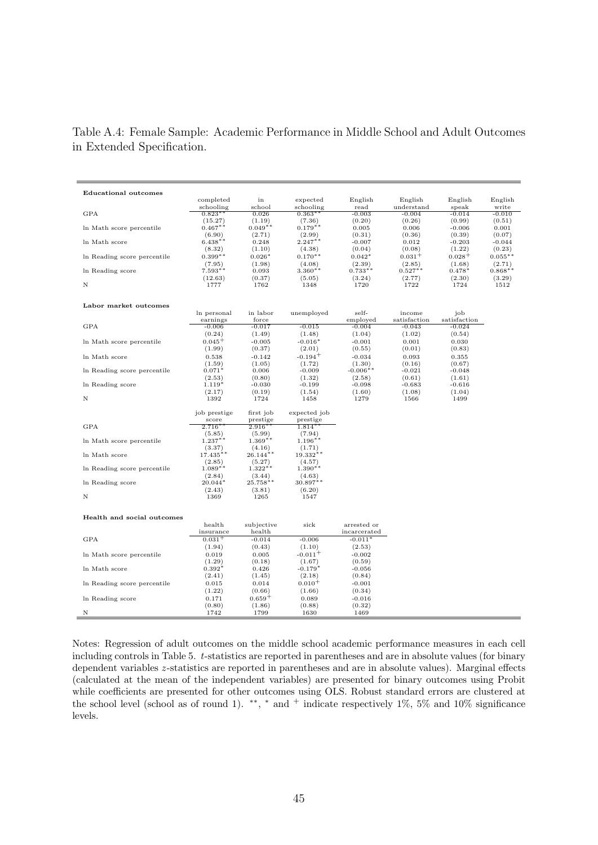Table A.4: Female Sample: Academic Performance in Middle School and Adult Outcomes in Extended Specification.

| <b>Educational outcomes</b> |                   |                       |                       |              |              |              |           |
|-----------------------------|-------------------|-----------------------|-----------------------|--------------|--------------|--------------|-----------|
|                             | completed         | in                    | expected              | English      | English      | English      | English   |
|                             | schooling         | school                | schooling             | read         | understand   | speak        | write     |
| <b>GPA</b>                  | $0.823**$         | 0.026                 | $0.363**$             | $-0.003$     | $-0.004$     | $-0.014$     | $-0.010$  |
|                             | (15.27)           | (1.19)                | (7.36)                | (0.20)       | (0.26)       | (0.99)       | (0.51)    |
| In Math score percentile    | $0.467**$         | $0.049**$             | $0.179**$             | 0.005        | 0.006        | $-0.006$     | 0.001     |
|                             | (6.90)            | (2.71)                | (2.99)                | (0.31)       | (0.36)       | (0.39)       | (0.07)    |
| In Math score               | $6.438**$         | 0.248                 | $2.247***$            | $-0.007$     | 0.012        | $-0.203$     | $-0.044$  |
|                             | (8.32)            | (1.10)                | (4.38)                | (0.04)       | (0.08)       | (1.22)       | (0.23)    |
| In Reading score percentile | $0.399**$         | $0.026*$              | $0.170**$             | $0.042*$     | $0.031 +$    | $0.028 +$    | $0.055**$ |
|                             | (7.95)            | (1.98)                | (4.08)                | (2.39)       | (2.85)       | (1.68)       | (2.71)    |
| In Reading score            | $7.593**$         | 0.093                 | $3.360**$             | $0.733**$    | $0.527**$    | $0.478*$     | $0.868**$ |
|                             | (12.63)           | (0.37)                | (5.05)                | (3.24)       | (2.77)       | (2.30)       | (3.29)    |
| N                           | 1777              | 1762                  | 1348                  | 1720         | 1722         | 1724         | 1512      |
|                             |                   |                       |                       |              |              |              |           |
| Labor market outcomes       |                   |                       |                       |              |              |              |           |
|                             | In personal       | in labor              | unemployed            | self-        | income       | job          |           |
|                             | earnings          | force                 |                       | employed     | satisfaction | satisfaction |           |
| <b>GPA</b>                  | $-0.006$          | $-0.017$              | $-0.015$              | $-0.004$     | $-0.043$     | $-0.024$     |           |
|                             | (0.24)            | (1.49)                | (1.48)                | (1.04)       | (1.02)       | (0.54)       |           |
| In Math score percentile    | $0.045^{+}$       | $-0.005$              | $-0.016*$             | $-0.001$     | 0.001        | 0.030        |           |
|                             | (1.99)            | (0.37)                | (2.01)                | (0.55)       | (0.01)       | (0.83)       |           |
| In Math score               | 0.538             | $-0.142$              | $-0.194^{+}$          | $-0.034$     | 0.093        | 0.355        |           |
|                             | (1.59)            | (1.05)                | (1.72)                | (1.30)       | (0.16)       | (0.67)       |           |
| In Reading score percentile | $0.071*$          | 0.006                 | $-0.009$              | $-0.006**$   | $-0.021$     | $-0.048$     |           |
|                             | (2.53)            | (0.80)                | (1.32)                | (2.58)       | (0.61)       | (1.61)       |           |
| In Reading score            | $1.119*$          | $-0.030$              | $-0.199$              | $-0.098$     | $-0.683$     | $-0.616$     |           |
|                             | (2.17)            | (0.19)                | (1.54)                | (1.60)       | (1.08)       | (1.04)       |           |
| N                           | 1392              | 1724                  | 1458                  | 1279         | 1566         | 1499         |           |
|                             |                   |                       |                       |              |              |              |           |
|                             | job prestige      | first job             | expected job          |              |              |              |           |
| <b>GPA</b>                  | score<br>$2.716*$ | prestige<br>$2.916**$ | prestige<br>$1.814**$ |              |              |              |           |
|                             | (5.85)            | (5.99)                | (7.94)                |              |              |              |           |
| In Math score percentile    | $1.237***$        | $1.369**$             | $1.196***$            |              |              |              |           |
|                             | (3.37)            | (4.16)                | (1.71)                |              |              |              |           |
| In Math score               | $17.435**$        | $26.144**$            | $19.332**$            |              |              |              |           |
|                             | (2.85)            | (5.27)                | (4.57)                |              |              |              |           |
| In Reading score percentile | $1.089**$         | $1.322**$             | $1.390**$             |              |              |              |           |
|                             | (2.84)            | (3.44)                | (4.63)                |              |              |              |           |
| In Reading score            | $20.044*$         | $25.758**$            | $30.897**$            |              |              |              |           |
|                             | (2.43)            | (3.81)                | (6.20)                |              |              |              |           |
| N                           | 1369              | 1265                  | 1547                  |              |              |              |           |
|                             |                   |                       |                       |              |              |              |           |
|                             |                   |                       |                       |              |              |              |           |
| Health and social outcomes  |                   |                       |                       |              |              |              |           |
|                             | health            | subjective            | sick                  | arrested or  |              |              |           |
|                             | insurance         | health                |                       | incarcerated |              |              |           |
| <b>GPA</b>                  | $0.031 +$         | $-0.014$              | $-0.006$              | $-0.011*$    |              |              |           |
|                             | (1.94)            | (0.43)                | (1.10)                | (2.53)       |              |              |           |
| In Math score percentile    | 0.019             | 0.005                 | $-0.011 +$            | $-0.002$     |              |              |           |
|                             | (1.29)            | (0.18)                | (1.67)                | (0.59)       |              |              |           |
| In Math score               | $0.392*$          | 0.426                 | $-0.179*$             | $-0.056$     |              |              |           |
|                             | (2.41)            | (1.45)                | (2.18)                | (0.84)       |              |              |           |
| In Reading score percentile | 0.015             | 0.014                 | $0.010^{+}$           | $-0.001$     |              |              |           |
|                             | (1.22)            | (0.66)                | (1.66)                | (0.34)       |              |              |           |
| In Reading score            | 0.171             | $0.659+$              | 0.089                 | $-0.016$     |              |              |           |
|                             | (0.80)            | (1.86)                | (0.88)                | (0.32)       |              |              |           |
| N                           | 1742              | 1799                  | 1630                  | 1469         |              |              |           |
|                             |                   |                       |                       |              |              |              |           |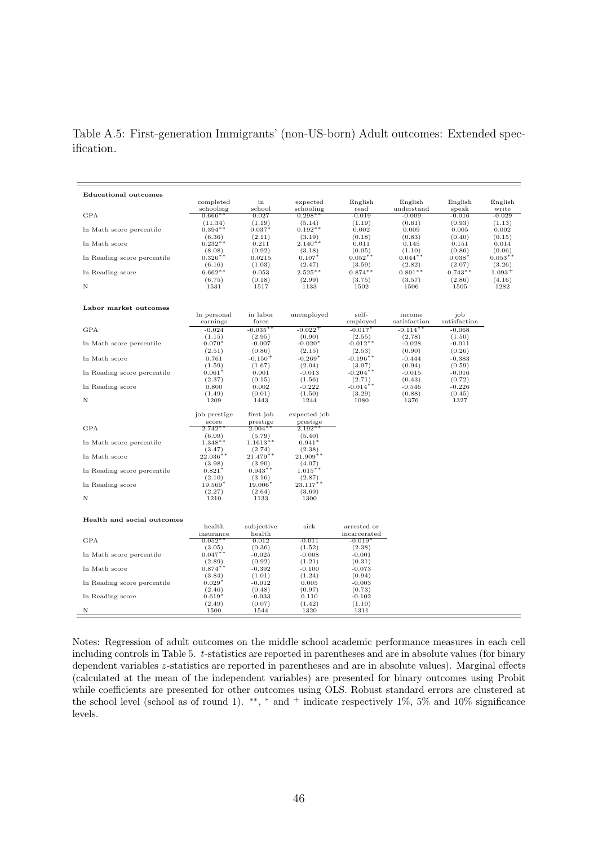Table A.5: First-generation Immigrants' (non-US-born) Adult outcomes: Extended specification.

| <b>Educational outcomes</b> |                     |                               |                       |                      |                     |                     |                    |
|-----------------------------|---------------------|-------------------------------|-----------------------|----------------------|---------------------|---------------------|--------------------|
|                             | completed           | in                            | expected              | English              | English             | English             | English            |
|                             | schooling           | school                        | schooling             | read                 | understand          | speak               | write              |
| <b>GPA</b>                  | $0.666**$           | 0.027                         | $0.298**$             | $-0.019$             | $-0.009$            | $-0.016$            | $-0.029$           |
|                             | (11.34)             | (1.19)                        | (5.14)                | (1.19)               | (0.61)              | (0.93)              | (1.13)             |
| In Math score percentile    | $0.394**$           | $0.037*$                      | $0.192**$             | 0.002                | 0.009               | 0.005               | 0.002              |
|                             | (6.36)              | (2.11)                        | (3.19)                | (0.18)               | (0.83)              | (0.40)              | (0.15)             |
| In Math score               | $6.232**$           | 0.211                         | $2.140**$             | 0.011                | 0.145               | 0.151               | 0.014              |
|                             | (8.08)              | (0.92)                        | (3.18)                | (0.05)               | (1.10)              | (0.86)              | (0.06)             |
| In Reading score percentile | $0.326**$           | 0.0215                        | $0.107*$              | $0.052**$            | $0.044**$           | $0.038*$            | $0.053**$          |
|                             | (6.16)<br>$6.662**$ | (1.03)                        | (2.47)<br>$2.525***$  | (3.59)               | (2.82)<br>$0.801**$ | (2.07)<br>$0.743**$ | (3.26)<br>$1.093+$ |
| In Reading score            | (6.75)              | 0.053<br>(0.18)               | (2.99)                | $0.874***$<br>(3.75) | (3.57)              | (2.86)              | (4.16)             |
| N                           | 1531                | 1517                          | 1133                  | 1502                 | 1506                | 1505                | 1282               |
|                             |                     |                               |                       |                      |                     |                     |                    |
|                             |                     |                               |                       |                      |                     |                     |                    |
| Labor market outcomes       | In personal         | in labor                      | unemployed            | self-                | income              | job                 |                    |
|                             | earnings            | force                         |                       | employed             | satisfaction        | satisfaction        |                    |
| <b>GPA</b>                  | $-0.024$            | $-0.035*$                     | $-0.022^{+}$          | $-0.017*$            | $-0.114*$           | $-0.068$            |                    |
|                             | (1.15)              | (2.95)                        | (0.90)                | (2.55)               | (2.78)              | (1.50)              |                    |
| In Math score percentile    | $0.070*$            | $-0.007$                      | $-0.020*$             | $-0.012**$           | $-0.028$            | $-0.011$            |                    |
|                             | (2.51)              | (0.86)                        | (2.15)                | (2.53)               | (0.90)              | (0.26)              |                    |
| In Math score               | 0.761               | $-0.150+$                     | $-0.269*$             | $-0.196**$           | $-0.444$            | $-0.383$            |                    |
|                             | (1.59)              | (1.67)                        | (2.04)                | (3.07)               | (0.94)              | (0.59)              |                    |
| In Reading score percentile | $0.061*$            | 0.001                         | $-0.013$              | $-0.204**$           | $-0.015$            | $-0.016$            |                    |
|                             | (2.37)              | (0.15)                        | (1.56)                | (2.71)               | (0.43)              | (0.72)              |                    |
| In Reading score            | 0.800               | 0.002                         | $-0.222$              | $-0.014**$           | $-0.546$            | $-0.226$            |                    |
|                             | (1.49)              | (0.01)                        | (1.50)                | (3.29)               | (0.88)              | (0.45)              |                    |
| N                           | 1209                | 1443                          | 1244                  | 1080                 | 1376                | 1327                |                    |
|                             | job prestige        | first job                     | expected job          |                      |                     |                     |                    |
|                             | score               | prestige                      | prestige              |                      |                     |                     |                    |
| <b>GPA</b>                  | $2.742*$            | $2.004*$                      | $2.192*$              |                      |                     |                     |                    |
|                             | (6.09)              | (5.79)                        | (5.40)                |                      |                     |                     |                    |
| In Math score percentile    | $1.348**$           | $1.1613**$                    | $0.941*$              |                      |                     |                     |                    |
|                             | (3.47)              | (2.74)                        | (2.38)                |                      |                     |                     |                    |
| In Math score               | $22.036**$          | $21.479**$                    | 21.909**              |                      |                     |                     |                    |
|                             | (3.98)              | (3.90)                        | (4.07)                |                      |                     |                     |                    |
| In Reading score percentile | $0.821*$            | $0.943**$                     | $1.015***$            |                      |                     |                     |                    |
|                             | (2.10)              | (3.16)                        | (2.87)<br>$23.117***$ |                      |                     |                     |                    |
| In Reading score            | $19.569*$<br>(2.27) | 19.006 <sup>*</sup><br>(2.64) | (3.69)                |                      |                     |                     |                    |
| N                           | 1210                | 1133                          | 1300                  |                      |                     |                     |                    |
|                             |                     |                               |                       |                      |                     |                     |                    |
| Health and social outcomes  |                     |                               |                       |                      |                     |                     |                    |
|                             | health              | subjective                    | sick                  | arrested or          |                     |                     |                    |
|                             | insurance           | health                        |                       | incarcerated         |                     |                     |                    |
| <b>GPA</b>                  | $0.052***$          | 0.012                         | $-0.011$              | $-0.019$             |                     |                     |                    |
|                             | (3.05)              | (0.36)                        | (1.52)                | (2.38)               |                     |                     |                    |
| In Math score percentile    | $0.047**$           | $-0.025$                      | $-0.008$              | $-0.001$             |                     |                     |                    |
|                             | (2.89)              | (0.92)                        | (1.21)                | (0.31)               |                     |                     |                    |
| In Math score               | $0.874**$           | $-0.392$                      | $-0.100$              | $-0.073$             |                     |                     |                    |
|                             | (3.84)              | (1.01)                        | (1.24)                | (0.94)               |                     |                     |                    |
| In Reading score percentile | $0.029*$            | $-0.012$                      | 0.005                 | $-0.003$             |                     |                     |                    |
|                             | (2.46)              | (0.48)                        | (0.97)                | (0.73)               |                     |                     |                    |
| In Reading score            | $0.619*$            | $-0.033$                      | 0.110                 | $-0.102$             |                     |                     |                    |
|                             | (2.49)              | (0.07)                        | (1.42)                | (1.10)               |                     |                     |                    |
| N                           | 1500                | 1544                          | 1320                  | 1311                 |                     |                     |                    |